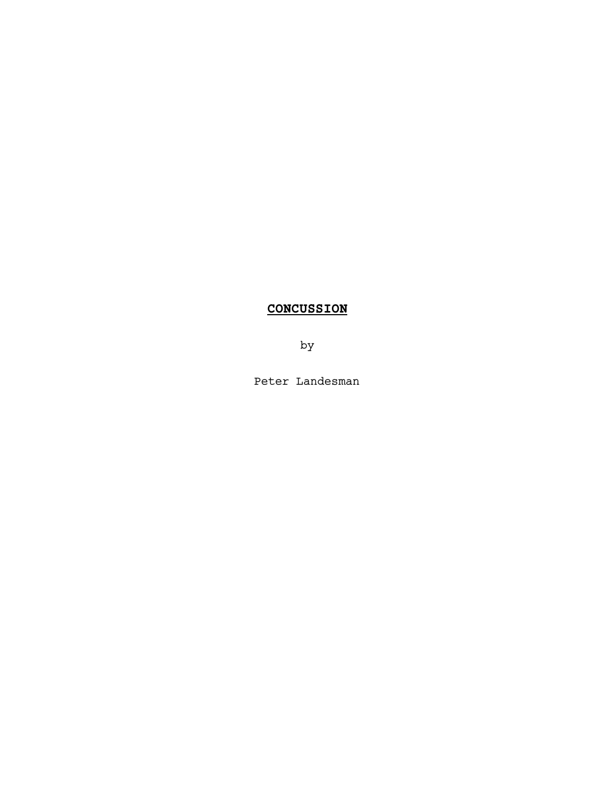# **CONCUSSION**

by

Peter Landesman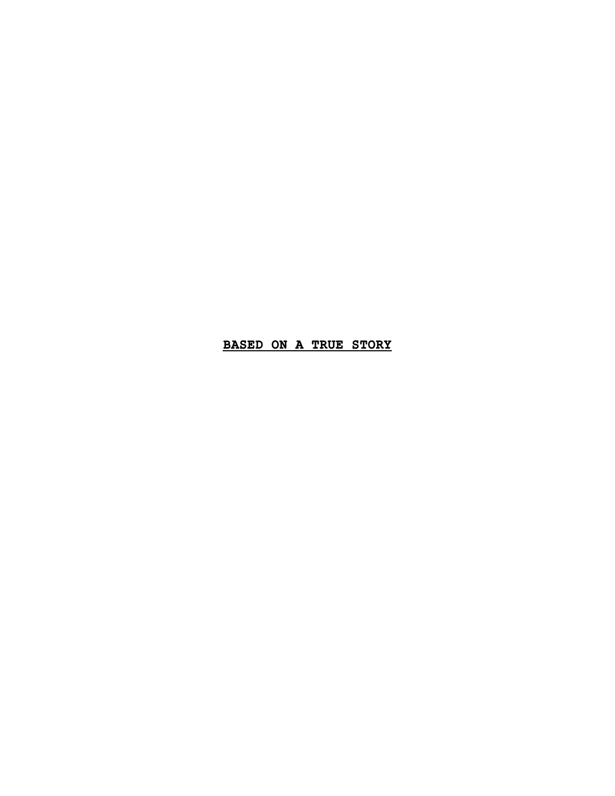## **BASED ON A TRUE STORY**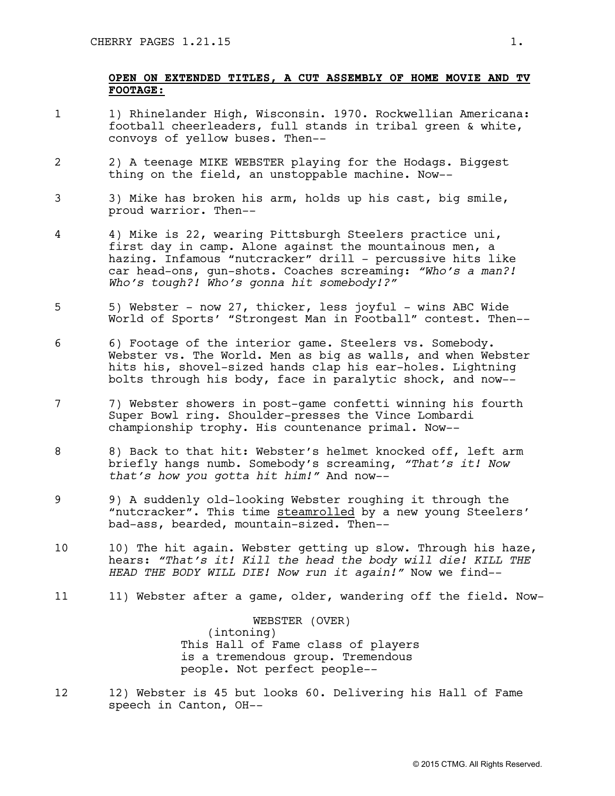## **OPEN ON EXTENDED TITLES, A CUT ASSEMBLY OF HOME MOVIE AND TV FOOTAGE:**

- 1 1) Rhinelander High, Wisconsin. 1970. Rockwellian Americana: football cheerleaders, full stands in tribal green & white, convoys of yellow buses. Then--
- 2 2) A teenage MIKE WEBSTER playing for the Hodags. Biggest thing on the field, an unstoppable machine. Now--
- 3 3) Mike has broken his arm, holds up his cast, big smile, proud warrior. Then--
- 4 4) Mike is 22, wearing Pittsburgh Steelers practice uni, first day in camp. Alone against the mountainous men, a hazing. Infamous "nutcracker" drill - percussive hits like car head-ons, gun-shots. Coaches screaming: *"Who's a man?! Who's tough?! Who's gonna hit somebody!?"*
- 5 5) Webster now 27, thicker, less joyful wins ABC Wide World of Sports' "Strongest Man in Football" contest. Then--
- 6 6) Footage of the interior game. Steelers vs. Somebody. Webster vs. The World. Men as big as walls, and when Webster hits his, shovel-sized hands clap his ear-holes. Lightning bolts through his body, face in paralytic shock, and now--
- 7 7) Webster showers in post-game confetti winning his fourth Super Bowl ring. Shoulder-presses the Vince Lombardi championship trophy. His countenance primal. Now--
- 8 8) Back to that hit: Webster's helmet knocked off, left arm briefly hangs numb. Somebody's screaming, *"That's it! Now that's how you gotta hit him!"* And now--
- 9 9) A suddenly old-looking Webster roughing it through the "nutcracker". This time steamrolled by a new young Steelers' bad-ass, bearded, mountain-sized. Then--
- 10 10) The hit again. Webster getting up slow. Through his haze, hears: *"That's it! Kill the head the body will die! KILL THE HEAD THE BODY WILL DIE! Now run it again!"* Now we find--
- 11 11) Webster after a game, older, wandering off the field. Now-

WEBSTER (OVER) (intoning) This Hall of Fame class of players is a tremendous group. Tremendous people. Not perfect people--

12 12) Webster is 45 but looks 60. Delivering his Hall of Fame speech in Canton, OH--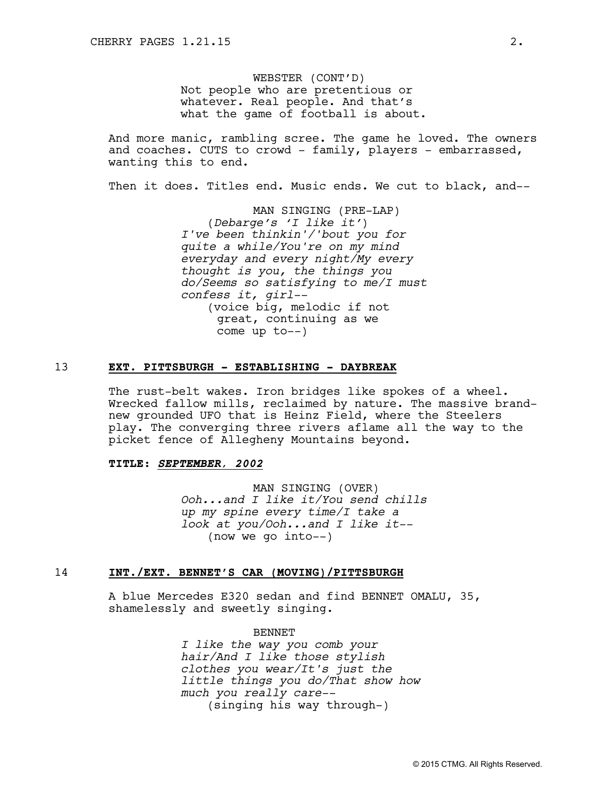WEBSTER (CONT'D) Not people who are pretentious or whatever. Real people. And that's what the game of football is about.

And more manic, rambling scree. The game he loved. The owners and coaches. CUTS to crowd - family, players - embarrassed, wanting this to end.

Then it does. Titles end. Music ends. We cut to black, and--

MAN SINGING (PRE-LAP) (*Debarge's 'I like it'*) *I've been thinkin'/'bout you for quite a while/You're on my mind everyday and every night/My every thought is you, the things you do/Seems so satisfying to me/I must confess it, girl--* (voice big, melodic if not great, continuing as we come up to--)

#### 13 **EXT. PITTSBURGH - ESTABLISHING - DAYBREAK**

The rust-belt wakes. Iron bridges like spokes of a wheel. Wrecked fallow mills, reclaimed by nature. The massive brandnew grounded UFO that is Heinz Field, where the Steelers play. The converging three rivers aflame all the way to the picket fence of Allegheny Mountains beyond.

#### **TITLE:** *SEPTEMBER, 2002*

MAN SINGING (OVER) *Ooh...and I like it/You send chills up my spine every time/I take a look at you/Ooh...and I like it--* (now we go into--)

## 14 **INT./EXT. BENNET'S CAR (MOVING)/PITTSBURGH**

A blue Mercedes E320 sedan and find BENNET OMALU, 35, shamelessly and sweetly singing.

> **BENNET** *I like the way you comb your hair/And I like those stylish clothes you wear/It's just the little things you do/That show how much you really care--* (singing his way through-)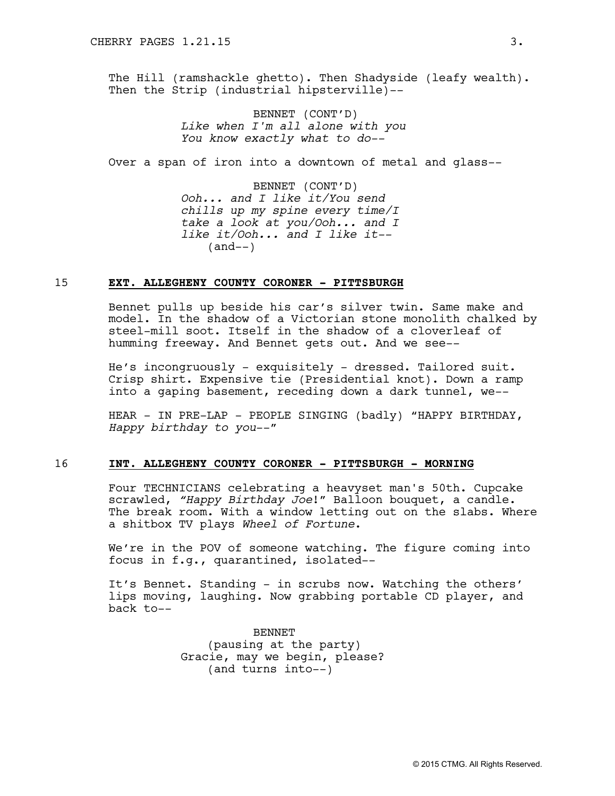The Hill (ramshackle ghetto). Then Shadyside (leafy wealth). Then the Strip (industrial hipsterville)--

> BENNET (CONT'D) *Like when I'm all alone with you You know exactly what to do--*

Over a span of iron into a downtown of metal and glass--

BENNET (CONT'D) *Ooh... and I like it/You send chills up my spine every time/I take a look at you/Ooh... and I like it/Ooh... and I like it--*  $(and--)$ 

#### 15 **EXT. ALLEGHENY COUNTY CORONER - PITTSBURGH**

Bennet pulls up beside his car's silver twin. Same make and model. In the shadow of a Victorian stone monolith chalked by steel-mill soot. Itself in the shadow of a cloverleaf of humming freeway. And Bennet gets out. And we see--

He's incongruously - exquisitely - dressed. Tailored suit. Crisp shirt. Expensive tie (Presidential knot). Down a ramp into a gaping basement, receding down a dark tunnel, we--

HEAR - IN PRE-LAP - PEOPLE SINGING (badly) "HAPPY BIRTHDAY, *Happy birthday to you*--"

## 16 **INT. ALLEGHENY COUNTY CORONER - PITTSBURGH - MORNING**

Four TECHNICIANS celebrating a heavyset man's 50th. Cupcake scrawled, *"Happy Birthday Joe*!" Balloon bouquet, a candle. The break room. With a window letting out on the slabs. Where a shitbox TV plays *Wheel of Fortune*.

We're in the POV of someone watching. The figure coming into focus in f.g., quarantined, isolated--

It's Bennet. Standing - in scrubs now. Watching the others' lips moving, laughing. Now grabbing portable CD player, and back to--

> BENNET (pausing at the party) Gracie, may we begin, please? (and turns into--)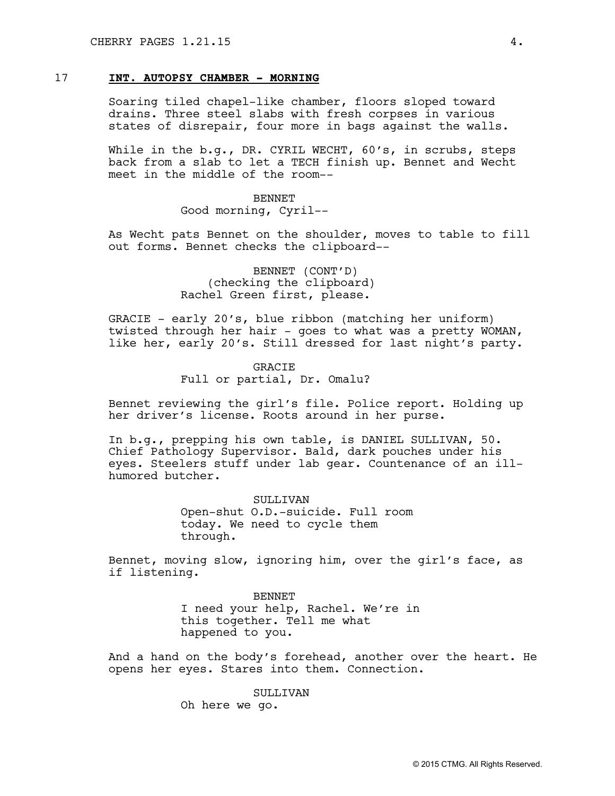#### 17 **INT. AUTOPSY CHAMBER - MORNING**

Soaring tiled chapel-like chamber, floors sloped toward drains. Three steel slabs with fresh corpses in various states of disrepair, four more in bags against the walls.

While in the b.q., DR. CYRIL WECHT, 60's, in scrubs, steps back from a slab to let a TECH finish up. Bennet and Wecht meet in the middle of the room--

> BENNET Good morning, Cyril--

As Wecht pats Bennet on the shoulder, moves to table to fill out forms. Bennet checks the clipboard--

> BENNET (CONT'D) (checking the clipboard) Rachel Green first, please.

GRACIE - early 20's, blue ribbon (matching her uniform) twisted through her hair - goes to what was a pretty WOMAN, like her, early 20's. Still dressed for last night's party.

> **GRACTE** Full or partial, Dr. Omalu?

Bennet reviewing the girl's file. Police report. Holding up her driver's license. Roots around in her purse.

In b.g., prepping his own table, is DANIEL SULLIVAN, 50. Chief Pathology Supervisor. Bald, dark pouches under his eyes. Steelers stuff under lab gear. Countenance of an illhumored butcher.

> SULLIVAN Open-shut O.D.-suicide. Full room today. We need to cycle them through.

Bennet, moving slow, ignoring him, over the girl's face, as if listening.

> BENNET I need your help, Rachel. We're in this together. Tell me what happened to you.

And a hand on the body's forehead, another over the heart. He opens her eyes. Stares into them. Connection.

SULLIVAN

Oh here we go.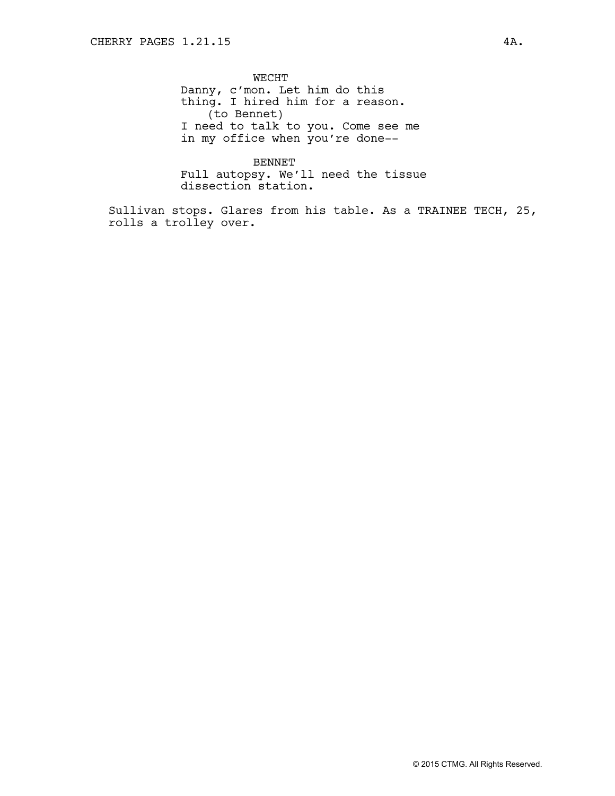WECHT Danny, c'mon. Let him do this thing. I hired him for a reason. (to Bennet) I need to talk to you. Come see me in my office when you're done--

BENNET Full autopsy. We'll need the tissue dissection station.

Sullivan stops. Glares from his table. As a TRAINEE TECH, 25, rolls a trolley over.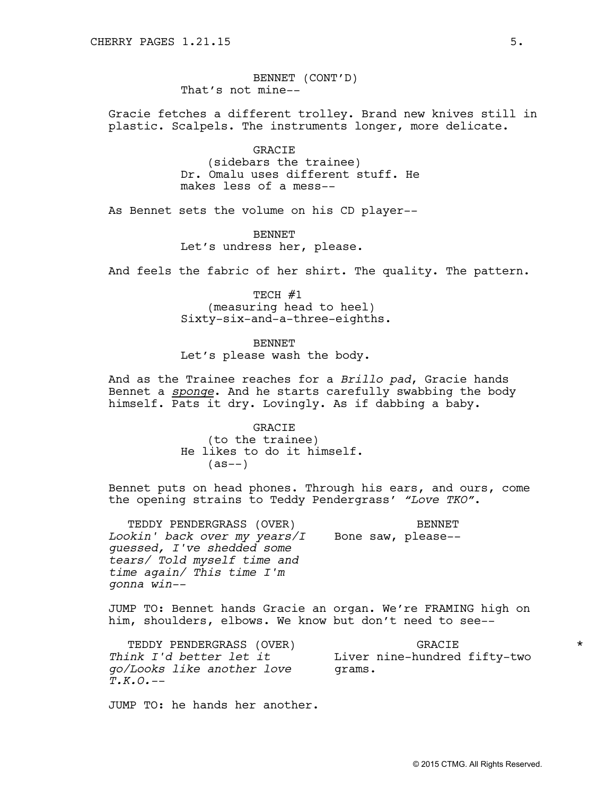BENNET (CONT'D) That's not mine--

Gracie fetches a different trolley. Brand new knives still in plastic. Scalpels. The instruments longer, more delicate.

> GRACIE (sidebars the trainee) Dr. Omalu uses different stuff. He makes less of a mess--

As Bennet sets the volume on his CD player--

BENNET Let's undress her, please.

And feels the fabric of her shirt. The quality. The pattern.

TECH #1 (measuring head to heel) Sixty-six-and-a-three-eighths.

**BENNET** Let's please wash the body.

And as the Trainee reaches for a *Brillo pad*, Gracie hands Bennet a *sponge*. And he starts carefully swabbing the body himself. Pats it dry. Lovingly. As if dabbing a baby.

> GRACIE (to the trainee) He likes to do it himself.  $(as - )$

Bennet puts on head phones. Through his ears, and ours, come the opening strains to Teddy Pendergrass' *"Love TKO"*.

TEDDY PENDERGRASS (OVER) *Lookin' back over my years/I*  Bone saw, please- *guessed, I've shedded some tears/ Told myself time and time again/ This time I'm gonna win--* BENNET

JUMP TO: Bennet hands Gracie an organ. We're FRAMING high on him, shoulders, elbows. We know but don't need to see--

TEDDY PENDERGRASS (OVER) *Think I'd better let it go/Looks like another love T.K.O.--* GRACIE \* Liver nine-hundred fifty-two grams.

JUMP TO: he hands her another.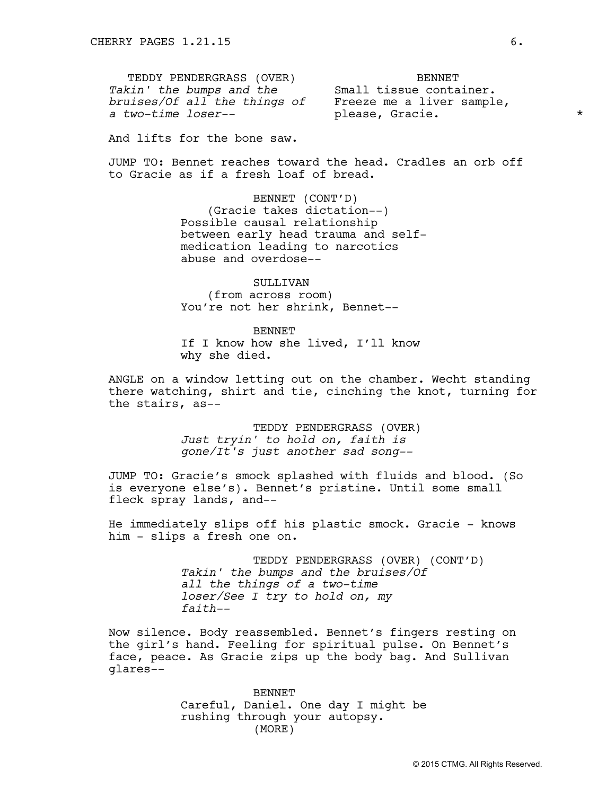TEDDY PENDERGRASS (OVER) *Takin' the bumps and the bruises/Of all the things of a two-time loser--*

**BENNET** Small tissue container. Freeze me a liver sample, please, Gracie.  $\qquad \qquad \star$ 

And lifts for the bone saw.

JUMP TO: Bennet reaches toward the head. Cradles an orb off to Gracie as if a fresh loaf of bread.

> BENNET (CONT'D) (Gracie takes dictation--) Possible causal relationship between early head trauma and selfmedication leading to narcotics abuse and overdose--

SULLIVAN (from across room) You're not her shrink, Bennet--

BENNET If I know how she lived, I'll know why she died.

ANGLE on a window letting out on the chamber. Wecht standing there watching, shirt and tie, cinching the knot, turning for the stairs, as--

> TEDDY PENDERGRASS (OVER) *Just tryin' to hold on, faith is gone/It's just another sad song--*

JUMP TO: Gracie's smock splashed with fluids and blood. (So is everyone else's). Bennet's pristine. Until some small fleck spray lands, and--

He immediately slips off his plastic smock. Gracie - knows him - slips a fresh one on.

> TEDDY PENDERGRASS (OVER) (CONT'D) *Takin' the bumps and the bruises/Of all the things of a two-time loser/See I try to hold on, my faith--*

Now silence. Body reassembled. Bennet's fingers resting on the girl's hand. Feeling for spiritual pulse. On Bennet's face, peace. As Gracie zips up the body bag. And Sullivan glares--

> BENNET Careful, Daniel. One day I might be rushing through your autopsy. (MORE)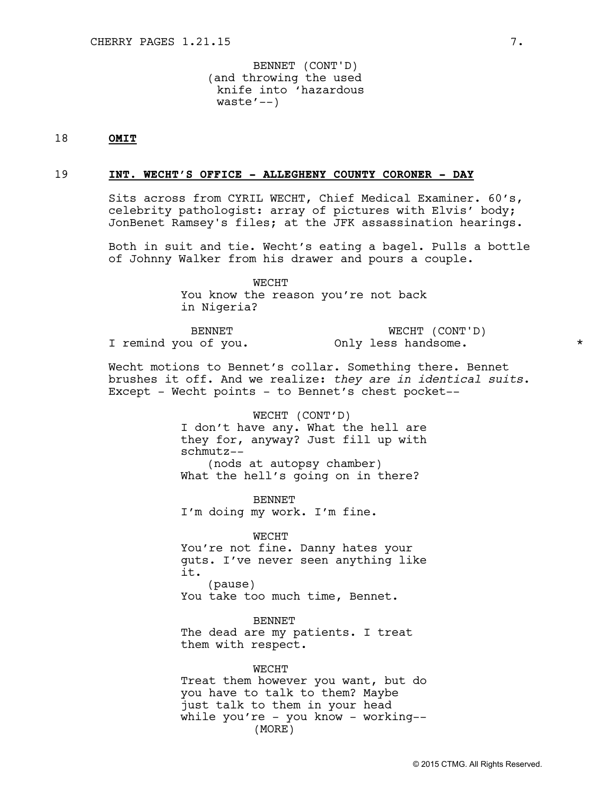(and throwing the used knife into 'hazardous  $waste' - -)$ BENNET (CONT'D)

#### 18 **OMIT**

#### 19 **INT. WECHT'S OFFICE - ALLEGHENY COUNTY CORONER - DAY**

Sits across from CYRIL WECHT, Chief Medical Examiner. 60's, celebrity pathologist: array of pictures with Elvis' body; JonBenet Ramsey's files; at the JFK assassination hearings.

Both in suit and tie. Wecht's eating a bagel. Pulls a bottle of Johnny Walker from his drawer and pours a couple.

> WECHT You know the reason you're not back in Nigeria?

BENNET I remind you of you.

WECHT (CONT'D) Only less handsome.

Wecht motions to Bennet's collar. Something there. Bennet brushes it off. And we realize: *they are in identical suits*. Except - Wecht points - to Bennet's chest pocket--

WECHT (CONT'D)

I don't have any. What the hell are they for, anyway? Just fill up with schmutz-- (nods at autopsy chamber) What the hell's going on in there?

**BENNET** I'm doing my work. I'm fine.

WECHT You're not fine. Danny hates your guts. I've never seen anything like it. (pause) You take too much time, Bennet.

BENNET The dead are my patients. I treat them with respect.

WECHT Treat them however you want, but do you have to talk to them? Maybe just talk to them in your head while you're - you know - working-- (MORE)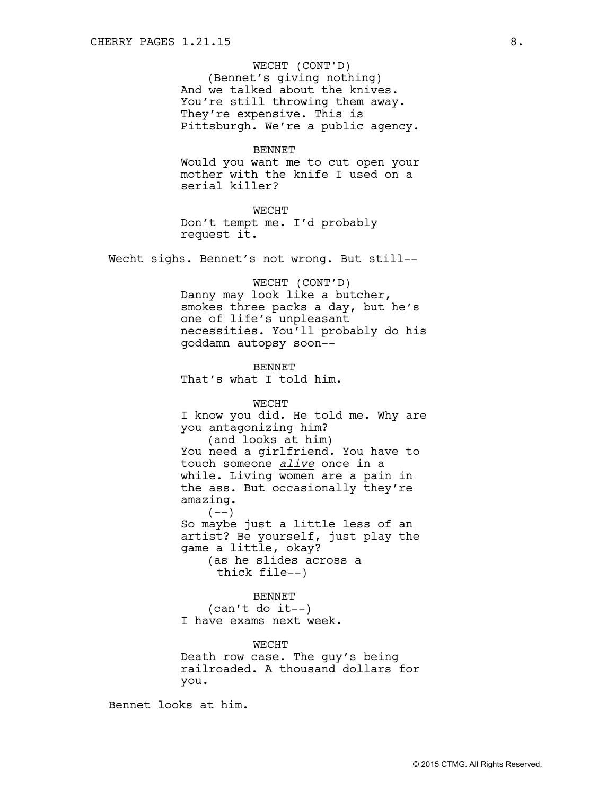#### WECHT (CONT'D)

(Bennet's giving nothing) And we talked about the knives. You're still throwing them away. They're expensive. This is Pittsburgh. We're a public agency.

#### BENNET

Would you want me to cut open your mother with the knife I used on a serial killer?

#### WECHT

Don't tempt me. I'd probably request it.

Wecht sighs. Bennet's not wrong. But still--

#### WECHT (CONT'D)

Danny may look like a butcher, smokes three packs a day, but he's one of life's unpleasant necessities. You'll probably do his goddamn autopsy soon--

**BENNET** That's what I told him.

#### WECHT

I know you did. He told me. Why are you antagonizing him? (and looks at him) You need a girlfriend. You have to touch someone *alive* once in a while. Living women are a pain in the ass. But occasionally they're amazing.  $(--)$ So maybe just a little less of an artist? Be yourself, just play the game a little, okay?

(as he slides across a thick file--)

BENNET (can't do it--) I have exams next week.

#### WECHT

Death row case. The guy's being railroaded. A thousand dollars for you.

Bennet looks at him.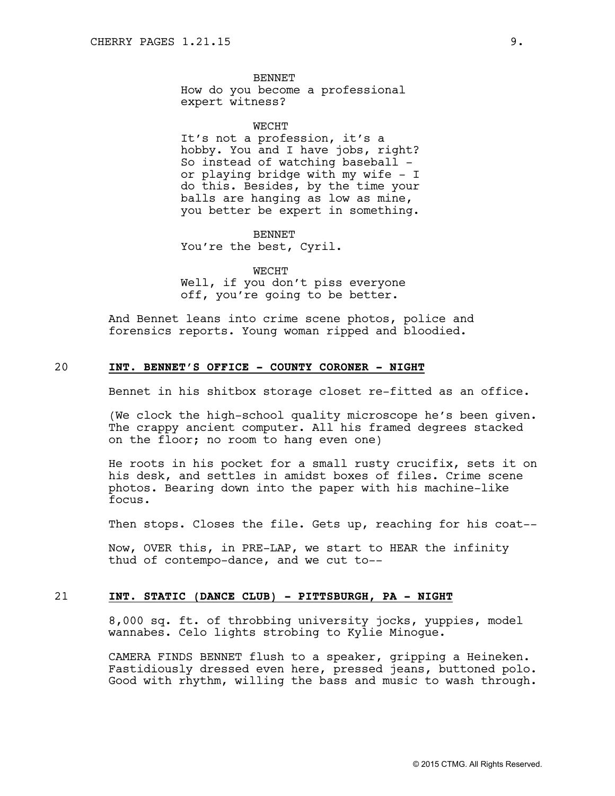**BENNET** How do you become a professional expert witness?

WECHT It's not a profession, it's a hobby. You and I have jobs, right? So instead of watching baseball or playing bridge with my wife - I do this. Besides, by the time your balls are hanging as low as mine, you better be expert in something.

BENNET You're the best, Cyril.

#### WECHT

Well, if you don't piss everyone off, you're going to be better.

And Bennet leans into crime scene photos, police and forensics reports. Young woman ripped and bloodied.

#### 20 **INT. BENNET'S OFFICE - COUNTY CORONER - NIGHT**

Bennet in his shitbox storage closet re-fitted as an office.

(We clock the high-school quality microscope he's been given. The crappy ancient computer. All his framed degrees stacked on the floor; no room to hang even one)

He roots in his pocket for a small rusty crucifix, sets it on his desk, and settles in amidst boxes of files. Crime scene photos. Bearing down into the paper with his machine-like focus.

Then stops. Closes the file. Gets up, reaching for his coat--

Now, OVER this, in PRE-LAP, we start to HEAR the infinity thud of contempo-dance, and we cut to--

#### 21 **INT. STATIC (DANCE CLUB) - PITTSBURGH, PA - NIGHT**

8,000 sq. ft. of throbbing university jocks, yuppies, model wannabes. Celo lights strobing to Kylie Minogue.

CAMERA FINDS BENNET flush to a speaker, gripping a Heineken. Fastidiously dressed even here, pressed jeans, buttoned polo. Good with rhythm, willing the bass and music to wash through.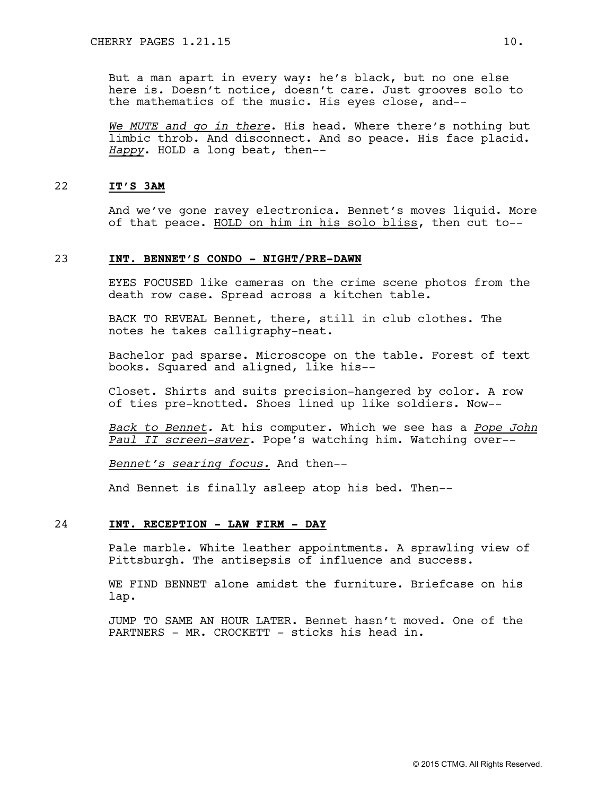But a man apart in every way: he's black, but no one else here is. Doesn't notice, doesn't care. Just grooves solo to the mathematics of the music. His eyes close, and--

*We MUTE and go in there*. His head. Where there's nothing but limbic throb. And disconnect. And so peace. His face placid. *Happy*. HOLD a long beat, then--

#### 22 **IT'S 3AM**

And we've gone ravey electronica. Bennet's moves liquid. More of that peace. HOLD on him in his solo bliss, then cut to--

#### 23 **INT. BENNET'S CONDO - NIGHT/PRE-DAWN**

EYES FOCUSED like cameras on the crime scene photos from the death row case. Spread across a kitchen table.

BACK TO REVEAL Bennet, there, still in club clothes. The notes he takes calligraphy-neat.

Bachelor pad sparse. Microscope on the table. Forest of text books. Squared and aligned, like his--

Closet. Shirts and suits precision-hangered by color. A row of ties pre-knotted. Shoes lined up like soldiers. Now--

*Back to Bennet.* At his computer. Which we see has a *Pope John Paul II screen-saver*. Pope's watching him. Watching over--

*Bennet's searing focus.* And then--

And Bennet is finally asleep atop his bed. Then--

#### 24 **INT. RECEPTION - LAW FIRM - DAY**

Pale marble. White leather appointments. A sprawling view of Pittsburgh. The antisepsis of influence and success.

WE FIND BENNET alone amidst the furniture. Briefcase on his lap.

JUMP TO SAME AN HOUR LATER. Bennet hasn't moved. One of the PARTNERS - MR. CROCKETT - sticks his head in.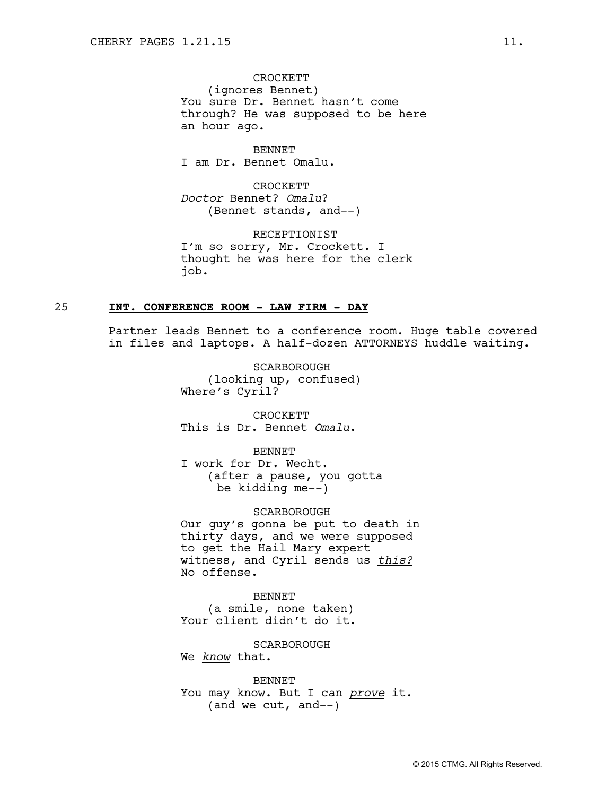CROCKETT (ignores Bennet) You sure Dr. Bennet hasn't come through? He was supposed to be here an hour ago.

BENNET I am Dr. Bennet Omalu.

**CROCKETT** *Doctor* Bennet? *Omalu*? (Bennet stands, and--)

RECEPTIONIST I'm so sorry, Mr. Crockett. I thought he was here for the clerk job.

### 25 **INT. CONFERENCE ROOM - LAW FIRM - DAY**

Partner leads Bennet to a conference room. Huge table covered in files and laptops. A half-dozen ATTORNEYS huddle waiting.

> **SCARBOROUGH** (looking up, confused) Where's Cyril?

CROCKETT This is Dr. Bennet *Omalu*.

**BENNET** I work for Dr. Wecht. (after a pause, you gotta be kidding me--)

SCARBOROUGH Our guy's gonna be put to death in thirty days, and we were supposed to get the Hail Mary expert witness, and Cyril sends us *this?* No offense.

BENNET (a smile, none taken) Your client didn't do it.

We *know* that.

BENNET You may know. But I can *prove* it. (and we cut, and--)

SCARBOROUGH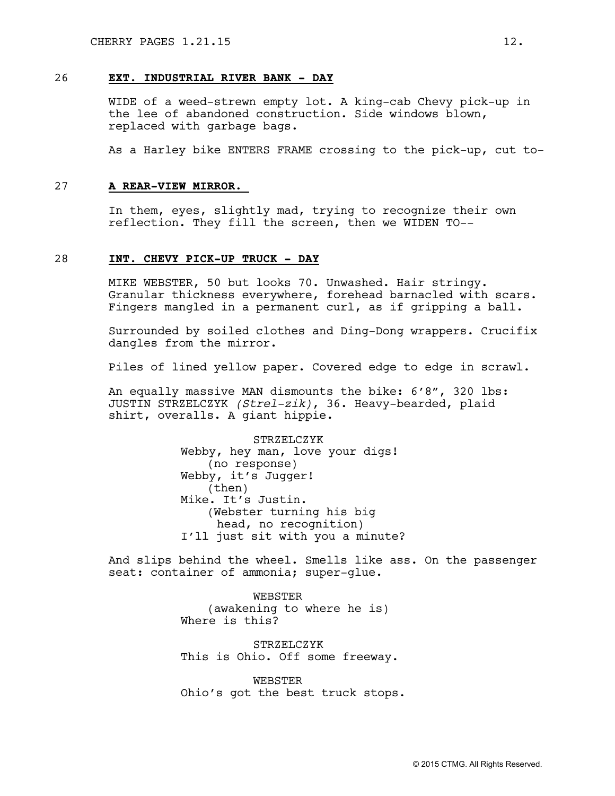#### 26 **EXT. INDUSTRIAL RIVER BANK - DAY**

WIDE of a weed-strewn empty lot. A king-cab Chevy pick-up in the lee of abandoned construction. Side windows blown, replaced with garbage bags.

As a Harley bike ENTERS FRAME crossing to the pick-up, cut to-

#### 27 **A REAR-VIEW MIRROR.**

In them, eyes, slightly mad, trying to recognize their own reflection. They fill the screen, then we WIDEN TO--

#### 28 **INT. CHEVY PICK-UP TRUCK - DAY**

MIKE WEBSTER, 50 but looks 70. Unwashed. Hair stringy. Granular thickness everywhere, forehead barnacled with scars. Fingers mangled in a permanent curl, as if gripping a ball.

Surrounded by soiled clothes and Ding-Dong wrappers. Crucifix dangles from the mirror.

Piles of lined yellow paper. Covered edge to edge in scrawl.

An equally massive MAN dismounts the bike: 6'8", 320 lbs: JUSTIN STRZELCZYK *(Strel-zik)*, 36. Heavy-bearded, plaid shirt, overalls. A giant hippie.

> STRZELCZYK Webby, hey man, love your digs! (no response) Webby, it's Jugger! (then) Mike. It's Justin. (Webster turning his big head, no recognition) I'll just sit with you a minute?

And slips behind the wheel. Smells like ass. On the passenger seat: container of ammonia; super-glue.

> WEBSTER (awakening to where he is) Where is this?

STRZELCZYK This is Ohio. Off some freeway.

WEBSTER Ohio's got the best truck stops.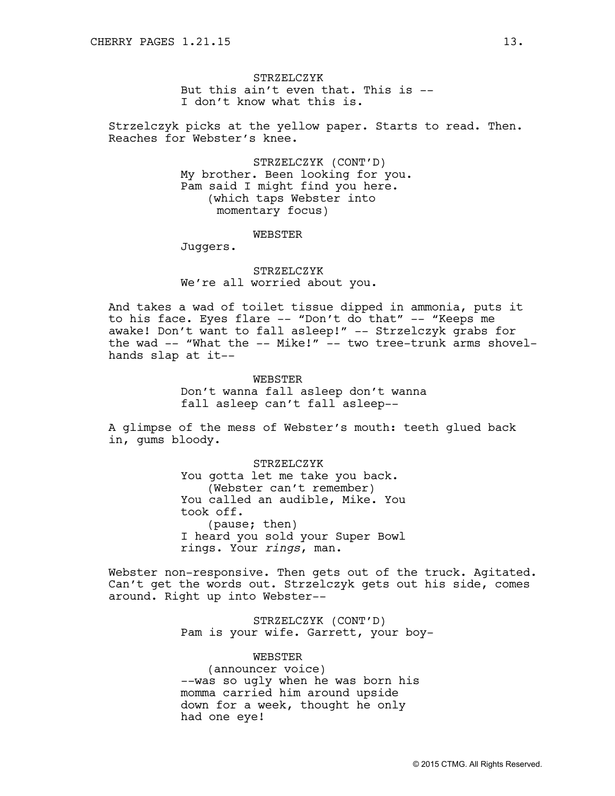STRZELCZYK But this ain't even that. This is -- I don't know what this is.

Strzelczyk picks at the yellow paper. Starts to read. Then. Reaches for Webster's knee.

> STRZELCZYK (CONT'D) My brother. Been looking for you. Pam said I might find you here. (which taps Webster into momentary focus)

#### WEBSTER

Juggers.

### STRZELCZYK We're all worried about you.

And takes a wad of toilet tissue dipped in ammonia, puts it to his face. Eyes flare -- "Don't do that" -- "Keeps me awake! Don't want to fall asleep!" -- Strzelczyk grabs for the wad -- "What the -- Mike!" -- two tree-trunk arms shovelhands slap at it--

#### WEBSTER

Don't wanna fall asleep don't wanna fall asleep can't fall asleep--

A glimpse of the mess of Webster's mouth: teeth glued back in, gums bloody.

#### STRZELCZYK

You gotta let me take you back. (Webster can't remember) You called an audible, Mike. You took off. (pause; then) I heard you sold your Super Bowl rings. Your *rings*, man.

Webster non-responsive. Then gets out of the truck. Agitated. Can't get the words out. Strzelczyk gets out his side, comes around. Right up into Webster--

> STRZELCZYK (CONT'D) Pam is your wife. Garrett, your boy-

WEBSTER (announcer voice) --was so ugly when he was born his momma carried him around upside down for a week, thought he only had one eye!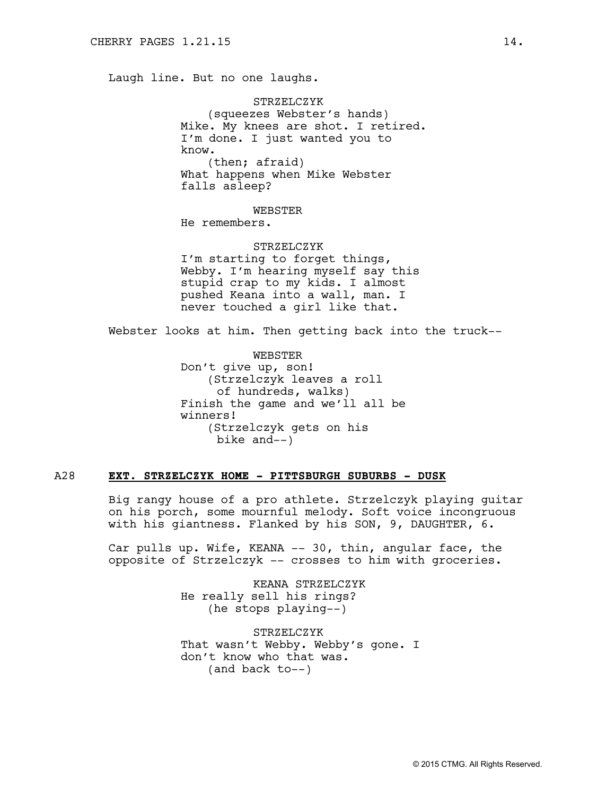Laugh line. But no one laughs.

STRZELCZYK (squeezes Webster's hands) Mike. My knees are shot. I retired. I'm done. I just wanted you to know. (then; afraid) What happens when Mike Webster falls asleep?

#### WEBSTER

He remembers.

STRZELCZYK I'm starting to forget things, Webby. I'm hearing myself say this stupid crap to my kids. I almost pushed Keana into a wall, man. I never touched a girl like that.

Webster looks at him. Then getting back into the truck--

WEBSTER Don't give up, son! (Strzelczyk leaves a roll of hundreds, walks) Finish the game and we'll all be winners! (Strzelczyk gets on his bike and--)

#### A28 **EXT. STRZELCZYK HOME - PITTSBURGH SUBURBS - DUSK**

Big rangy house of a pro athlete. Strzelczyk playing guitar on his porch, some mournful melody. Soft voice incongruous with his giantness. Flanked by his SON, 9, DAUGHTER, 6.

Car pulls up. Wife, KEANA -- 30, thin, angular face, the opposite of Strzelczyk -- crosses to him with groceries.

> KEANA STRZELCZYK He really sell his rings? (he stops playing--)

STRZELCZYK That wasn't Webby. Webby's gone. I don't know who that was. (and back to--)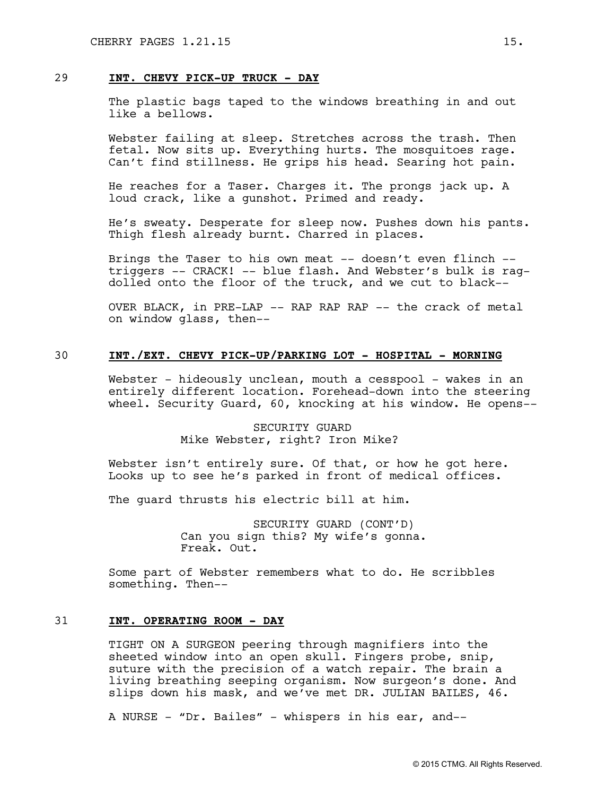#### 29 **INT. CHEVY PICK-UP TRUCK - DAY**

The plastic bags taped to the windows breathing in and out like a bellows.

Webster failing at sleep. Stretches across the trash. Then fetal. Now sits up. Everything hurts. The mosquitoes rage. Can't find stillness. He grips his head. Searing hot pain.

He reaches for a Taser. Charges it. The prongs jack up. A loud crack, like a gunshot. Primed and ready.

He's sweaty. Desperate for sleep now. Pushes down his pants. Thigh flesh already burnt. Charred in places.

Brings the Taser to his own meat -- doesn't even flinch - triggers -- CRACK! -- blue flash. And Webster's bulk is ragdolled onto the floor of the truck, and we cut to black--

OVER BLACK, in PRE-LAP -- RAP RAP RAP -- the crack of metal on window glass, then--

#### 30 **INT./EXT. CHEVY PICK-UP/PARKING LOT - HOSPITAL - MORNING**

Webster - hideously unclean, mouth a cesspool - wakes in an entirely different location. Forehead-down into the steering wheel. Security Guard, 60, knocking at his window. He opens--

> SECURITY GUARD Mike Webster, right? Iron Mike?

Webster isn't entirely sure. Of that, or how he got here. Looks up to see he's parked in front of medical offices.

The quard thrusts his electric bill at him.

SECURITY GUARD (CONT'D) Can you sign this? My wife's gonna. Freak. Out.

Some part of Webster remembers what to do. He scribbles something. Then--

#### 31 **INT. OPERATING ROOM - DAY**

TIGHT ON A SURGEON peering through magnifiers into the sheeted window into an open skull. Fingers probe, snip, suture with the precision of a watch repair. The brain a living breathing seeping organism. Now surgeon's done. And slips down his mask, and we've met DR. JULIAN BAILES, 46.

A NURSE - "Dr. Bailes" - whispers in his ear, and--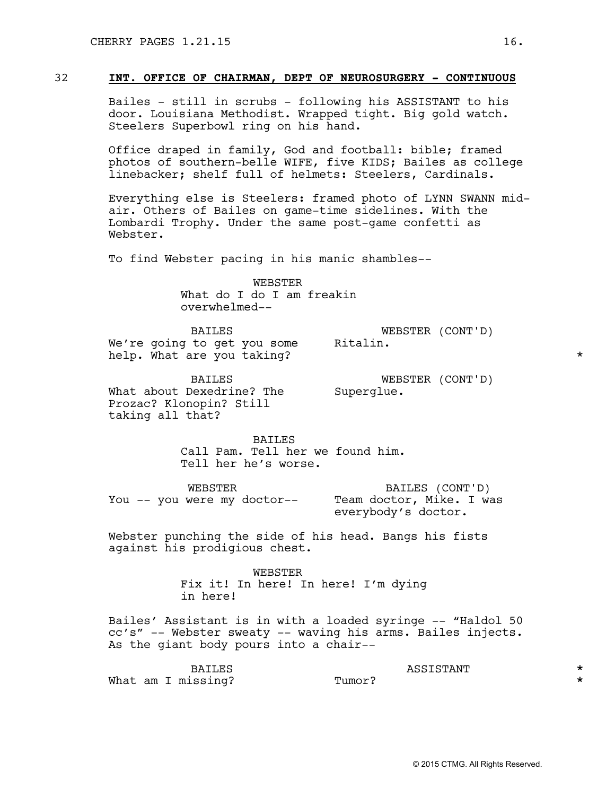## 32 **INT. OFFICE OF CHAIRMAN, DEPT OF NEUROSURGERY - CONTINUOUS**

Bailes - still in scrubs - following his ASSISTANT to his door. Louisiana Methodist. Wrapped tight. Big gold watch. Steelers Superbowl ring on his hand.

Office draped in family, God and football: bible; framed photos of southern-belle WIFE, five KIDS; Bailes as college linebacker; shelf full of helmets: Steelers, Cardinals.

Everything else is Steelers: framed photo of LYNN SWANN midair. Others of Bailes on game-time sidelines. With the Lombardi Trophy. Under the same post-game confetti as Webster.

To find Webster pacing in his manic shambles--

WEBSTER What do I do I am freakin overwhelmed--

BAILES We're going to get you some Ritalin. help. What are you taking?  $*$ 

WEBSTER (CONT'D)

**BATLES** What about Dexedrine? The Prozac? Klonopin? Still taking all that?

WEBSTER (CONT'D) Superglue.

**BATLES** Call Pam. Tell her we found him. Tell her he's worse.

WEBSTER You -- you were my doctor-- Team doctor, Mike. I was BAILES (CONT'D) everybody's doctor.

Webster punching the side of his head. Bangs his fists against his prodigious chest.

> WEBSTER Fix it! In here! In here! I'm dying in here!

Bailes' Assistant is in with a loaded syringe -- "Haldol 50 cc's" -- Webster sweaty -- waving his arms. Bailes injects. As the giant body pours into a chair--

BAILES **\*** ASSISTANT **\*** 

What am I missing? Tumor? The matrix of the state of  $\star$ Tumor?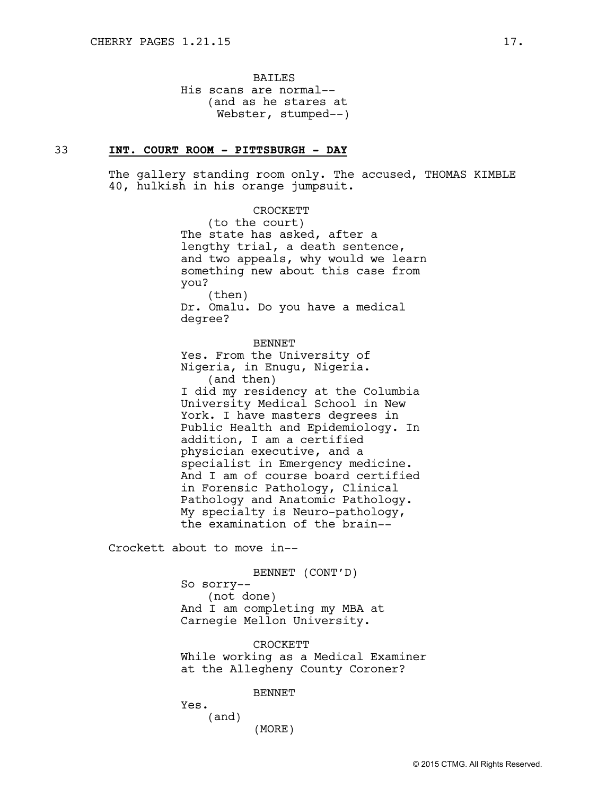**BATLES** His scans are normal-- (and as he stares at Webster, stumped--)

#### 33 **INT. COURT ROOM - PITTSBURGH - DAY**

The gallery standing room only. The accused, THOMAS KIMBLE 40, hulkish in his orange jumpsuit.

> CROCKETT (to the court) The state has asked, after a lengthy trial, a death sentence, and two appeals, why would we learn something new about this case from you? (then) Dr. Omalu. Do you have a medical degree?

> > **BENNET**

Yes. From the University of Nigeria, in Enugu, Nigeria. (and then) I did my residency at the Columbia University Medical School in New York. I have masters degrees in Public Health and Epidemiology. In addition, I am a certified physician executive, and a specialist in Emergency medicine. And I am of course board certified in Forensic Pathology, Clinical Pathology and Anatomic Pathology. My specialty is Neuro-pathology, the examination of the brain--

Crockett about to move in--

BENNET (CONT'D) So sorry-- (not done) And I am completing my MBA at Carnegie Mellon University.

CROCKETT While working as a Medical Examiner at the Allegheny County Coroner?

**BENNET** 

(MORE)

Yes. (and)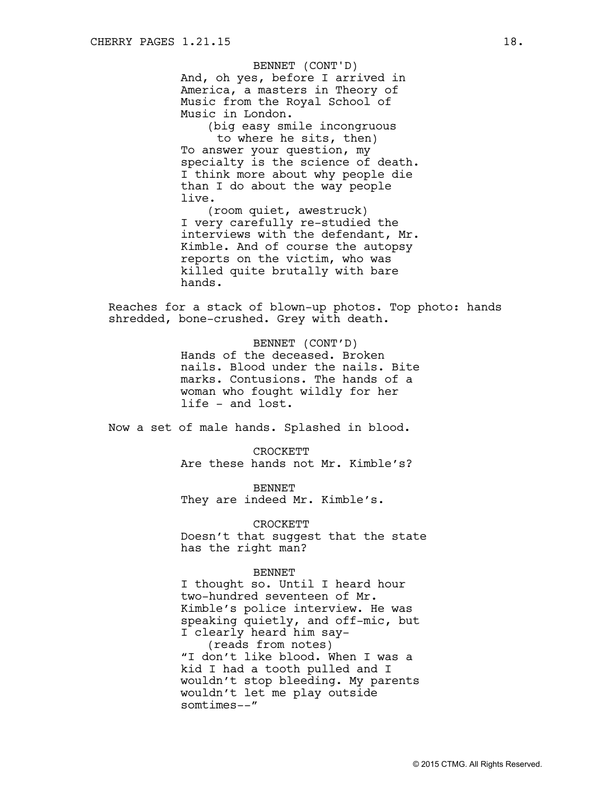And, oh yes, before I arrived in America, a masters in Theory of Music from the Royal School of Music in London. BENNET (CONT'D)

(big easy smile incongruous

to where he sits, then) To answer your question, my specialty is the science of death. I think more about why people die than I do about the way people live.

(room quiet, awestruck) I very carefully re-studied the interviews with the defendant, Mr. Kimble. And of course the autopsy reports on the victim, who was killed quite brutally with bare hands.

Reaches for a stack of blown-up photos. Top photo: hands shredded, bone-crushed. Grey with death.

> BENNET (CONT'D) Hands of the deceased. Broken nails. Blood under the nails. Bite marks. Contusions. The hands of a woman who fought wildly for her life - and lost.

Now a set of male hands. Splashed in blood.

**CROCKETT** Are these hands not Mr. Kimble's?

BENNET They are indeed Mr. Kimble's.

CROCKETT Doesn't that suggest that the state has the right man?

#### BENNET

I thought so. Until I heard hour two-hundred seventeen of Mr. Kimble's police interview. He was speaking quietly, and off-mic, but I clearly heard him say- (reads from notes) "I don't like blood. When I was a kid I had a tooth pulled and I wouldn't stop bleeding. My parents wouldn't let me play outside somtimes--"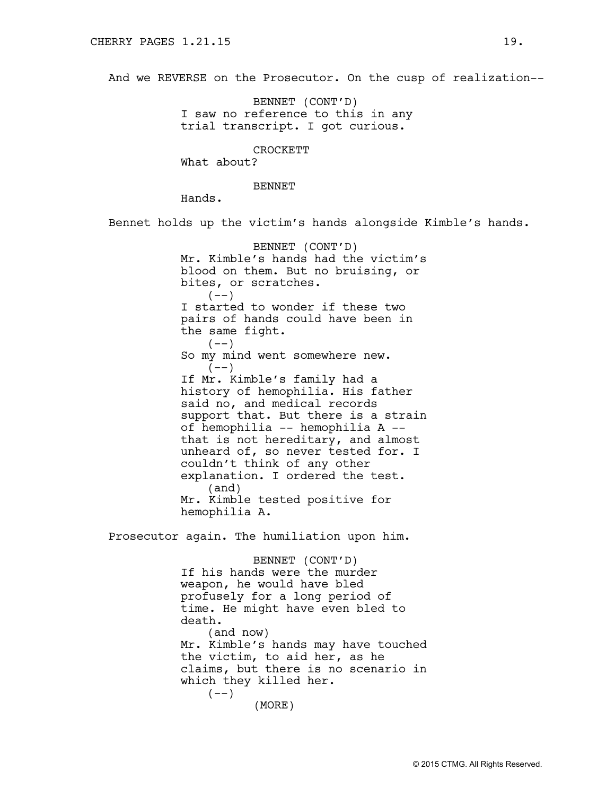And we REVERSE on the Prosecutor. On the cusp of realization--

BENNET (CONT'D) I saw no reference to this in any trial transcript. I got curious.

CROCKETT

What about?

BENNET

Hands.

Bennet holds up the victim's hands alongside Kimble's hands.

BENNET (CONT'D) Mr. Kimble's hands had the victim's blood on them. But no bruising, or bites, or scratches.  $(- - )$ I started to wonder if these two pairs of hands could have been in the same fight.  $(--)$ So my mind went somewhere new.  $(--)$ If Mr. Kimble's family had a history of hemophilia. His father said no, and medical records support that. But there is a strain of hemophilia -- hemophilia A - that is not hereditary, and almost unheard of, so never tested for. I couldn't think of any other explanation. I ordered the test. (and) Mr. Kimble tested positive for hemophilia A.

Prosecutor again. The humiliation upon him.

BENNET (CONT'D) If his hands were the murder weapon, he would have bled profusely for a long period of time. He might have even bled to death. (and now) Mr. Kimble's hands may have touched the victim, to aid her, as he claims, but there is no scenario in which they killed her.  $(--)$ (MORE)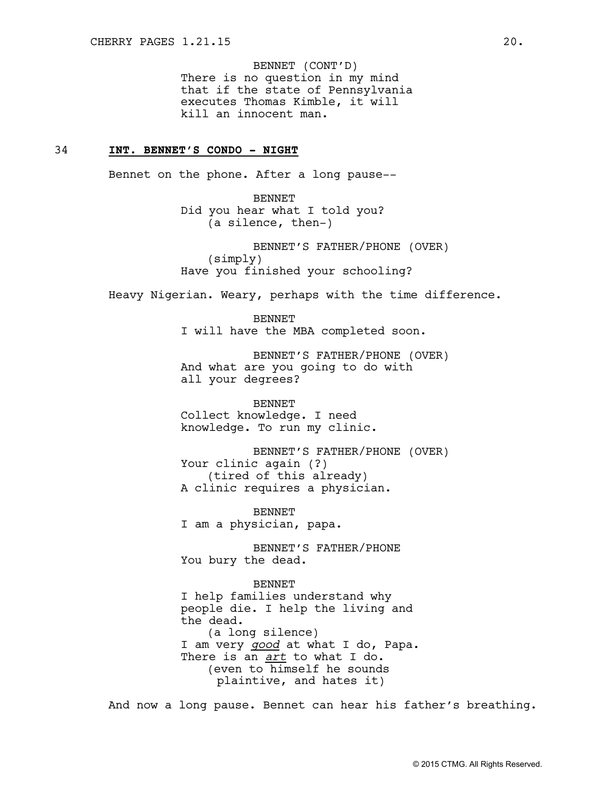There is no question in my mind that if the state of Pennsylvania executes Thomas Kimble, it will kill an innocent man. BENNET (CONT'D)

## 34 **INT. BENNET'S CONDO - NIGHT**

Bennet on the phone. After a long pause--

BENNET Did you hear what I told you? (a silence, then-)

BENNET'S FATHER/PHONE (OVER) (simply) Have you finished your schooling?

Heavy Nigerian. Weary, perhaps with the time difference.

**BENNET** I will have the MBA completed soon.

BENNET'S FATHER/PHONE (OVER) And what are you going to do with all your degrees?

BENNET Collect knowledge. I need knowledge. To run my clinic.

BENNET'S FATHER/PHONE (OVER) Your clinic again (?) (tired of this already) A clinic requires a physician.

BENNET I am a physician, papa.

BENNET'S FATHER/PHONE You bury the dead.

BENNET I help families understand why people die. I help the living and the dead. (a long silence) I am very *good* at what I do, Papa. There is an *art* to what I do. (even to himself he sounds plaintive, and hates it)

And now a long pause. Bennet can hear his father's breathing.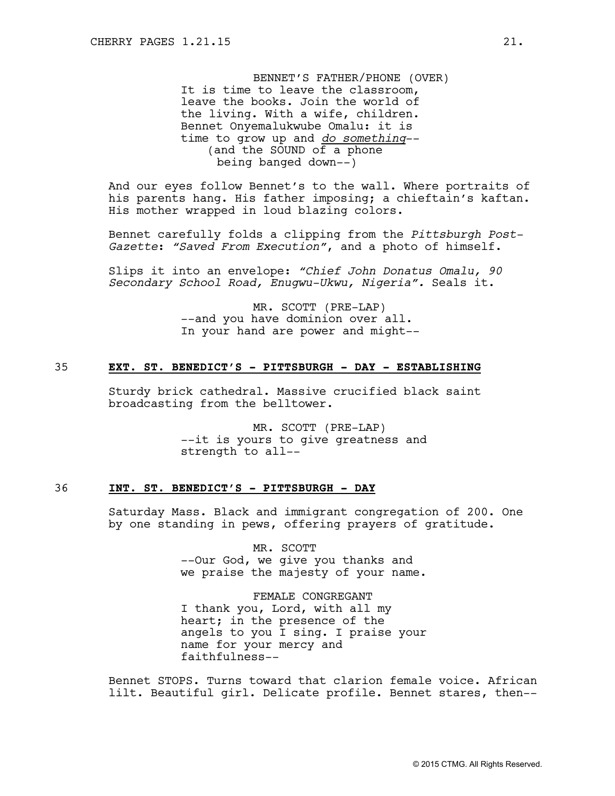BENNET'S FATHER/PHONE (OVER) It is time to leave the classroom, leave the books. Join the world of the living. With a wife, children. Bennet Onyemalukwube Omalu: it is time to grow up and *do something*-- (and the SOUND of a phone being banged down--)

And our eyes follow Bennet's to the wall. Where portraits of his parents hang. His father imposing; a chieftain's kaftan. His mother wrapped in loud blazing colors.

Bennet carefully folds a clipping from the *Pittsburgh Post-Gazette*: *"Saved From Execution"*, and a photo of himself.

Slips it into an envelope: *"Chief John Donatus Omalu, 90 Secondary School Road, Enugwu-Ukwu, Nigeria".* Seals it.

> MR. SCOTT (PRE-LAP) --and you have dominion over all. In your hand are power and might--

## 35 **EXT. ST. BENEDICT'S - PITTSBURGH - DAY - ESTABLISHING**

Sturdy brick cathedral. Massive crucified black saint broadcasting from the belltower.

> MR. SCOTT (PRE-LAP) --it is yours to give greatness and strength to all--

#### 36 **INT. ST. BENEDICT'S - PITTSBURGH - DAY**

Saturday Mass. Black and immigrant congregation of 200. One by one standing in pews, offering prayers of gratitude.

> MR. SCOTT --Our God, we give you thanks and we praise the majesty of your name.

## FEMALE CONGREGANT

I thank you, Lord, with all my heart; in the presence of the angels to you I sing. I praise your name for your mercy and faithfulness--

Bennet STOPS. Turns toward that clarion female voice. African lilt. Beautiful girl. Delicate profile. Bennet stares, then--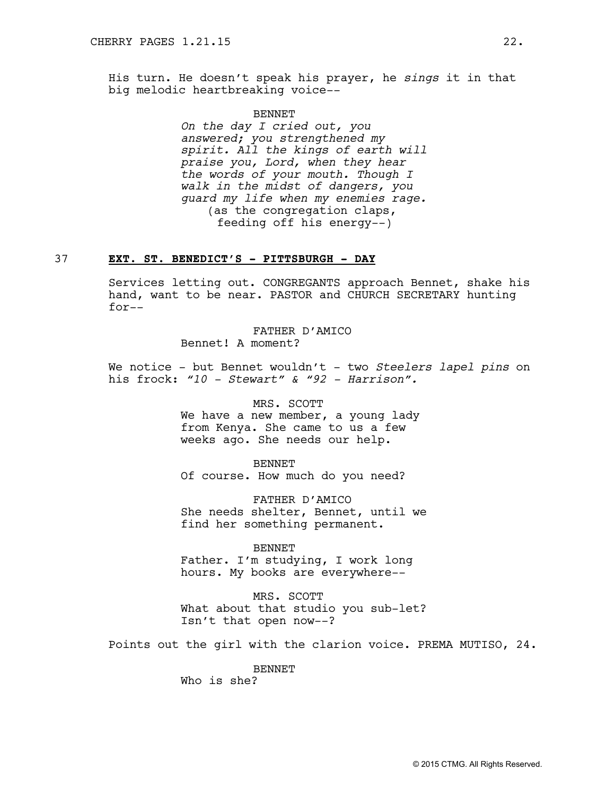His turn. He doesn't speak his prayer, he *sings* it in that big melodic heartbreaking voice--

#### BENNET

*On the day I cried out, you answered; you strengthened my spirit. All the kings of earth will praise you, Lord, when they hear the words of your mouth. Though I walk in the midst of dangers, you guard my life when my enemies rage.*  (as the congregation claps, feeding off his energy--)

#### 37 **EXT. ST. BENEDICT'S - PITTSBURGH - DAY**

Services letting out. CONGREGANTS approach Bennet, shake his hand, want to be near. PASTOR and CHURCH SECRETARY hunting for--

> FATHER D'AMICO Bennet! A moment?

We notice - but Bennet wouldn't - two *Steelers lapel pins* on his frock: *"10 - Stewart" & "92 - Harrison".*

#### MRS. SCOTT

We have a new member, a young lady from Kenya. She came to us a few weeks ago. She needs our help.

#### BENNET

Of course. How much do you need?

FATHER D'AMICO She needs shelter, Bennet, until we find her something permanent.

BENNET

Father. I'm studying, I work long hours. My books are everywhere--

MRS. SCOTT What about that studio you sub-let? Isn't that open now--?

Points out the girl with the clarion voice. PREMA MUTISO, 24.

BENNET

Who is she?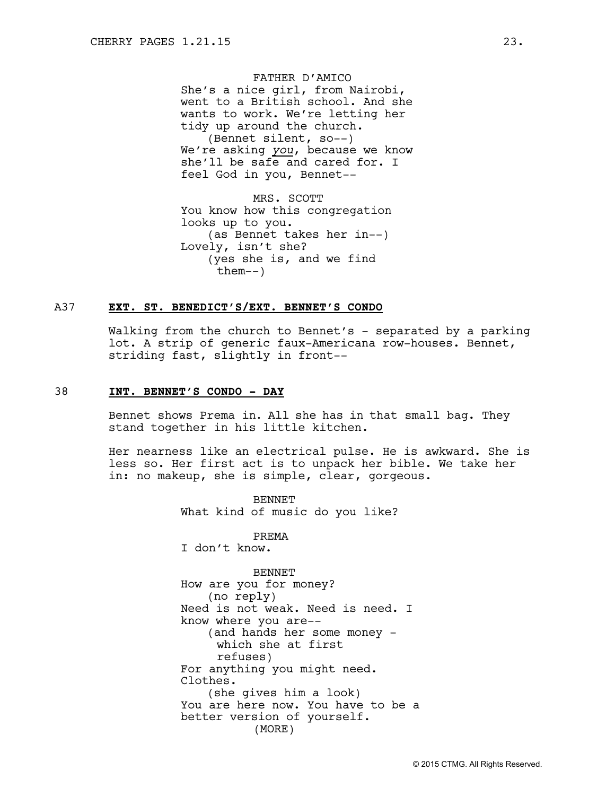FATHER D'AMICO She's a nice girl, from Nairobi, went to a British school. And she wants to work. We're letting her tidy up around the church. (Bennet silent, so--) We're asking *you*, because we know she'll be safe and cared for. I feel God in you, Bennet--

MRS. SCOTT You know how this congregation looks up to you. (as Bennet takes her in--) Lovely, isn't she? (yes she is, and we find  $then--)$ 

#### A37 **EXT. ST. BENEDICT'S/EXT. BENNET'S CONDO**

Walking from the church to Bennet's - separated by a parking lot. A strip of generic faux-Americana row-houses. Bennet, striding fast, slightly in front--

#### 38 **INT. BENNET'S CONDO - DAY**

Bennet shows Prema in. All she has in that small bag. They stand together in his little kitchen.

Her nearness like an electrical pulse. He is awkward. She is less so. Her first act is to unpack her bible. We take her in: no makeup, she is simple, clear, gorgeous.

> BENNET What kind of music do you like?

PREMA I don't know.

BENNET

How are you for money? (no reply) Need is not weak. Need is need. I know where you are-- (and hands her some money which she at first refuses) For anything you might need. Clothes. (she gives him a look) You are here now. You have to be a better version of yourself. (MORE)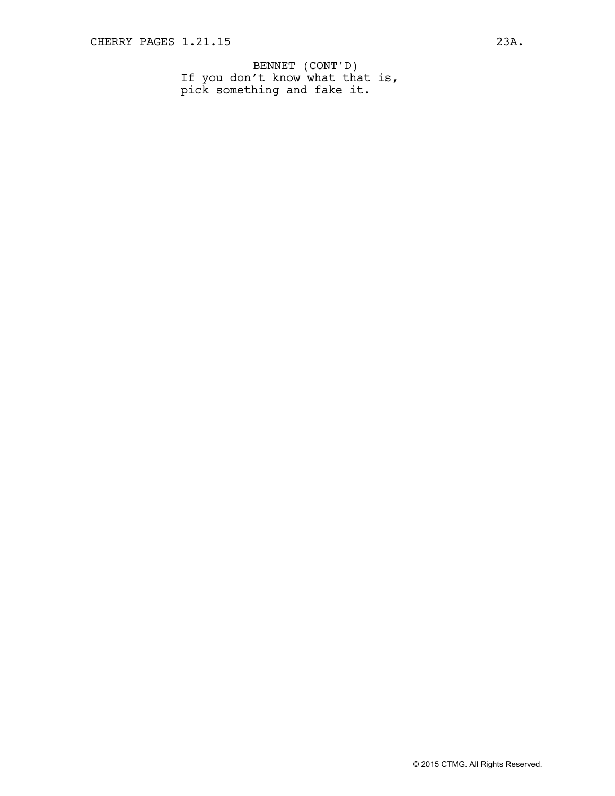If you don't know what that is, pick something and fake it. BENNET (CONT'D)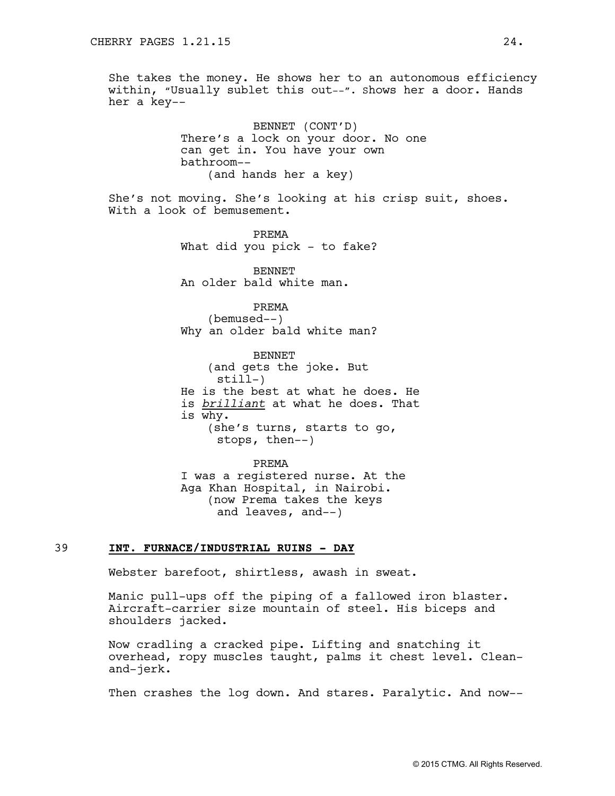She takes the money. He shows her to an autonomous efficiency within, "Usually sublet this out--". Shows her a door. Hands her a key--

> BENNET (CONT'D) There's a lock on your door. No one can get in. You have your own bathroom-- (and hands her a key)

She's not moving. She's looking at his crisp suit, shoes. With a look of bemusement.

> PREMA What did you pick - to fake?

BENNET An older bald white man.

#### PREMA

(bemused--) Why an older bald white man?

BENNET (and gets the joke. But still-) He is the best at what he does. He is *brilliant* at what he does. That is why. (she's turns, starts to go, stops, then--)

PREMA I was a registered nurse. At the Aga Khan Hospital, in Nairobi. (now Prema takes the keys and leaves, and--)

## 39 **INT. FURNACE/INDUSTRIAL RUINS - DAY**

Webster barefoot, shirtless, awash in sweat.

Manic pull-ups off the piping of a fallowed iron blaster. Aircraft-carrier size mountain of steel. His biceps and shoulders jacked.

Now cradling a cracked pipe. Lifting and snatching it overhead, ropy muscles taught, palms it chest level. Cleanand-jerk.

Then crashes the log down. And stares. Paralytic. And now--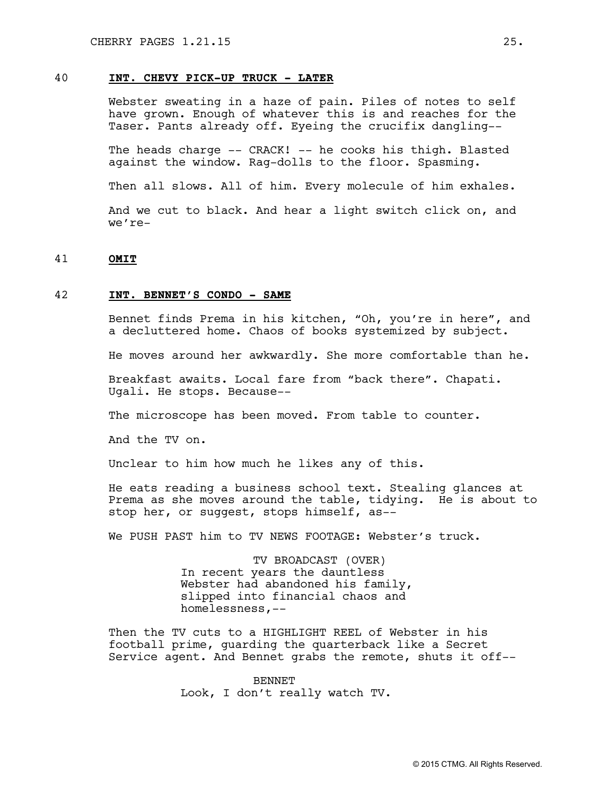## 40 **INT. CHEVY PICK-UP TRUCK - LATER**

Webster sweating in a haze of pain. Piles of notes to self have grown. Enough of whatever this is and reaches for the Taser. Pants already off. Eyeing the crucifix dangling--

The heads charge -- CRACK! -- he cooks his thigh. Blasted against the window. Rag-dolls to the floor. Spasming.

Then all slows. All of him. Every molecule of him exhales.

And we cut to black. And hear a light switch click on, and we're-

#### 41 **OMIT**

#### 42 **INT. BENNET'S CONDO - SAME**

Bennet finds Prema in his kitchen, "Oh, you're in here", and a decluttered home. Chaos of books systemized by subject.

He moves around her awkwardly. She more comfortable than he.

Breakfast awaits. Local fare from "back there". Chapati. Ugali. He stops. Because--

The microscope has been moved. From table to counter.

And the TV on.

Unclear to him how much he likes any of this.

He eats reading a business school text. Stealing glances at Prema as she moves around the table, tidying. He is about to stop her, or suggest, stops himself, as--

We PUSH PAST him to TV NEWS FOOTAGE: Webster's truck.

TV BROADCAST (OVER) In recent years the dauntless Webster had abandoned his family, slipped into financial chaos and homelessness,--

Then the TV cuts to a HIGHLIGHT REEL of Webster in his football prime, guarding the quarterback like a Secret Service agent. And Bennet grabs the remote, shuts it off--

> BENNET Look, I don't really watch TV.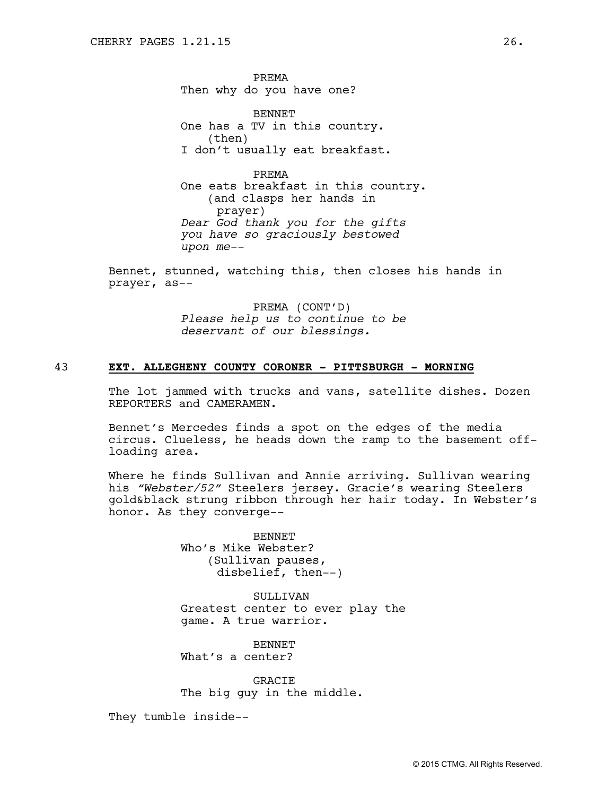PREMA Then why do you have one?

BENNET One has a TV in this country. (then) I don't usually eat breakfast.

PREMA One eats breakfast in this country. (and clasps her hands in prayer) *Dear God thank you for the gifts you have so graciously bestowed upon me--*

Bennet, stunned, watching this, then closes his hands in prayer, as--

> PREMA (CONT'D) *Please help us to continue to be deservant of our blessings.*

#### 43 **EXT. ALLEGHENY COUNTY CORONER - PITTSBURGH - MORNING**

The lot jammed with trucks and vans, satellite dishes. Dozen REPORTERS and CAMERAMEN.

Bennet's Mercedes finds a spot on the edges of the media circus. Clueless, he heads down the ramp to the basement offloading area.

Where he finds Sullivan and Annie arriving. Sullivan wearing his *"Webster/52"* Steelers jersey. Gracie's wearing Steelers gold&black strung ribbon through her hair today. In Webster's honor. As they converge--

> BENNET Who's Mike Webster? (Sullivan pauses, disbelief, then--)

SULLIVAN Greatest center to ever play the game. A true warrior.

BENNET What's a center?

GRACIE The big guy in the middle.

They tumble inside--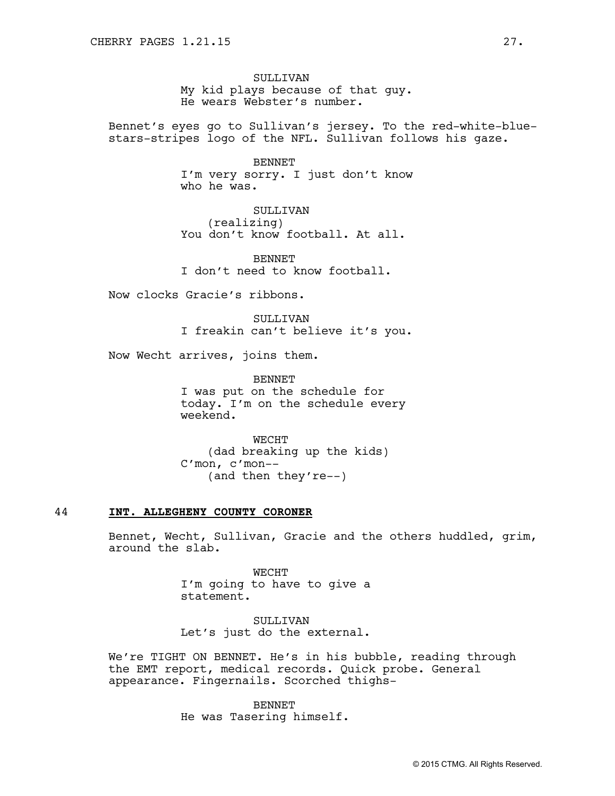SULLIVAN My kid plays because of that guy. He wears Webster's number.

Bennet's eyes go to Sullivan's jersey. To the red-white-bluestars-stripes logo of the NFL. Sullivan follows his gaze.

> BENNET I'm very sorry. I just don't know who he was.

SULLIVAN (realizing) You don't know football. At all.

**BENNET** I don't need to know football.

Now clocks Gracie's ribbons.

SULLIVAN I freakin can't believe it's you.

Now Wecht arrives, joins them.

BENNET I was put on the schedule for today. I'm on the schedule every weekend.

WECHT (dad breaking up the kids) C'mon, c'mon-- (and then they're--)

#### 44 **INT. ALLEGHENY COUNTY CORONER**

Bennet, Wecht, Sullivan, Gracie and the others huddled, grim, around the slab.

> WECHT I'm going to have to give a statement.

SULLIVAN Let's just do the external.

We're TIGHT ON BENNET. He's in his bubble, reading through the EMT report, medical records. Quick probe. General appearance. Fingernails. Scorched thighs-

> BENNET He was Tasering himself.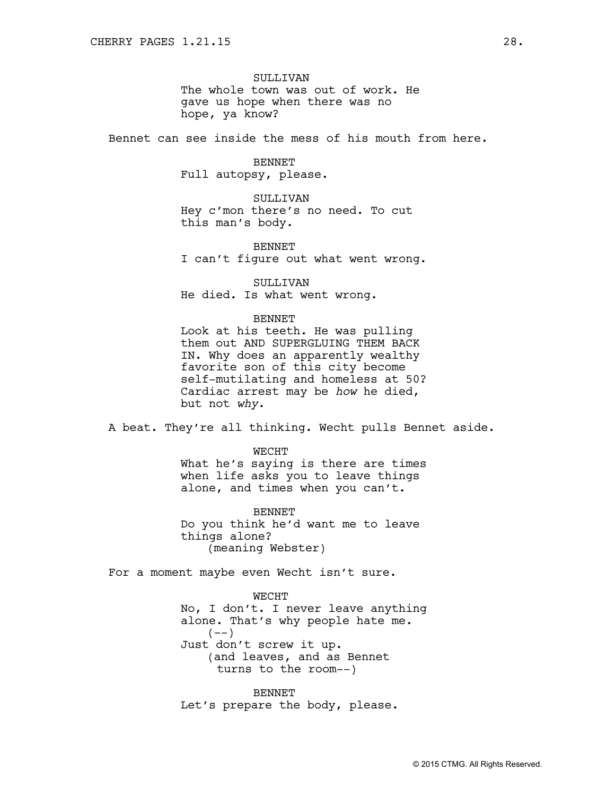SULLIVAN The whole town was out of work. He gave us hope when there was no hope, ya know?

Bennet can see inside the mess of his mouth from here.

BENNET

Full autopsy, please.

SULLIVAN Hey c'mon there's no need. To cut this man's body.

BENNET I can't figure out what went wrong.

SULLIVAN He died. Is what went wrong.

#### BENNET

Look at his teeth. He was pulling them out AND SUPERGLUING THEM BACK IN. Why does an apparently wealthy favorite son of this city become self-mutilating and homeless at 50? Cardiac arrest may be *how* he died, but not *why*.

A beat. They're all thinking. Wecht pulls Bennet aside.

**WECHT** What he's saying is there are times when life asks you to leave things alone, and times when you can't.

BENNET Do you think he'd want me to leave things alone? (meaning Webster)

For a moment maybe even Wecht isn't sure.

WECHT No, I don't. I never leave anything alone. That's why people hate me.  $(--)$ Just don't screw it up. (and leaves, and as Bennet turns to the room--)

**BENNET** Let's prepare the body, please.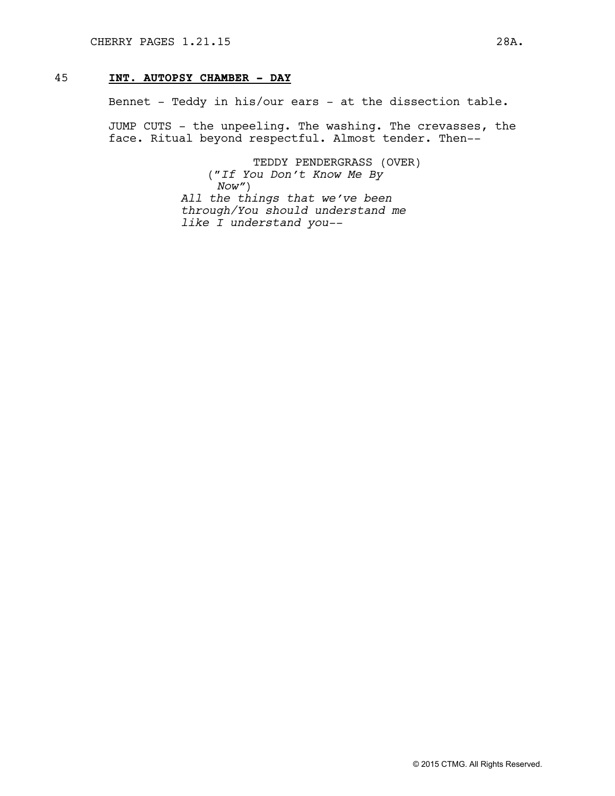## 45 **INT. AUTOPSY CHAMBER - DAY**

Bennet - Teddy in his/our ears - at the dissection table.

JUMP CUTS - the unpeeling. The washing. The crevasses, the face. Ritual beyond respectful. Almost tender. Then--

> TEDDY PENDERGRASS (OVER) ("*If You Don't Know Me By Now"*) *All the things that we've been through/You should understand me like I understand you--*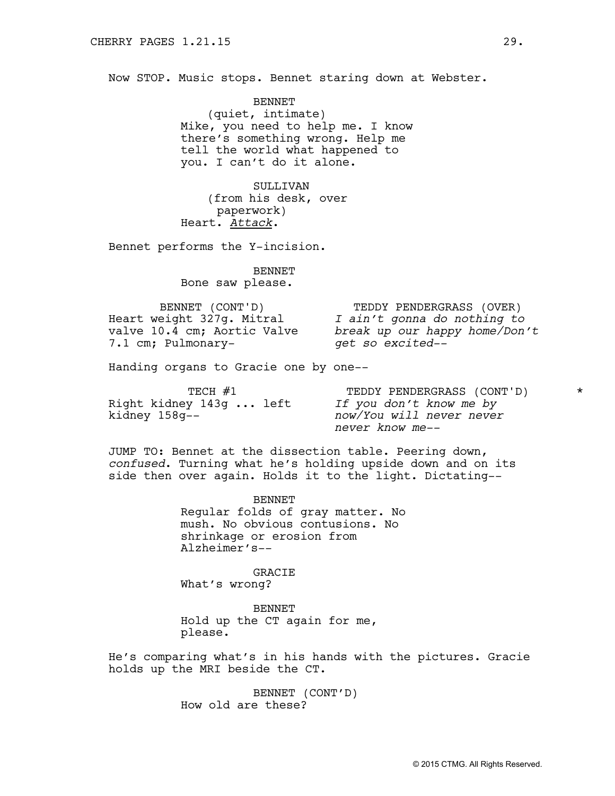Now STOP. Music stops. Bennet staring down at Webster.

BENNET (quiet, intimate) Mike, you need to help me. I know there's something wrong. Help me tell the world what happened to you. I can't do it alone.

SULLIVAN (from his desk, over paperwork) Heart. *Attack*.

Bennet performs the Y-incision.

BENNET Bone saw please.

BENNET (CONT'D) Heart weight 327g. Mitral valve 10.4 cm; Aortic Valve 7.1 cm; Pulmonary-

TEDDY PENDERGRASS (OVER) *I ain't gonna do nothing to break up our happy home/Don't get so excited--*

Handing organs to Gracie one by one--

Right kidney 143g ... left *If you don't know me by*  kidney 158g--

TECH #1 \* TEDDY PENDERGRASS (CONT'D) *now/You will never never never know me--*

JUMP TO: Bennet at the dissection table. Peering down, *confused*. Turning what he's holding upside down and on its side then over again. Holds it to the light. Dictating--

> BENNET Regular folds of gray matter. No mush. No obvious contusions. No shrinkage or erosion from Alzheimer's--

GRACIE What's wrong?

BENNET Hold up the CT again for me, please.

He's comparing what's in his hands with the pictures. Gracie holds up the MRI beside the CT.

> BENNET (CONT'D) How old are these?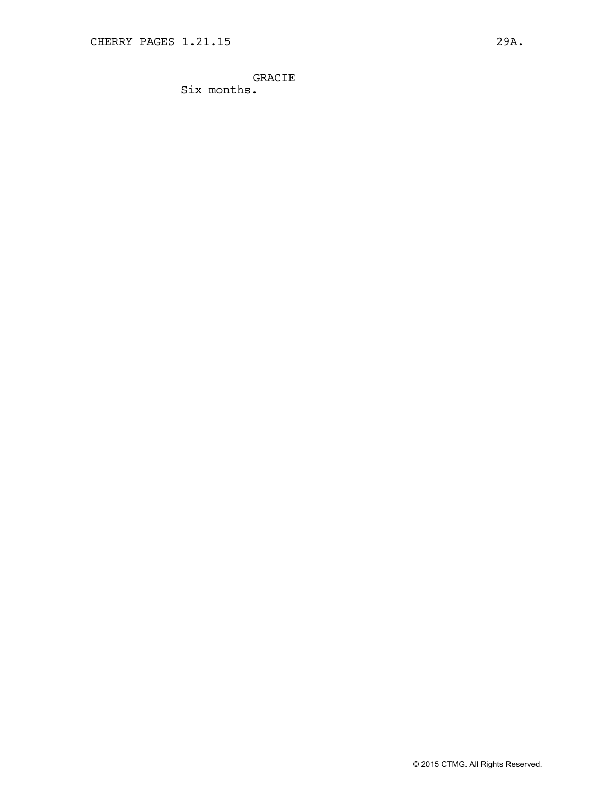GRACIE

Six months.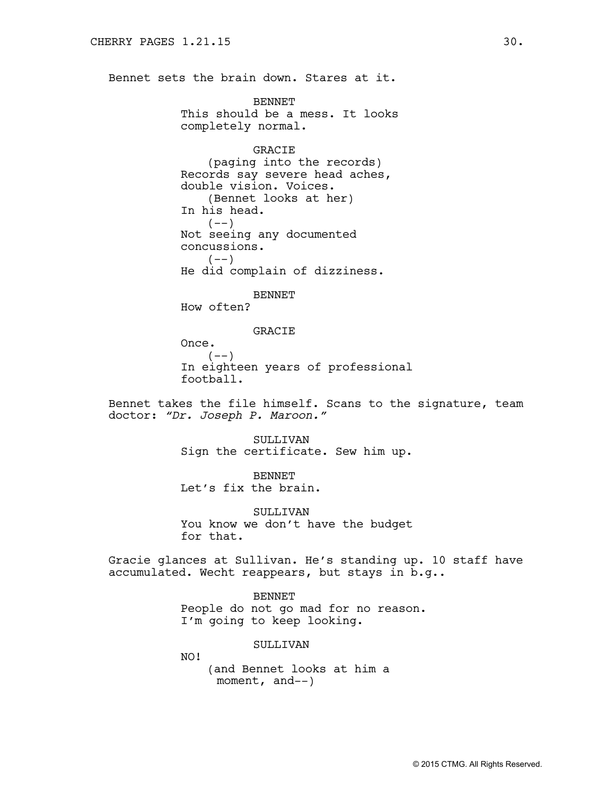Bennet sets the brain down. Stares at it.

BENNET This should be a mess. It looks completely normal.

GRACIE (paging into the records) Records say severe head aches, double vision. Voices. (Bennet looks at her) In his head.  $(--)$ Not seeing any documented concussions.  $(--)$ He did complain of dizziness.

BENNET

How often?

GRACIE

Once.  $(--)$ In eighteen years of professional football.

Bennet takes the file himself. Scans to the signature, team doctor: *"Dr. Joseph P. Maroon."*

> SULLIVAN Sign the certificate. Sew him up.

**BENNET** Let's fix the brain.

SULLIVAN You know we don't have the budget for that.

Gracie glances at Sullivan. He's standing up. 10 staff have accumulated. Wecht reappears, but stays in b.g..

> BENNET People do not go mad for no reason. I'm going to keep looking.

> > SULLIVAN

NO!

(and Bennet looks at him a moment, and--)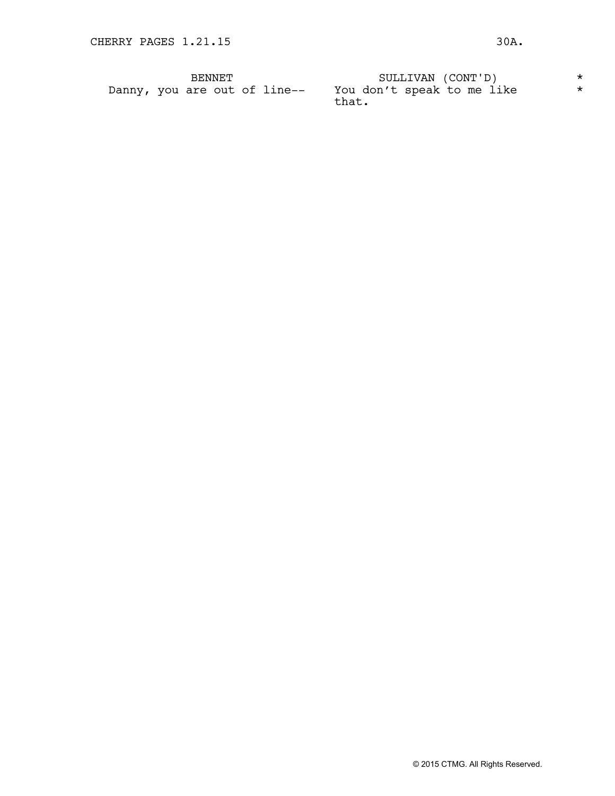| <b>BENNET</b>                | SULLIVAN (CONT'D)                   |  |
|------------------------------|-------------------------------------|--|
| Danny, you are out of line-- | You don't speak to me like<br>that. |  |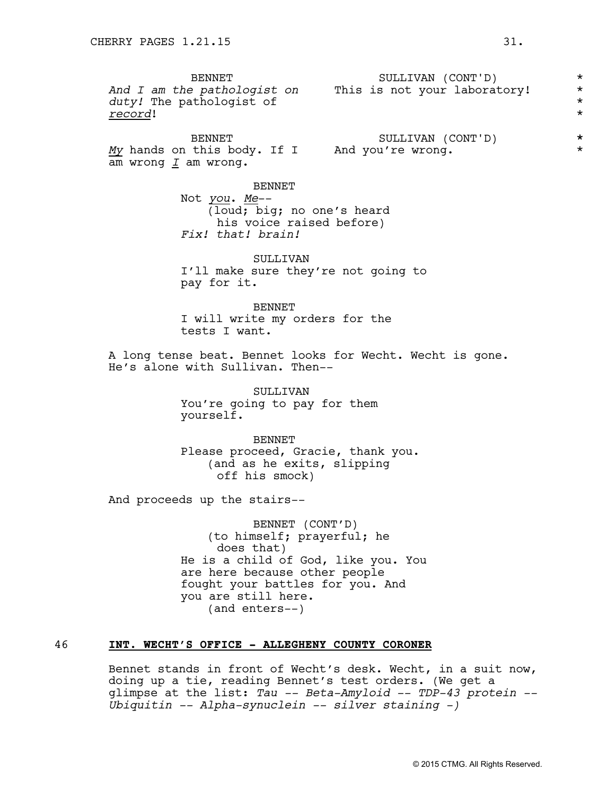BENNET And I am the pathologist on This is not your laboratory!  $*$ *duty!* The pathologist of \* *record*! \* SULLIVAN (CONT'D) \*

*My* hands on this body. If I am wrong *I* am wrong.

BENNET<br>
this body. If I and you're wrong.  $\star$ 

### BENNET

Not *you*. *Me*-- (loud; big; no one's heard his voice raised before) *Fix! that! brain!*

SULLIVAN I'll make sure they're not going to pay for it.

BENNET I will write my orders for the tests I want.

A long tense beat. Bennet looks for Wecht. Wecht is gone. He's alone with Sullivan. Then--

> SULLIVAN You're going to pay for them yourself.

BENNET Please proceed, Gracie, thank you. (and as he exits, slipping off his smock)

And proceeds up the stairs--

BENNET (CONT'D) (to himself; prayerful; he does that) He is a child of God, like you. You are here because other people fought your battles for you. And you are still here. (and enters--)

### 46 **INT. WECHT'S OFFICE - ALLEGHENY COUNTY CORONER**

Bennet stands in front of Wecht's desk. Wecht, in a suit now, doing up a tie, reading Bennet's test orders. (We get a glimpse at the list: *Tau -- Beta-Amyloid -- TDP-43 protein -- Ubiquitin -- Alpha-synuclein -- silver staining -)*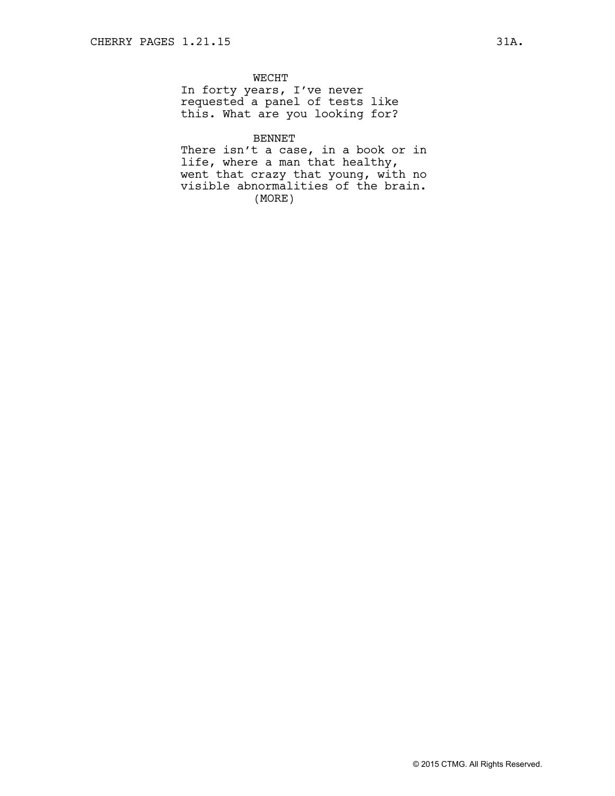WECHT

In forty years, I've never requested a panel of tests like this. What are you looking for?

BENNET

There isn't a case, in a book or in life, where a man that healthy, went that crazy that young, with no visible abnormalities of the brain. (MORE)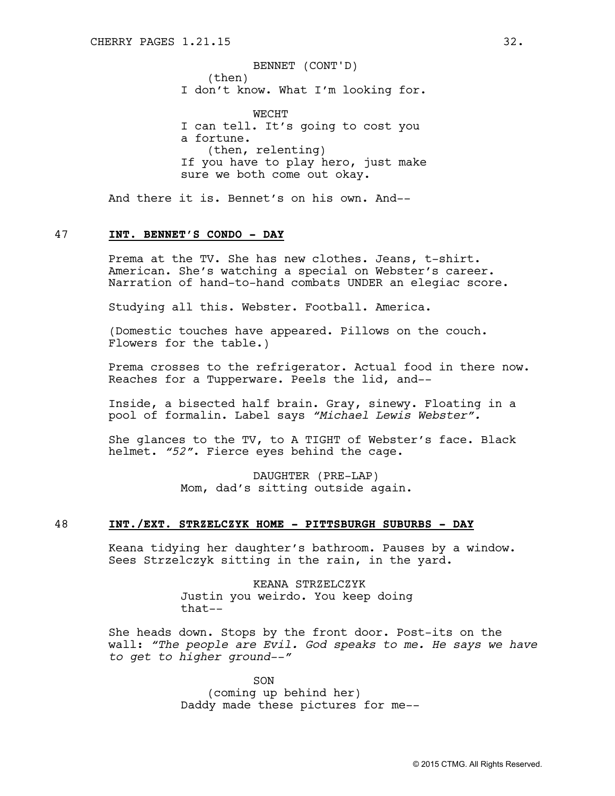(then) I don't know. What I'm looking for. BENNET (CONT'D)

WECHT I can tell. It's going to cost you a fortune. (then, relenting) If you have to play hero, just make sure we both come out okay.

And there it is. Bennet's on his own. And--

### 47 **INT. BENNET'S CONDO - DAY**

Prema at the TV. She has new clothes. Jeans, t-shirt. American. She's watching a special on Webster's career. Narration of hand-to-hand combats UNDER an elegiac score.

Studying all this. Webster. Football. America.

(Domestic touches have appeared. Pillows on the couch. Flowers for the table.)

Prema crosses to the refrigerator. Actual food in there now. Reaches for a Tupperware. Peels the lid, and--

Inside, a bisected half brain. Gray, sinewy. Floating in a pool of formalin. Label says *"Michael Lewis Webster".* 

She glances to the TV, to A TIGHT of Webster's face. Black helmet. *"52"*. Fierce eyes behind the cage.

> DAUGHTER (PRE-LAP) Mom, dad's sitting outside again.

### 48 **INT./EXT. STRZELCZYK HOME - PITTSBURGH SUBURBS - DAY**

Keana tidying her daughter's bathroom. Pauses by a window. Sees Strzelczyk sitting in the rain, in the yard.

> KEANA STRZELCZYK Justin you weirdo. You keep doing that--

She heads down. Stops by the front door. Post-its on the wall: *"The people are Evil. God speaks to me. He says we have to get to higher ground--"*

> SON (coming up behind her) Daddy made these pictures for me--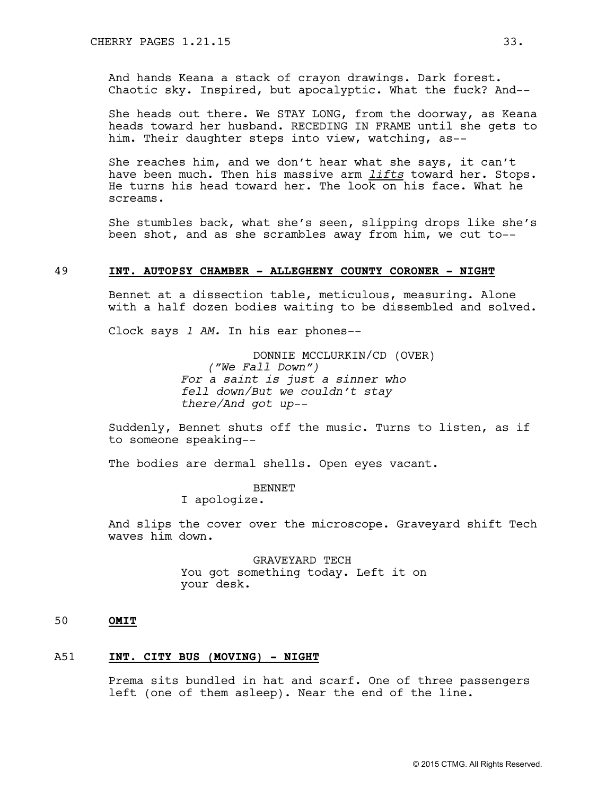And hands Keana a stack of crayon drawings. Dark forest. Chaotic sky. Inspired, but apocalyptic. What the fuck? And--

She heads out there. We STAY LONG, from the doorway, as Keana heads toward her husband. RECEDING IN FRAME until she gets to him. Their daughter steps into view, watching, as--

She reaches him, and we don't hear what she says, it can't have been much. Then his massive arm *lifts* toward her. Stops. He turns his head toward her. The look on his face. What he screams.

She stumbles back, what she's seen, slipping drops like she's been shot, and as she scrambles away from him, we cut to--

### 49 **INT. AUTOPSY CHAMBER - ALLEGHENY COUNTY CORONER - NIGHT**

Bennet at a dissection table, meticulous, measuring. Alone with a half dozen bodies waiting to be dissembled and solved.

Clock says *1 AM.* In his ear phones--

DONNIE MCCLURKIN/CD (OVER) *("We Fall Down") For a saint is just a sinner who fell down/But we couldn't stay there/And got up--*

Suddenly, Bennet shuts off the music. Turns to listen, as if to someone speaking--

The bodies are dermal shells. Open eyes vacant.

BENNET

I apologize.

And slips the cover over the microscope. Graveyard shift Tech waves him down.

> GRAVEYARD TECH You got something today. Left it on your desk.

# 50 **OMIT**

### A51 **INT. CITY BUS (MOVING) - NIGHT**

Prema sits bundled in hat and scarf. One of three passengers left (one of them asleep). Near the end of the line.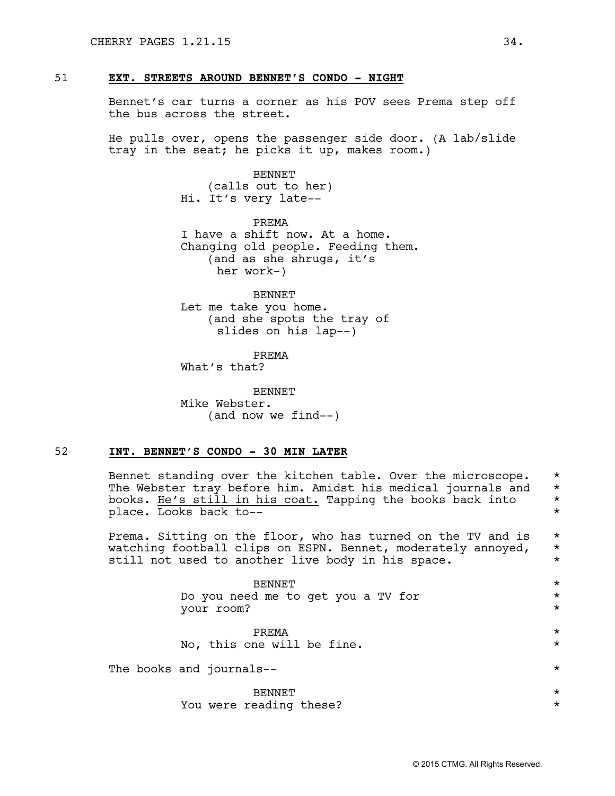# 51 **EXT. STREETS AROUND BENNET'S CONDO - NIGHT**

Bennet's car turns a corner as his POV sees Prema step off the bus across the street.

He pulls over, opens the passenger side door. (A lab/slide tray in the seat; he picks it up, makes room.)

#### BENNET

(calls out to her) Hi. It's very late--

PREMA I have a shift now. At a home. Changing old people. Feeding them. (and as she shrugs, it's her work-)

BENNET Let me take you home. (and she spots the tray of slides on his lap--)

#### PREMA

What's that?

BENNET Mike Webster. (and now we find--)

### 52 **INT. BENNET'S CONDO - 30 MIN LATER**

Bennet standing over the kitchen table. Over the microscope. \* The Webster tray before him. Amidst his medical journals and \* books. He's still in his coat. Tapping the books back into \* place. Looks back to--  $\star$ 

Prema. Sitting on the floor, who has turned on the TV and is  $*$  watching football clips on ESPN. Bennet, moderately annoved.  $*$ watching football clips on ESPN. Bennet, moderately annoyed, still not used to another live body in his space.  $*$ 

| <b>BENNET</b>                      | $\star$  |
|------------------------------------|----------|
| Do you need me to get you a TV for | $\star$  |
| your room?                         | $\star$  |
|                                    |          |
| PREMA                              | $^\star$ |
| No, this one will be fine.         | $\star$  |
|                                    |          |
| The books and journals--           | $^\star$ |
|                                    |          |
| <b>BENNET</b>                      | $^\star$ |

# You were reading these?  $*$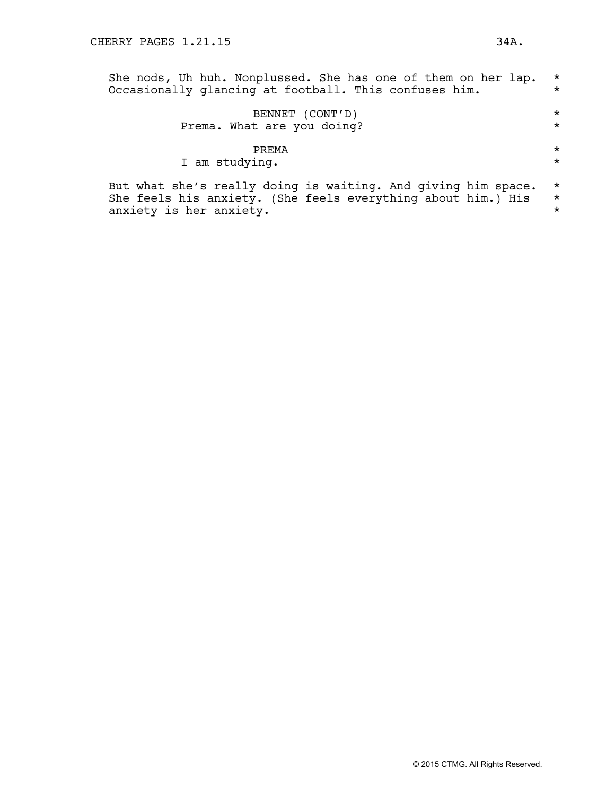She nods, Uh huh. Nonplussed. She has one of them on her lap.  $\star$  0 ccasionally glancing at football. This confuses him.  $\star$ Occasionally glancing at football. This confuses him.

# BENNET (CONT'D) \*<br>  $\uparrow$  are vou doing? \* \* \* Prema. What are you doing?

# $$\star$$

# I am studying.  $\star$

But what she's really doing is waiting. And giving him space.  $\star$  She feels his anxiety. (She feels everything about him.) His She feels his anxiety. (She feels everything about him.) His  $*$  anxiety is her anxiety. anxiety is her anxiety.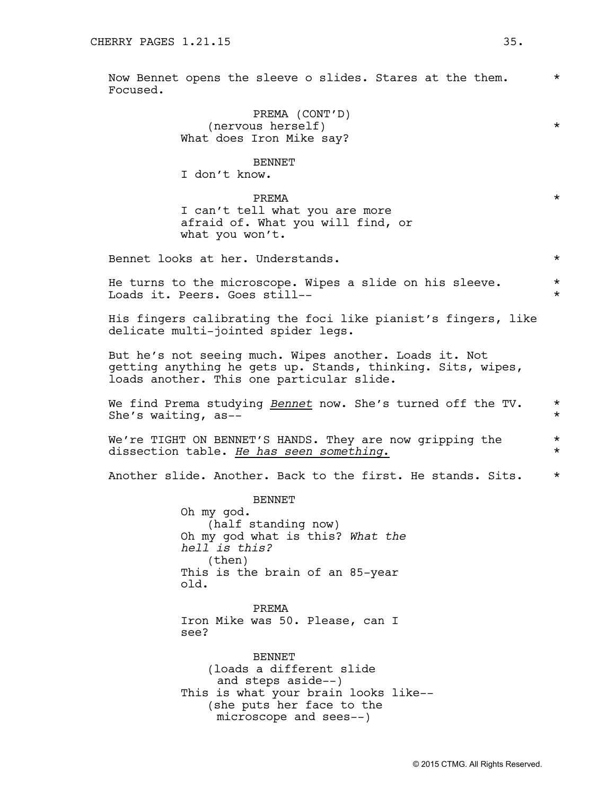Now Bennet opens the sleeve o slides. Stares at the them.  $*$ Focused. PREMA (CONT'D) (nervous herself)  $\star$ What does Iron Mike say? BENNET I don't know. PREMA  $\star$ I can't tell what you are more afraid of. What you will find, or what you won't. Bennet looks at her. Understands. \* He turns to the microscope. Wipes a slide on his sleeve.  $*$ Loads it. Peers. Goes still-- \* His fingers calibrating the foci like pianist's fingers, like delicate multi-jointed spider legs. But he's not seeing much. Wipes another. Loads it. Not getting anything he gets up. Stands, thinking. Sits, wipes, loads another. This one particular slide. We find Prema studying *Bennet* now. She's turned off the TV. \* She's waiting, as--We're TIGHT ON BENNET'S HANDS. They are now gripping the  $*$ dissection table. *He has seen something*. \* Another slide. Another. Back to the first. He stands. Sits. \*  $CHERRY$  PAGES  $1.21.15$  35.

> **BENNET** Oh my god. (half standing now) Oh my god what is this? *What the hell is this?* (then) This is the brain of an 85-year old.

PREMA Iron Mike was 50. Please, can I see?

BENNET (loads a different slide and steps aside--) This is what your brain looks like-- (she puts her face to the microscope and sees--)

© 2015 CTMG. All Rights Reserved.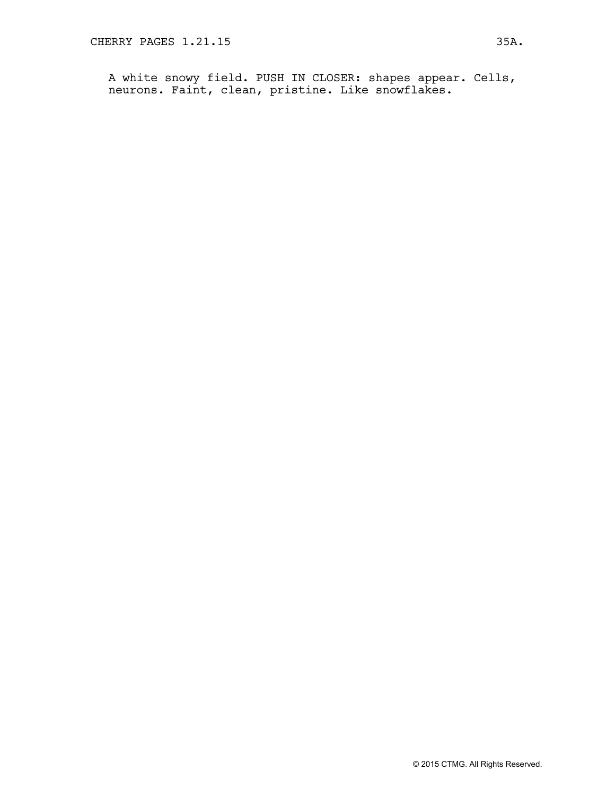A white snowy field. PUSH IN CLOSER: shapes appear. Cells, neurons. Faint, clean, pristine. Like snowflakes.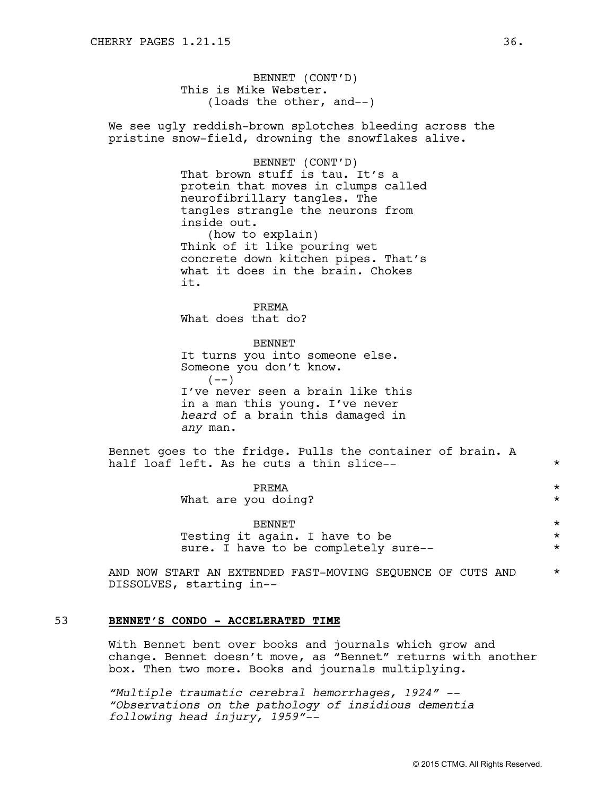BENNET (CONT'D) This is Mike Webster. (loads the other, and--)

We see ugly reddish-brown splotches bleeding across the pristine snow-field, drowning the snowflakes alive.

#### BENNET (CONT'D)

That brown stuff is tau. It's a protein that moves in clumps called neurofibrillary tangles. The tangles strangle the neurons from inside out. (how to explain) Think of it like pouring wet concrete down kitchen pipes. That's

what it does in the brain. Chokes  $i +$ 

PREMA What does that do?

**BENNET** It turns you into someone else. Someone you don't know.  $(--)$ I've never seen a brain like this in a man this young. I've never *heard* of a brain this damaged in *any* man.

Bennet goes to the fridge. Pulls the container of brain. A half loaf left. As he cuts a thin slice--  $*$ 

> PREMA  $\star$ What are you doing?  $\star$

> BENNET  $\star$ Testing it again. I have to be  $*$ sure. I have to be completely sure--  $*$

AND NOW START AN EXTENDED FAST-MOVING SEQUENCE OF CUTS AND  $*$ DISSOLVES, starting in--

# 53 **BENNET'S CONDO - ACCELERATED TIME**

With Bennet bent over books and journals which grow and change. Bennet doesn't move, as "Bennet" returns with another box. Then two more. Books and journals multiplying.

*"Multiple traumatic cerebral hemorrhages, 1924" -- "Observations on the pathology of insidious dementia following head injury, 1959"--*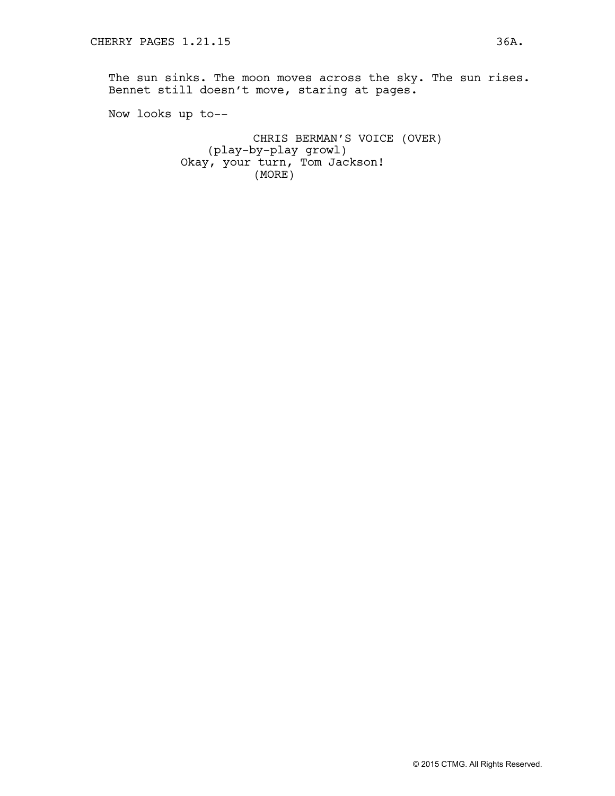The sun sinks. The moon moves across the sky. The sun rises. Bennet still doesn't move, staring at pages.

Now looks up to--

CHRIS BERMAN'S VOICE (OVER) (play-by-play growl) Okay, your turn, Tom Jackson! (MORE)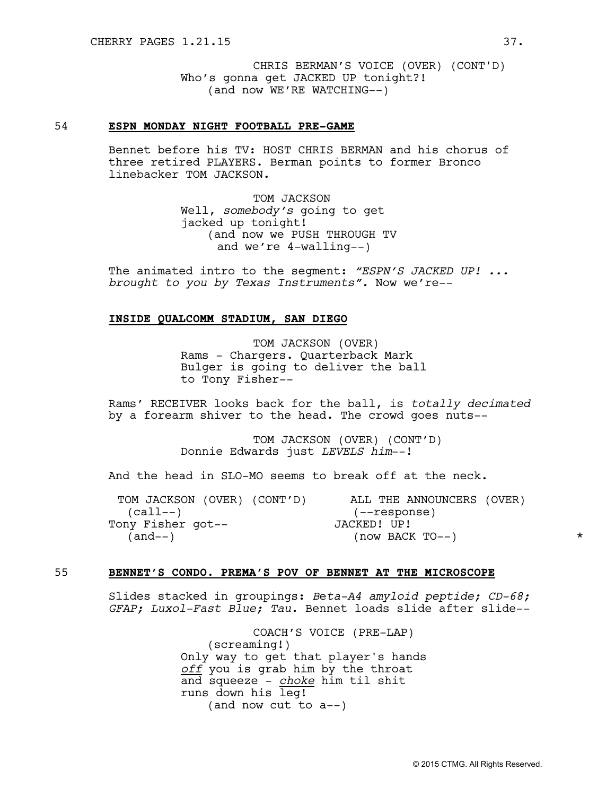Who's gonna get JACKED UP tonight?! (and now WE'RE WATCHING--) CHRIS BERMAN'S VOICE (OVER) (CONT'D)

### 54 **ESPN MONDAY NIGHT FOOTBALL PRE-GAME**

Bennet before his TV: HOST CHRIS BERMAN and his chorus of three retired PLAYERS. Berman points to former Bronco linebacker TOM JACKSON.

> TOM JACKSON Well, *somebody's* going to get jacked up tonight! (and now we PUSH THROUGH TV and we're 4-walling--)

The animated intro to the segment: *"ESPN'S JACKED UP! ... brought to you by Texas Instruments".* Now we're--

#### **INSIDE QUALCOMM STADIUM, SAN DIEGO**

TOM JACKSON (OVER) Rams - Chargers. Quarterback Mark Bulger is going to deliver the ball to Tony Fisher--

Rams' RECEIVER looks back for the ball, is *totally decimated* by a forearm shiver to the head. The crowd goes nuts--

> TOM JACKSON (OVER) (CONT'D) Donnie Edwards just *LEVELS him*--!

And the head in SLO-MO seems to break off at the neck.

TOM JACKSON (OVER) (CONT'D)  $(call--)$ Tony Fisher got-- (and--)

ALL THE ANNOUNCERS (OVER) (--response) JACKED! UP!  $(now \text{ BACK } TO--)$  \*

### 55 **BENNET'S CONDO. PREMA'S POV OF BENNET AT THE MICROSCOPE**

Slides stacked in groupings: *B*e*ta-A4 amyloid peptide; CD-68; GFAP; Luxol-Fast Blue; Tau*. Bennet loads slide after slide--

> COACH'S VOICE (PRE-LAP) (screaming!) Only way to get that player's hands *off* you is grab him by the throat and squeeze - *choke* him til shit runs down his leg! (and now cut to a--)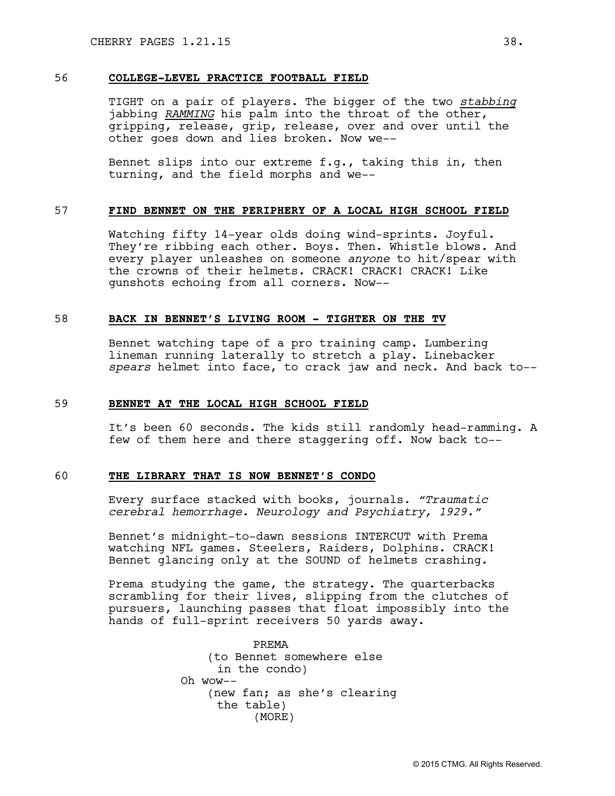# 56 **COLLEGE-LEVEL PRACTICE FOOTBALL FIELD**

TIGHT on a pair of players. The bigger of the two *stabbing* jabbing *RAMMING* his palm into the throat of the other, gripping, release, grip, release, over and over until the other goes down and lies broken. Now we--

Bennet slips into our extreme f.g., taking this in, then turning, and the field morphs and we--

# 57 **FIND BENNET ON THE PERIPHERY OF A LOCAL HIGH SCHOOL FIELD**

Watching fifty 14-year olds doing wind-sprints. Joyful. They're ribbing each other. Boys. Then. Whistle blows. And every player unleashes on someone *anyone* to hit/spear with the crowns of their helmets. CRACK! CRACK! CRACK! Like gunshots echoing from all corners. Now--

### 58 **BACK IN BENNET'S LIVING ROOM - TIGHTER ON THE TV**

Bennet watching tape of a pro training camp. Lumbering lineman running laterally to stretch a play. Linebacker *spears* helmet into face, to crack jaw and neck. And back to--

### 59 **BENNET AT THE LOCAL HIGH SCHOOL FIELD**

It's been 60 seconds. The kids still randomly head-ramming. A few of them here and there staggering off. Now back to--

# 60 **THE LIBRARY THAT IS NOW BENNET'S CONDO**

Every surface stacked with books, journals. *"Traumatic cerebral hemorrhage. Neurology and Psychiatry, 1929."*

Bennet's midnight-to-dawn sessions INTERCUT with Prema watching NFL games. Steelers, Raiders, Dolphins. CRACK! Bennet glancing only at the SOUND of helmets crashing.

Prema studying the game, the strategy. The quarterbacks scrambling for their lives, slipping from the clutches of pursuers, launching passes that float impossibly into the hands of full-sprint receivers 50 yards away.

> PREMA (to Bennet somewhere else in the condo) Oh wow-- (new fan; as she's clearing the table) (MORE)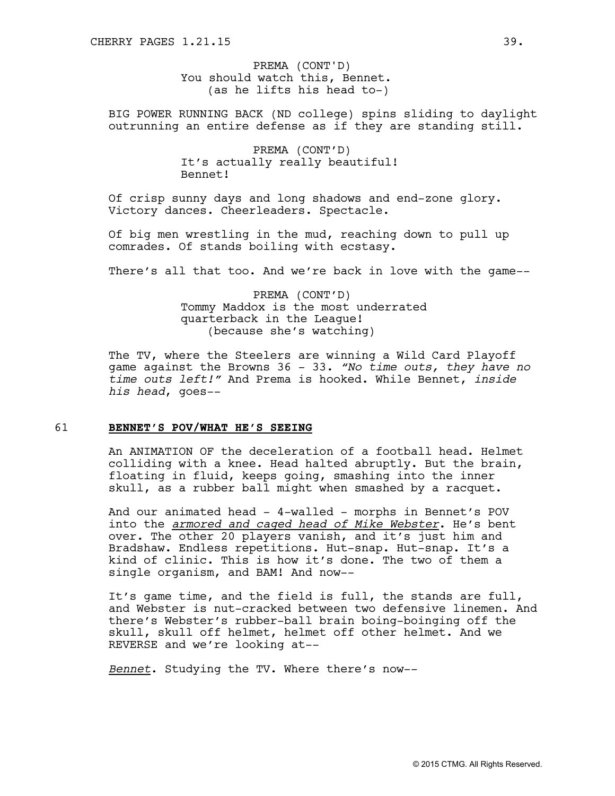You should watch this, Bennet. (as he lifts his head to-) PREMA (CONT'D)

BIG POWER RUNNING BACK (ND college) spins sliding to daylight outrunning an entire defense as if they are standing still.

> PREMA (CONT'D) It's actually really beautiful! Bennet!

Of crisp sunny days and long shadows and end-zone glory. Victory dances. Cheerleaders. Spectacle.

Of big men wrestling in the mud, reaching down to pull up comrades. Of stands boiling with ecstasy.

There's all that too. And we're back in love with the game--

PREMA (CONT'D) Tommy Maddox is the most underrated quarterback in the League! (because she's watching)

The TV, where the Steelers are winning a Wild Card Playoff game against the Browns 36 - 33. *"No time outs, they have no time outs left!"* And Prema is hooked. While Bennet, *inside his head*, goes--

### 61 **BENNET'S POV/WHAT HE'S SEEING**

An ANIMATION OF the deceleration of a football head. Helmet colliding with a knee. Head halted abruptly. But the brain, floating in fluid, keeps going, smashing into the inner skull, as a rubber ball might when smashed by a racquet.

And our animated head - 4-walled - morphs in Bennet's POV into the *armored and caged head of Mike Webster*. He's bent over. The other 20 players vanish, and it's just him and Bradshaw. Endless repetitions. Hut-snap. Hut-snap. It's a kind of clinic. This is how it's done. The two of them a single organism, and BAM! And now--

It's game time, and the field is full, the stands are full, and Webster is nut-cracked between two defensive linemen. And there's Webster's rubber-ball brain boing-boinging off the skull, skull off helmet, helmet off other helmet. And we REVERSE and we're looking at--

*Bennet*. Studying the TV. Where there's now--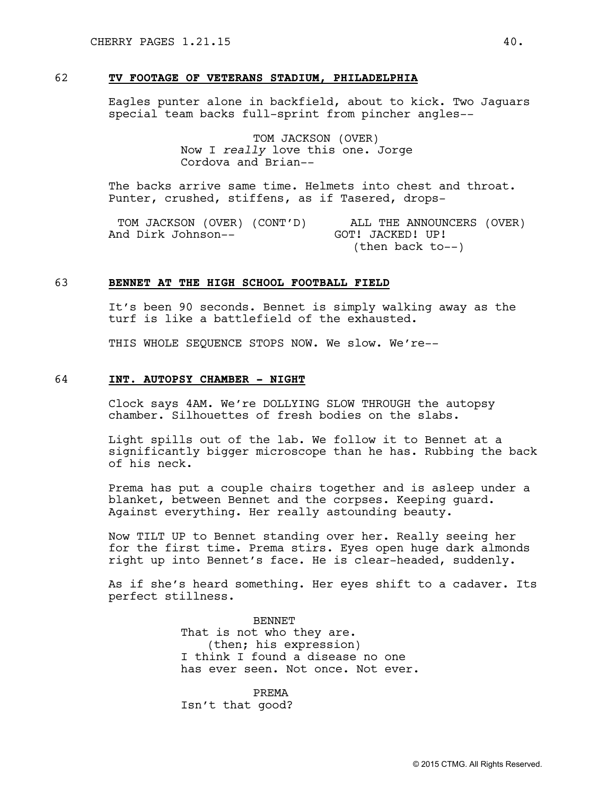# 62 **TV FOOTAGE OF VETERANS STADIUM, PHILADELPHIA**

Eagles punter alone in backfield, about to kick. Two Jaguars special team backs full-sprint from pincher angles--

> TOM JACKSON (OVER) Now I *really* love this one. Jorge Cordova and Brian--

The backs arrive same time. Helmets into chest and throat. Punter, crushed, stiffens, as if Tasered, drops-

TOM JACKSON (OVER) (CONT'D) And Dirk Johnson-- ALL THE ANNOUNCERS (OVER) GOT! JACKED! UP! (then back to--)

# 63 **BENNET AT THE HIGH SCHOOL FOOTBALL FIELD**

It's been 90 seconds. Bennet is simply walking away as the turf is like a battlefield of the exhausted.

THIS WHOLE SEQUENCE STOPS NOW. We slow. We're--

#### 64 **INT. AUTOPSY CHAMBER - NIGHT**

Clock says 4AM. We're DOLLYING SLOW THROUGH the autopsy chamber. Silhouettes of fresh bodies on the slabs.

Light spills out of the lab. We follow it to Bennet at a significantly bigger microscope than he has. Rubbing the back of his neck.

Prema has put a couple chairs together and is asleep under a blanket, between Bennet and the corpses. Keeping guard. Against everything. Her really astounding beauty.

Now TILT UP to Bennet standing over her. Really seeing her for the first time. Prema stirs. Eyes open huge dark almonds right up into Bennet's face. He is clear-headed, suddenly.

As if she's heard something. Her eyes shift to a cadaver. Its perfect stillness.

> BENNET That is not who they are. (then; his expression) I think I found a disease no one has ever seen. Not once. Not ever.

PREMA Isn't that good?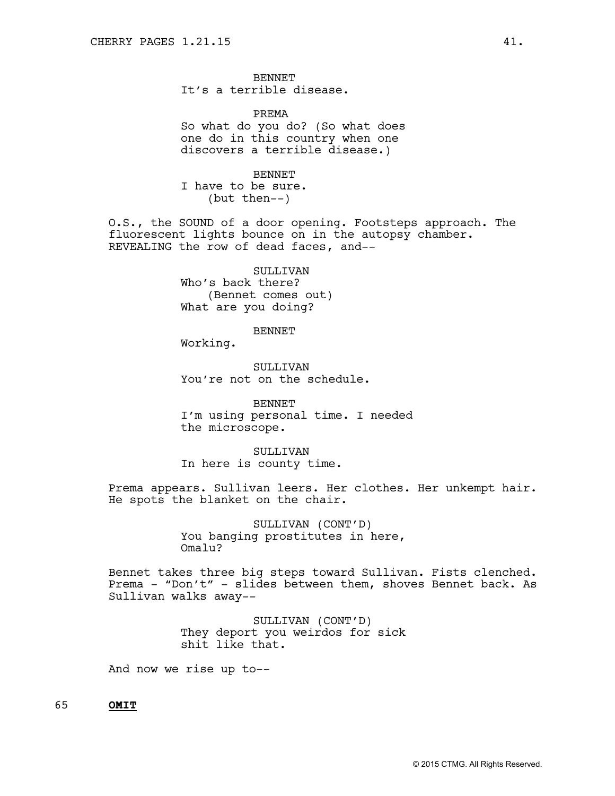**BENNET** It's a terrible disease.

PREMA So what do you do? (So what does one do in this country when one discovers a terrible disease.)

**BENNET** 

I have to be sure. (but then--)

O.S., the SOUND of a door opening. Footsteps approach. The fluorescent lights bounce on in the autopsy chamber. REVEALING the row of dead faces, and--

> SULLIVAN Who's back there? (Bennet comes out) What are you doing?

> > BENNET

Working.

SULLIVAN You're not on the schedule.

BENNET I'm using personal time. I needed the microscope.

SULLIVAN In here is county time.

Prema appears. Sullivan leers. Her clothes. Her unkempt hair. He spots the blanket on the chair.

> SULLIVAN (CONT'D) You banging prostitutes in here, Omalu?

Bennet takes three big steps toward Sullivan. Fists clenched. Prema - "Don't" - slides between them, shoves Bennet back. As Sullivan walks away--

> SULLIVAN (CONT'D) They deport you weirdos for sick shit like that.

And now we rise up to--

# 65 **OMIT**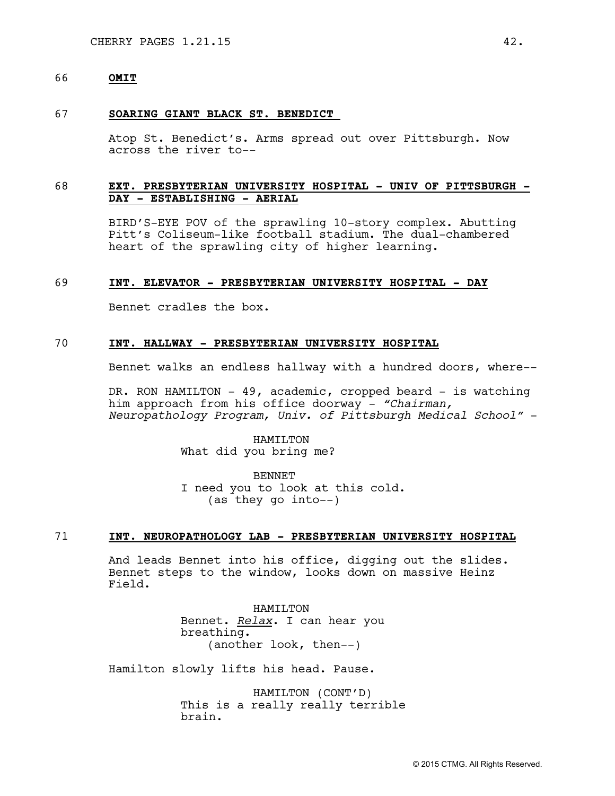# 66 **OMIT**

#### 67 **SOARING GIANT BLACK ST. BENEDICT**

Atop St. Benedict's. Arms spread out over Pittsburgh. Now across the river to--

# 68 **EXT. PRESBYTERIAN UNIVERSITY HOSPITAL - UNIV OF PITTSBURGH - DAY - ESTABLISHING - AERIAL**

BIRD'S-EYE POV of the sprawling 10-story complex. Abutting Pitt's Coliseum-like football stadium. The dual-chambered heart of the sprawling city of higher learning.

### 69 **INT. ELEVATOR - PRESBYTERIAN UNIVERSITY HOSPITAL - DAY**

Bennet cradles the box.

# 70 **INT. HALLWAY - PRESBYTERIAN UNIVERSITY HOSPITAL**

Bennet walks an endless hallway with a hundred doors, where--

DR. RON HAMILTON - 49, academic, cropped beard - is watching him approach from his office doorway - *"Chairman, Neuropathology Program, Univ. of Pittsburgh Medical School"* -

> HAMILTON What did you bring me?

> > **BENNET**

I need you to look at this cold. (as they go into--)

# 71 **INT. NEUROPATHOLOGY LAB - PRESBYTERIAN UNIVERSITY HOSPITAL**

And leads Bennet into his office, digging out the slides. Bennet steps to the window, looks down on massive Heinz Field.

> HAMILTON Bennet. *Relax*. I can hear you breathing. (another look, then--)

Hamilton slowly lifts his head. Pause.

HAMILTON (CONT'D) This is a really really terrible brain.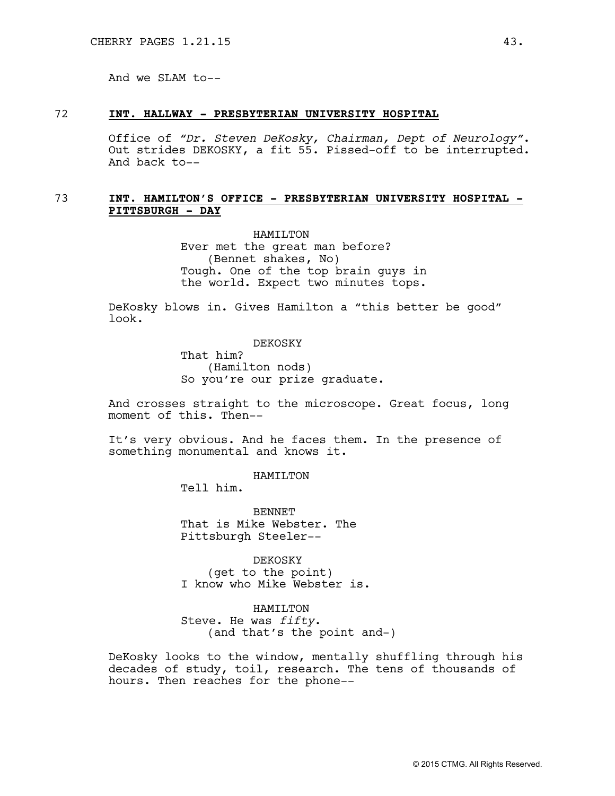And we SLAM to--

### 72 **INT. HALLWAY - PRESBYTERIAN UNIVERSITY HOSPITAL**

Office of *"Dr. Steven DeKosky, Chairman, Dept of Neurology"*. Out strides DEKOSKY, a fit 55. Pissed-off to be interrupted. And back to--

# 73 **INT. HAMILTON'S OFFICE - PRESBYTERIAN UNIVERSITY HOSPITAL - PITTSBURGH - DAY**

HAMILTON Ever met the great man before? (Bennet shakes, No) Tough. One of the top brain guys in the world. Expect two minutes tops.

DeKosky blows in. Gives Hamilton a "this better be good" look.

DEKOSKY

That him? (Hamilton nods) So you're our prize graduate.

And crosses straight to the microscope. Great focus, long moment of this. Then--

It's very obvious. And he faces them. In the presence of something monumental and knows it.

HAMILTON

Tell him.

BENNET That is Mike Webster. The Pittsburgh Steeler--

DEKOSKY (get to the point) I know who Mike Webster is.

HAMTT<sub>J</sub>TON Steve. He was *fifty*. (and that's the point and-)

DeKosky looks to the window, mentally shuffling through his decades of study, toil, research. The tens of thousands of hours. Then reaches for the phone--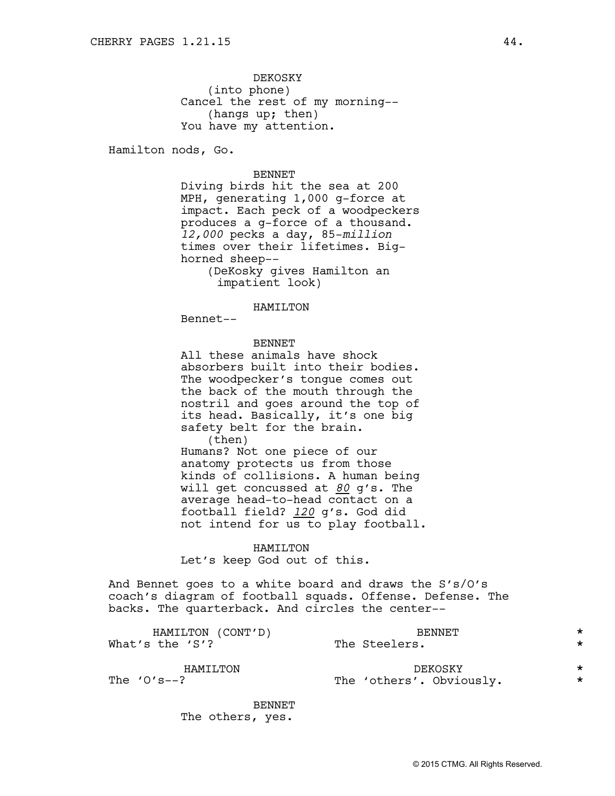DEKOSKY (into phone) Cancel the rest of my morning-- (hangs up; then) You have my attention.

Hamilton nods, Go.

#### BENNET

Diving birds hit the sea at 200 MPH, generating 1,000 g-force at impact. Each peck of a woodpeckers produces a g-force of a thousand. *12,000* pecks a day, 85-*million* times over their lifetimes. Bighorned sheep-- (DeKosky gives Hamilton an

impatient look)

#### HAMILTON

Bennet--

# **BENNET**

All these animals have shock absorbers built into their bodies. The woodpecker's tongue comes out the back of the mouth through the nostril and goes around the top of its head. Basically, it's one big safety belt for the brain. (then) Humans? Not one piece of our anatomy protects us from those kinds of collisions. A human being will get concussed at *80* g's. The average head-to-head contact on a football field? *120* g's. God did not intend for us to play football.

## HAMILTON Let's keep God out of this.

And Bennet goes to a white board and draws the S's/O's coach's diagram of football squads. Offense. Defense. The backs. The quarterback. And circles the center--

| HAMILTON (CONT'D) | <b>BENNET</b>  |  |
|-------------------|----------------|--|
| What's the 'S'?   | The Steelers.  |  |
| $TTRMTT$ $MATT$   | <b>DEZOOVI</b> |  |

HAMILTON \* The 'O's--?  $\qquad \qquad$  The 'others'. Obviously.  $\qquad \qquad$  \* DEKOSKY

> BENNET The others, yes.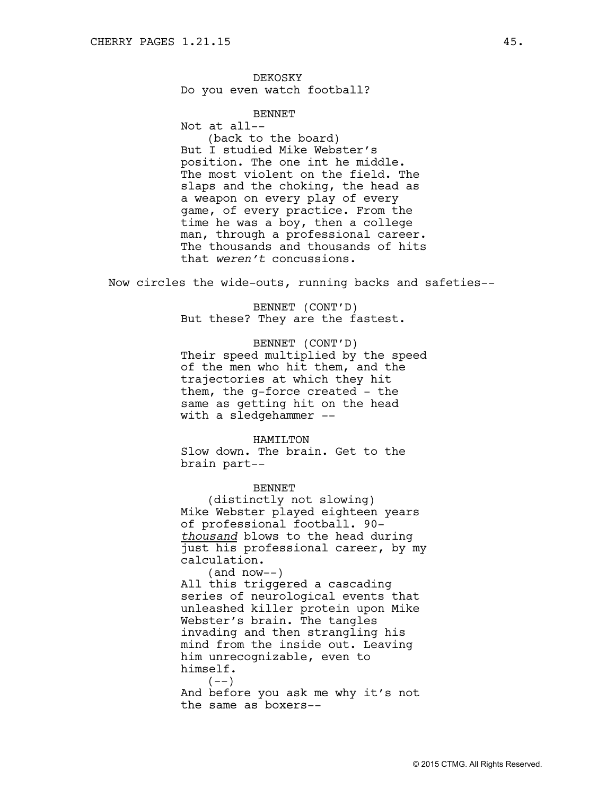DEKOSKY Do you even watch football?

BENNET

Not at all-- (back to the board) But I studied Mike Webster's position. The one int he middle. The most violent on the field. The slaps and the choking, the head as a weapon on every play of every game, of every practice. From the time he was a boy, then a college man, through a professional career. The thousands and thousands of hits that *weren't* concussions.

Now circles the wide-outs, running backs and safeties--

BENNET (CONT'D) But these? They are the fastest.

BENNET (CONT'D) Their speed multiplied by the speed of the men who hit them, and the trajectories at which they hit them, the g-force created - the same as getting hit on the head with a sledgehammer --

#### HAMILTON

Slow down. The brain. Get to the brain part--

BENNET

(distinctly not slowing) Mike Webster played eighteen years of professional football. 90 *thousand* blows to the head during just his professional career, by my calculation.

(and now--) All this triggered a cascading series of neurological events that unleashed killer protein upon Mike Webster's brain. The tangles invading and then strangling his mind from the inside out. Leaving him unrecognizable, even to himself.  $(--)$ 

And before you ask me why it's not the same as boxers--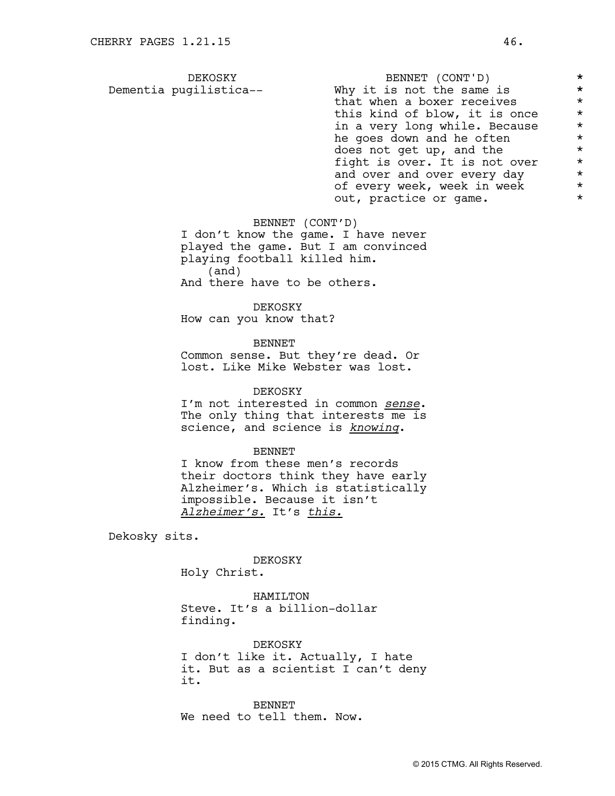DEKOSKY \* BENNET (CONT'D) Dementia pugilistica--  $\hbox{Why it is not the same is} \qquad \quad \star$ that when a boxer receives  $*$ this kind of blow, it is once  $*$ <br>in a verv long while. Because  $*$ in a very long while. Because  $*$  he goes down and he often  $*$ he goes down and he often  $*$ <br>does not get up, and the  $*$ does not get up, and the  $*$ <br>fight is over. It is not over  $*$ fight is over. It is not over  $*$ <br>and over and over every day  $*$ and over and over every day  $*$ <br>of every week, week in week  $*$ of every week, week in week  $*$ out, practice or game.

> BENNET (CONT'D) I don't know the game. I have never played the game. But I am convinced playing football killed him. (and) And there have to be others.

DEKOSKY How can you know that?

**BENNET** Common sense. But they're dead. Or lost. Like Mike Webster was lost.

DEKOSKY I'm not interested in common *sense*. The only thing that interests me is science, and science is *knowing*.

**BENNET** I know from these men's records their doctors think they have early

Alzheimer's. Which is statistically impossible. Because it isn't *Alzheimer's.* It's *this.*

Dekosky sits.

DEKOSKY Holy Christ.

HAMILTON Steve. It's a billion-dollar finding.

DEKOSKY I don't like it. Actually, I hate it. But as a scientist I can't deny it.

BENNET We need to tell them. Now.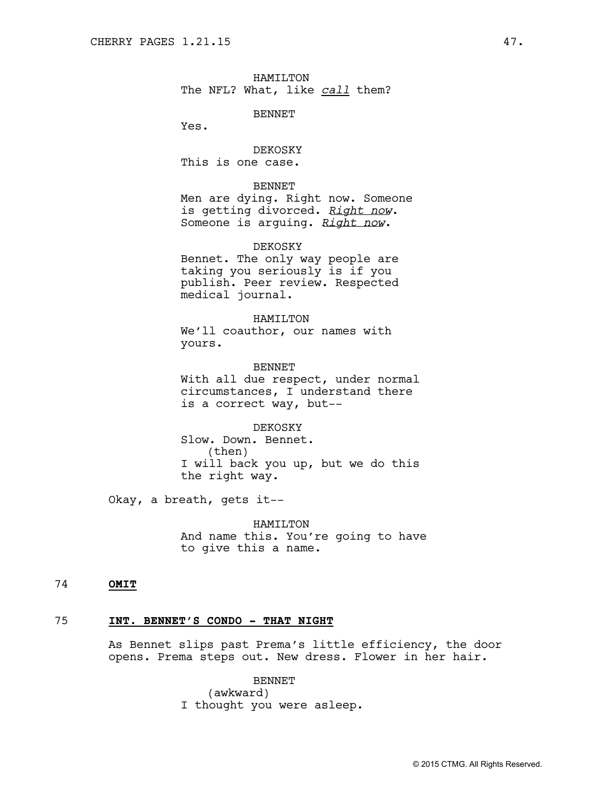HAMILTON The NFL? What, like *call* them?

BENNET

Yes.

DEKOSKY This is one case.

BENNET Men are dying. Right now. Someone is getting divorced. *Right now*. Someone is arguing. *Right now*.

DEKOSKY Bennet. The only way people are taking you seriously is if you publish. Peer review. Respected medical journal.

HAMILTON We'll coauthor, our names with yours.

BENNET With all due respect, under normal circumstances, I understand there is a correct way, but--

DEKOSKY Slow. Down. Bennet. (then) I will back you up, but we do this the right way.

Okay, a breath, gets it--

HAMILTON And name this. You're going to have to give this a name.

# 74 **OMIT**

# 75 **INT. BENNET'S CONDO - THAT NIGHT**

As Bennet slips past Prema's little efficiency, the door opens. Prema steps out. New dress. Flower in her hair.

> BENNET (awkward) I thought you were asleep.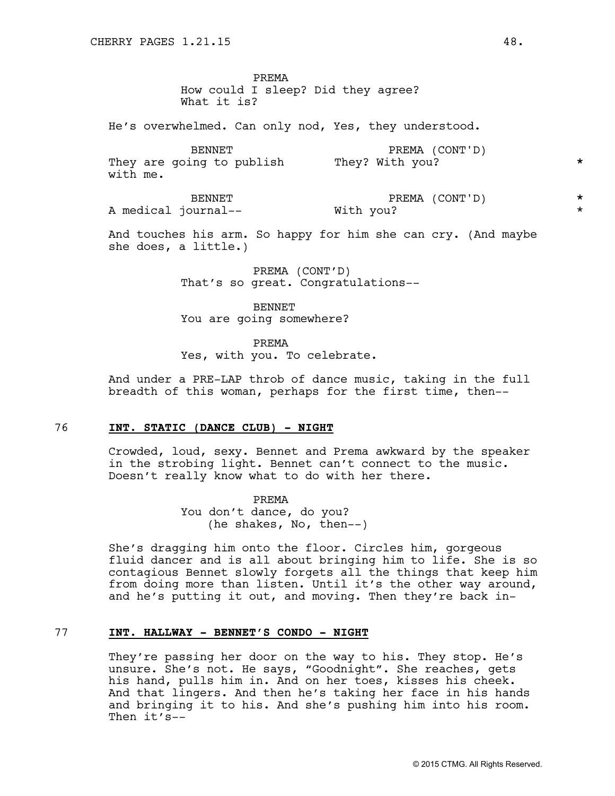PREMA How could I sleep? Did they agree? What it is?

He's overwhelmed. Can only nod, Yes, they understood.

BENNET They are going to publish \* They? With you? with me. PREMA (CONT'D)

BENNET \* PREMA (CONT'D) A medical journal--With you?

And touches his arm. So happy for him she can cry. (And maybe she does, a little.)

> PREMA (CONT'D) That's so great. Congratulations--

BENNET You are going somewhere?

PREMA

Yes, with you. To celebrate.

And under a PRE-LAP throb of dance music, taking in the full breadth of this woman, perhaps for the first time, then--

### 76 **INT. STATIC (DANCE CLUB) - NIGHT**

Crowded, loud, sexy. Bennet and Prema awkward by the speaker in the strobing light. Bennet can't connect to the music. Doesn't really know what to do with her there.

> PREMA You don't dance, do you? (he shakes, No, then--)

She's dragging him onto the floor. Circles him, gorgeous fluid dancer and is all about bringing him to life. She is so contagious Bennet slowly forgets all the things that keep him from doing more than listen. Until it's the other way around, and he's putting it out, and moving. Then they're back in-

# 77 **INT. HALLWAY - BENNET'S CONDO - NIGHT**

They're passing her door on the way to his. They stop. He's unsure. She's not. He says, "Goodnight". She reaches, gets his hand, pulls him in. And on her toes, kisses his cheek. And that lingers. And then he's taking her face in his hands and bringing it to his. And she's pushing him into his room. Then it's--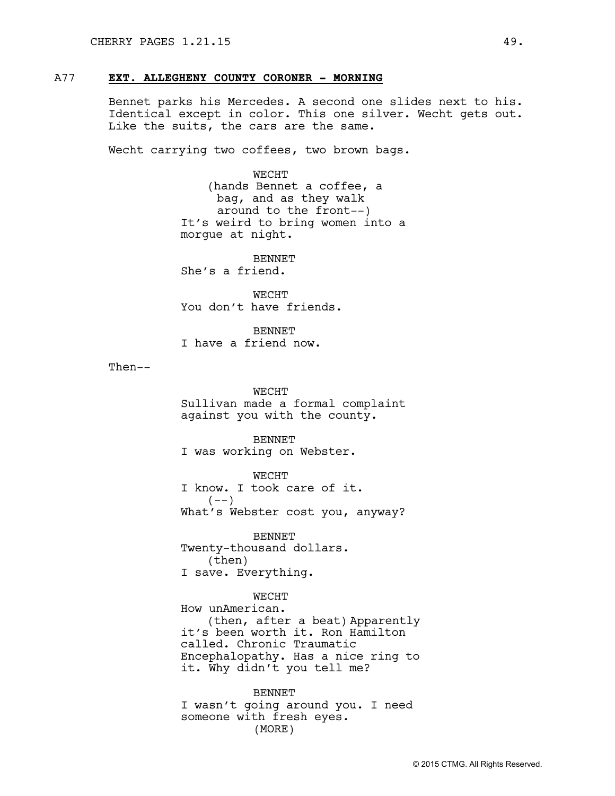# A77 **EXT. ALLEGHENY COUNTY CORONER - MORNING**

Bennet parks his Mercedes. A second one slides next to his. Identical except in color. This one silver. Wecht gets out. Like the suits, the cars are the same.

Wecht carrying two coffees, two brown bags.

WECHT (hands Bennet a coffee, a bag, and as they walk around to the front--) It's weird to bring women into a morgue at night.

**BENNET** She's a friend.

WECHT You don't have friends.

BENNET I have a friend now.

 $Then --$ 

WECHT Sullivan made a formal complaint against you with the county.

BENNET

I was working on Webster.

**WECHT** I know. I took care of it.  $(--)$ What's Webster cost you, anyway?

BENNET Twenty-thousand dollars. (then) I save. Everything.

WECHT

How unAmerican. (then, after a beat) Apparently it's been worth it. Ron Hamilton called. Chronic Traumatic Encephalopathy. Has a nice ring to it. Why didn't you tell me?

BENNET I wasn't going around you. I need someone with fresh eyes. (MORE)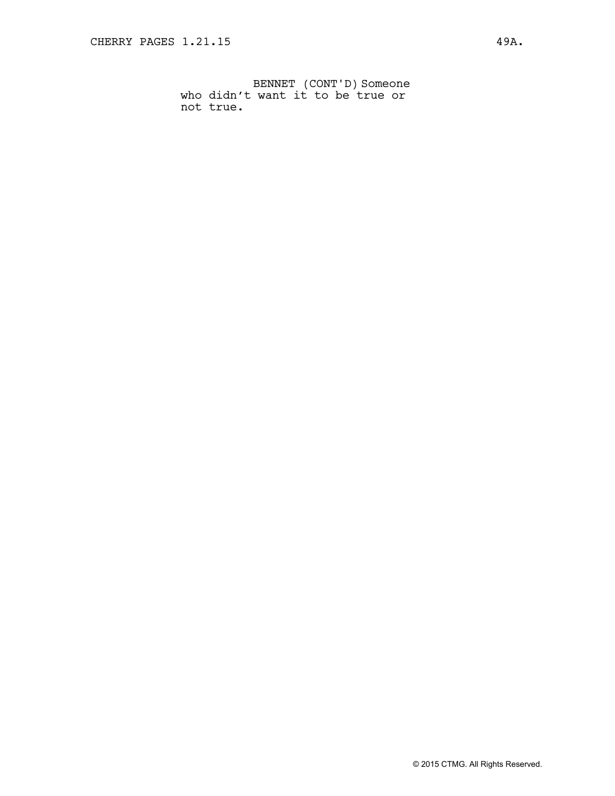BENNET (CONT'D) Someone who didn't want it to be true or not true.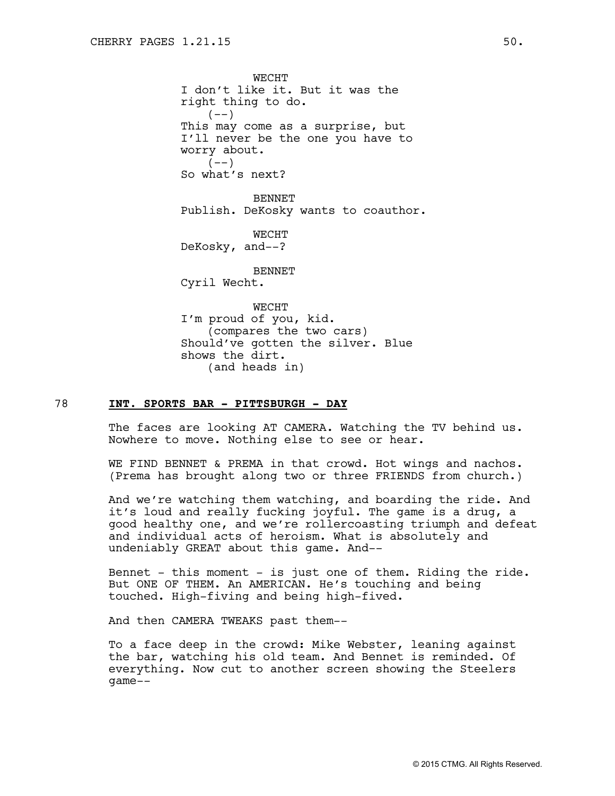**WECHT** I don't like it. But it was the right thing to do.  $(--)$ This may come as a surprise, but I'll never be the one you have to worry about.  $(--)$ So what's next?

BENNET Publish. DeKosky wants to coauthor.

WECHT DeKosky, and--?

BENNET Cyril Wecht.

WECHT I'm proud of you, kid. (compares the two cars) Should've gotten the silver. Blue shows the dirt. (and heads in)

## 78 **INT. SPORTS BAR - PITTSBURGH - DAY**

The faces are looking AT CAMERA. Watching the TV behind us. Nowhere to move. Nothing else to see or hear.

WE FIND BENNET & PREMA in that crowd. Hot wings and nachos. (Prema has brought along two or three FRIENDS from church.)

And we're watching them watching, and boarding the ride. And it's loud and really fucking joyful. The game is a drug, a good healthy one, and we're rollercoasting triumph and defeat and individual acts of heroism. What is absolutely and undeniably GREAT about this game. And--

Bennet - this moment - is just one of them. Riding the ride. But ONE OF THEM. An AMERICAN. He's touching and being touched. High-fiving and being high-fived.

And then CAMERA TWEAKS past them--

To a face deep in the crowd: Mike Webster, leaning against the bar, watching his old team. And Bennet is reminded. Of everything. Now cut to another screen showing the Steelers game--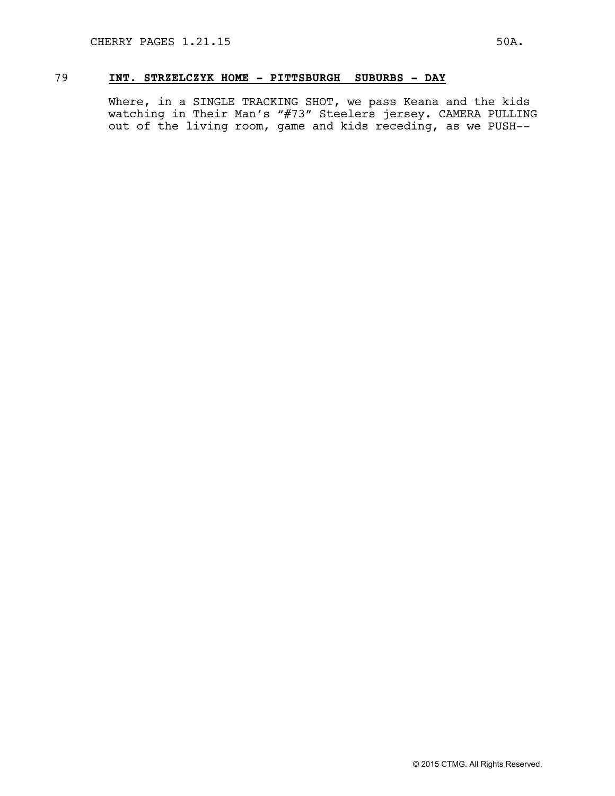# 79 **INT. STRZELCZYK HOME - PITTSBURGH SUBURBS - DAY**

Where, in a SINGLE TRACKING SHOT, we pass Keana and the kids watching in Their Man's "#73" Steelers jersey. CAMERA PULLING out of the living room, game and kids receding, as we PUSH--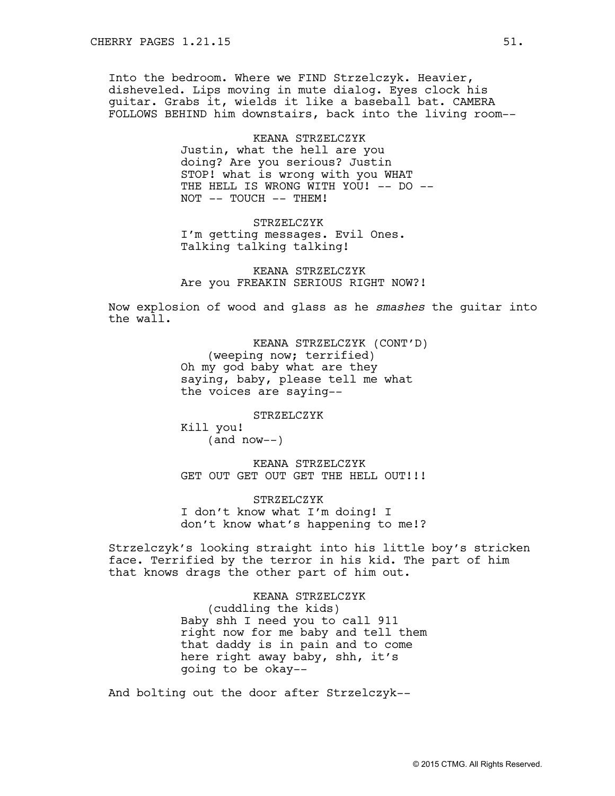Into the bedroom. Where we FIND Strzelczyk. Heavier, disheveled. Lips moving in mute dialog. Eyes clock his guitar. Grabs it, wields it like a baseball bat. CAMERA FOLLOWS BEHIND him downstairs, back into the living room--

> KEANA STRZELCZYK Justin, what the hell are you doing? Are you serious? Justin STOP! what is wrong with you WHAT THE HELL IS WRONG WITH YOU! -- DO --NOT -- TOUCH -- THEM!

STRZELCZYK I'm getting messages. Evil Ones. Talking talking talking!

KEANA STRZELCZYK Are you FREAKIN SERIOUS RIGHT NOW?!

Now explosion of wood and glass as he *smashes* the guitar into the wall.

> KEANA STRZELCZYK (CONT'D) (weeping now; terrified) Oh my god baby what are they saying, baby, please tell me what the voices are saying--

> > STRZELCZYK

Kill you! (and now--)

KEANA STRZELCZYK GET OUT GET OUT GET THE HELL OUT!!!

STRZELCZYK I don't know what I'm doing! I don't know what's happening to me!?

Strzelczyk's looking straight into his little boy's stricken face. Terrified by the terror in his kid. The part of him that knows drags the other part of him out.

> KEANA STRZELCZYK (cuddling the kids) Baby shh I need you to call 911 right now for me baby and tell them that daddy is in pain and to come here right away baby, shh, it's going to be okay--

And bolting out the door after Strzelczyk--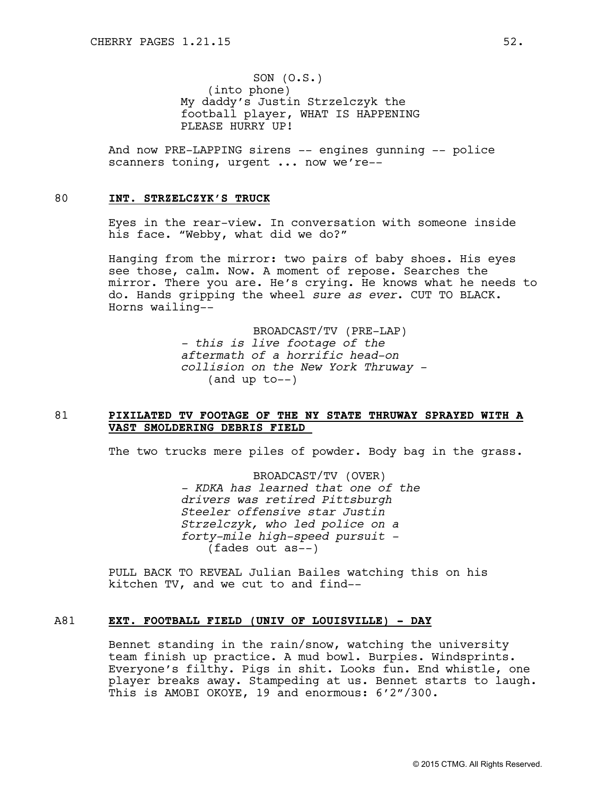SON (O.S.) (into phone) My daddy's Justin Strzelczyk the football player, WHAT IS HAPPENING PLEASE HURRY UP!

And now PRE-LAPPING sirens -- engines gunning -- police scanners toning, urgent ... now we're--

# 80 **INT. STRZELCZYK'S TRUCK**

Eyes in the rear-view. In conversation with someone inside his face. "Webby, what did we do?"

Hanging from the mirror: two pairs of baby shoes. His eyes see those, calm. Now. A moment of repose. Searches the mirror. There you are. He's crying. He knows what he needs to do. Hands gripping the wheel *sure as ever*. CUT TO BLACK. Horns wailing--

> BROADCAST/TV (PRE-LAP) *- this is live footage of the aftermath of a horrific head-on collision on the New York Thruway -*  (and up to--)

## 81 **PIXILATED TV FOOTAGE OF THE NY STATE THRUWAY SPRAYED WITH A VAST SMOLDERING DEBRIS FIELD**

The two trucks mere piles of powder. Body bag in the grass.

BROADCAST/TV (OVER) *- KDKA has learned that one of the drivers was retired Pittsburgh Steeler offensive star Justin Strzelczyk, who led police on a forty-mile high-speed pursuit -* (fades out as--)

PULL BACK TO REVEAL Julian Bailes watching this on his kitchen TV, and we cut to and find--

# A81 **EXT. FOOTBALL FIELD (UNIV OF LOUISVILLE) - DAY**

Bennet standing in the rain/snow, watching the university team finish up practice. A mud bowl. Burpies. Windsprints. Everyone's filthy. Pigs in shit. Looks fun. End whistle, one player breaks away. Stampeding at us. Bennet starts to laugh. This is AMOBI OKOYE, 19 and enormous: 6'2"/300.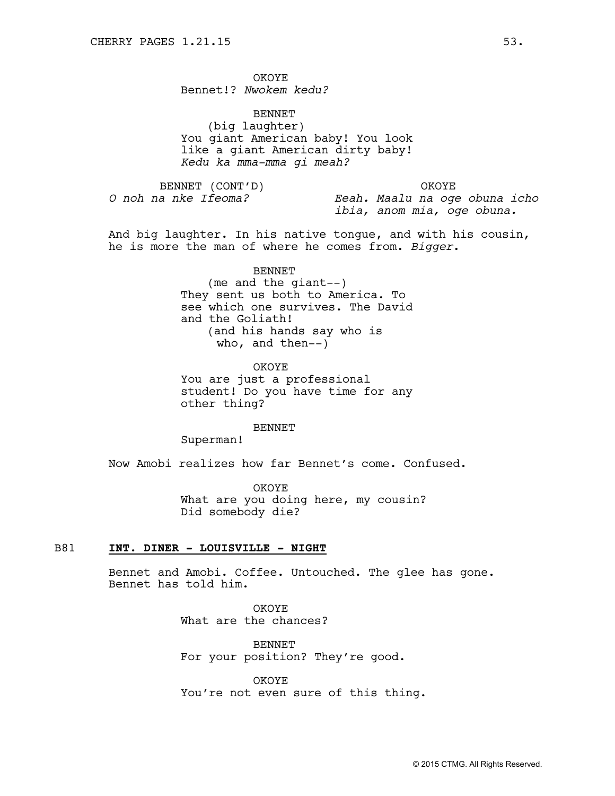OKOYE Bennet!? *Nwokem kedu?*

BENNET (big laughter) You giant American baby! You look like a giant American dirty baby! *Kedu ka mma-mma gi meah?*

BENNET (CONT'D) *O noh na nke Ifeoma?* **OKOYE** *Eeah. Maalu na oge obuna icho ibia, anom mia, oge obuna.*

And big laughter. In his native tongue, and with his cousin, he is more the man of where he comes from. *Bigger*.

#### BENNET

(me and the giant--) They sent us both to America. To see which one survives. The David and the Goliath! (and his hands say who is who, and then--)

**OKOYE** You are just a professional student! Do you have time for any other thing?

BENNET

Superman!

Now Amobi realizes how far Bennet's come. Confused.

OKOYE What are you doing here, my cousin? Did somebody die?

### B81 **INT. DINER - LOUISVILLE - NIGHT**

Bennet and Amobi. Coffee. Untouched. The glee has gone. Bennet has told him.

> OKOYE What are the chances?

BENNET For your position? They're good.

OKOYE You're not even sure of this thing.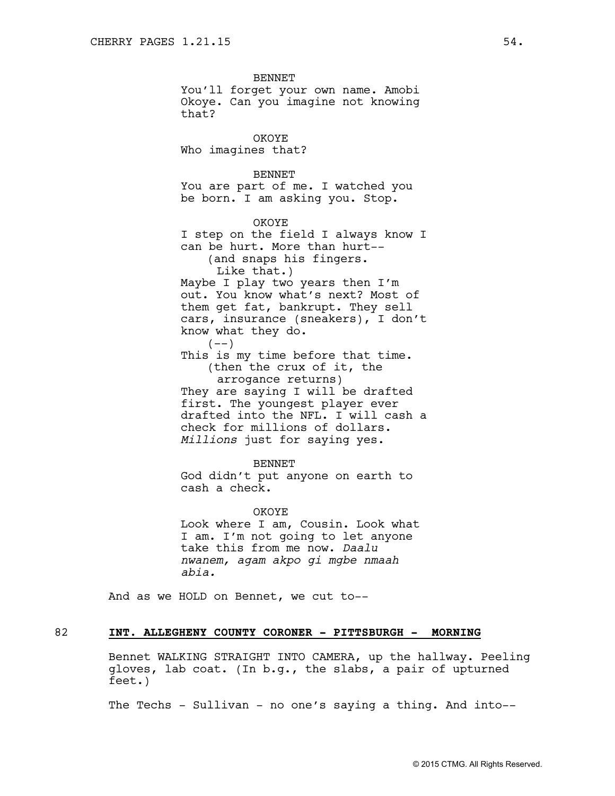**BENNET** You'll forget your own name. Amobi Okoye. Can you imagine not knowing that?

OKOYE Who imagines that?

### BENNET

You are part of me. I watched you be born. I am asking you. Stop.

OKOYE I step on the field I always know I can be hurt. More than hurt-- (and snaps his fingers. Like that.) Maybe I play two years then I'm out. You know what's next? Most of them get fat, bankrupt. They sell

cars, insurance (sneakers), I don't know what they do.  $(--)$ This is my time before that time.

(then the crux of it, the arrogance returns)

They are saying I will be drafted first. The youngest player ever drafted into the NFL. I will cash a check for millions of dollars. *Millions* just for saying yes.

#### BENNET

God didn't put anyone on earth to cash a check.

OKOYE

Look where I am, Cousin. Look what I am. I'm not going to let anyone take this from me now. *Daalu nwanem, agam akpo gi mgbe nmaah abia.*

And as we HOLD on Bennet, we cut to--

### 82 **INT. ALLEGHENY COUNTY CORONER - PITTSBURGH - MORNING**

Bennet WALKING STRAIGHT INTO CAMERA, up the hallway. Peeling gloves, lab coat. (In b.g., the slabs, a pair of upturned feet.)

The Techs - Sullivan - no one's saying a thing. And into--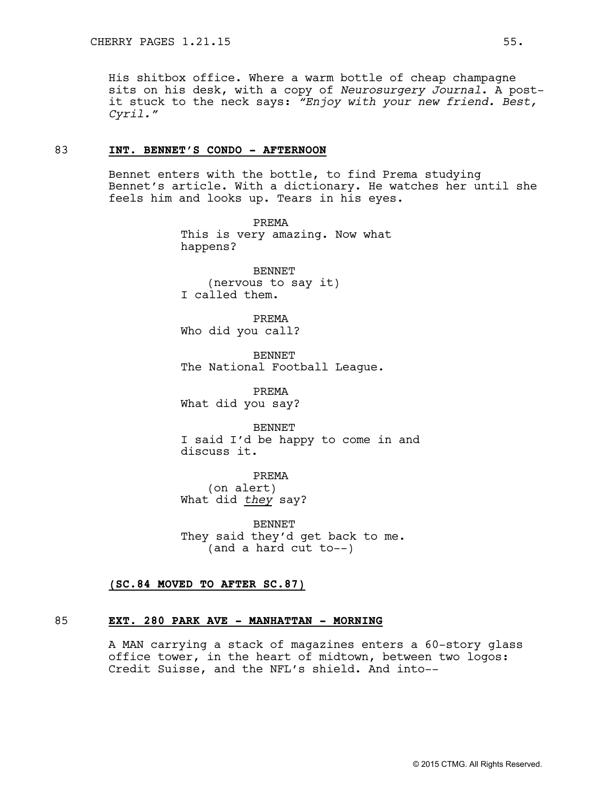His shitbox office. Where a warm bottle of cheap champagne sits on his desk, with a copy of *Neurosurgery Journal*. A postit stuck to the neck says: *"Enjoy with your new friend. Best, Cyril."*

# 83 **INT. BENNET'S CONDO - AFTERNOON**

Bennet enters with the bottle, to find Prema studying Bennet's article. With a dictionary. He watches her until she feels him and looks up. Tears in his eyes.

> PREMA This is very amazing. Now what happens?

BENNET (nervous to say it) I called them.

PREMA Who did you call?

BENNET The National Football League.

PREMA What did you say?

BENNET I said I'd be happy to come in and discuss it.

PREMA (on alert) What did *they* say?

BENNET They said they'd get back to me. (and a hard cut to--)

### **(SC.84 MOVED TO AFTER SC.87)**

# 85 **EXT. 280 PARK AVE - MANHATTAN - MORNING**

A MAN carrying a stack of magazines enters a 60-story glass office tower, in the heart of midtown, between two logos: Credit Suisse, and the NFL's shield. And into--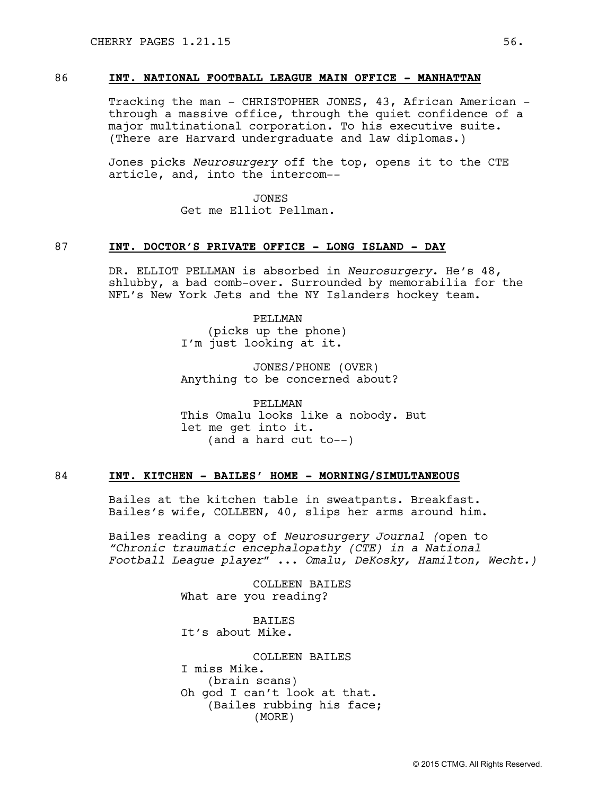# 86 **INT. NATIONAL FOOTBALL LEAGUE MAIN OFFICE - MANHATTAN**

Tracking the man - CHRISTOPHER JONES, 43, African American through a massive office, through the quiet confidence of a major multinational corporation. To his executive suite. (There are Harvard undergraduate and law diplomas.)

Jones picks *Neurosurgery* off the top, opens it to the CTE article, and, into the intercom--

> JONES Get me Elliot Pellman.

#### 87 **INT. DOCTOR'S PRIVATE OFFICE - LONG ISLAND - DAY**

DR. ELLIOT PELLMAN is absorbed in *Neurosurgery*. He's 48, shlubby, a bad comb-over. Surrounded by memorabilia for the NFL's New York Jets and the NY Islanders hockey team.

> PELLMAN (picks up the phone) I'm just looking at it.

JONES/PHONE (OVER) Anything to be concerned about?

PELLMAN This Omalu looks like a nobody. But let me get into it. (and a hard cut to--)

### 84 **INT. KITCHEN - BAILES' HOME - MORNING/SIMULTANEOUS**

Bailes at the kitchen table in sweatpants. Breakfast. Bailes's wife, COLLEEN, 40, slips her arms around him.

Bailes reading a copy of *Neurosurgery Journal (*open to *"Chronic traumatic encephalopathy (CTE) in a National Football League player*" ... *Omalu, DeKosky, Hamilton, Wecht.)*

> COLLEEN BAILES What are you reading?

BAILES It's about Mike.

COLLEEN BAILES I miss Mike. (brain scans) Oh god I can't look at that. (Bailes rubbing his face; (MORE)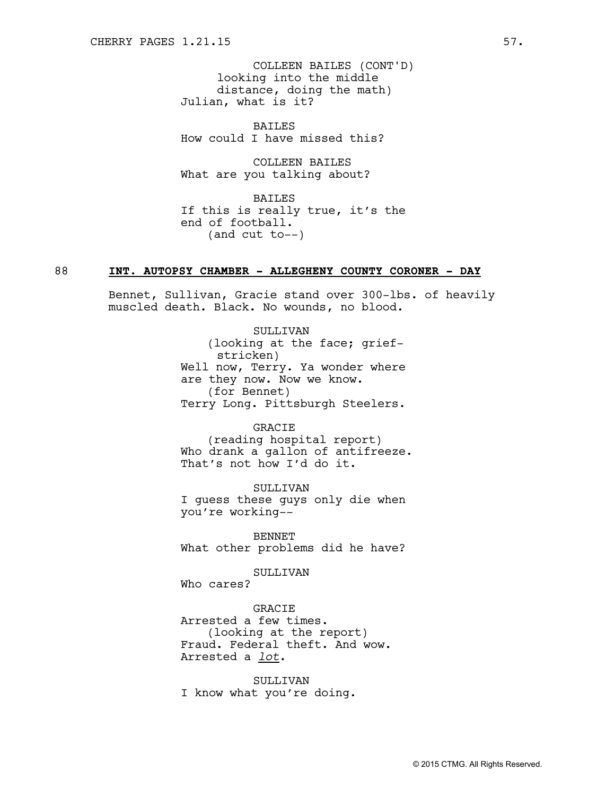looking into the middle distance, doing the math) Julian, what is it? COLLEEN BAILES (CONT'D)

BAILES How could I have missed this?

COLLEEN BAILES What are you talking about?

BAILES If this is really true, it's the end of football. (and cut to--)

### 88 **INT. AUTOPSY CHAMBER - ALLEGHENY COUNTY CORONER - DAY**

Bennet, Sullivan, Gracie stand over 300-lbs. of heavily muscled death. Black. No wounds, no blood.

> SULLIVAN (looking at the face; griefstricken) Well now, Terry. Ya wonder where are they now. Now we know. (for Bennet) Terry Long. Pittsburgh Steelers.

### **GRACTE**

(reading hospital report) Who drank a gallon of antifreeze. That's not how I'd do it.

SULLIVAN I guess these guys only die when you're working--

BENNET What other problems did he have?

SULLIVAN

Who cares?

**GRACTE** 

Arrested a few times. (looking at the report) Fraud. Federal theft. And wow. Arrested a *lot*.

SULLIVAN I know what you're doing.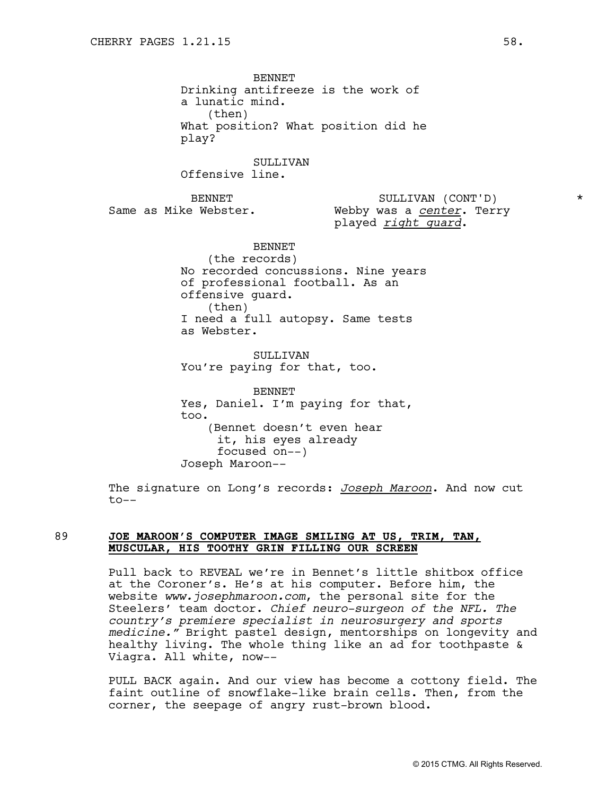**BENNET** Drinking antifreeze is the work of a lunatic mind. (then) What position? What position did he play? SULLIVAN Offensive line. BENNET Same as Mike Webster. SULLIVAN (CONT'D) \* Webby was a *center*. Terry played *right guard*. BENNET (the records) No recorded concussions. Nine years of professional football. As an offensive guard. (then) I need a full autopsy. Same tests as Webster. SULLIVAN You're paying for that, too. BENNET Yes, Daniel. I'm paying for that, too.

(Bennet doesn't even hear it, his eyes already focused on--) Joseph Maroon--

The signature on Long's records: *Joseph Maroon*. And now cut  $to--$ 

# 89 **JOE MAROON'S COMPUTER IMAGE SMILING AT US, TRIM, TAN, MUSCULAR, HIS TOOTHY GRIN FILLING OUR SCREEN**

Pull back to REVEAL we're in Bennet's little shitbox office at the Coroner's. He's at his computer. Before him, the website *www.josephmaroon.com*, the personal site for the Steelers' team doctor. *Chief neuro-surgeon of the NFL. The country's premiere specialist in neurosurgery and sports medicine."* Bright pastel design, mentorships on longevity and healthy living. The whole thing like an ad for toothpaste & Viagra. All white, now--

PULL BACK again. And our view has become a cottony field. The faint outline of snowflake-like brain cells. Then, from the corner, the seepage of angry rust-brown blood.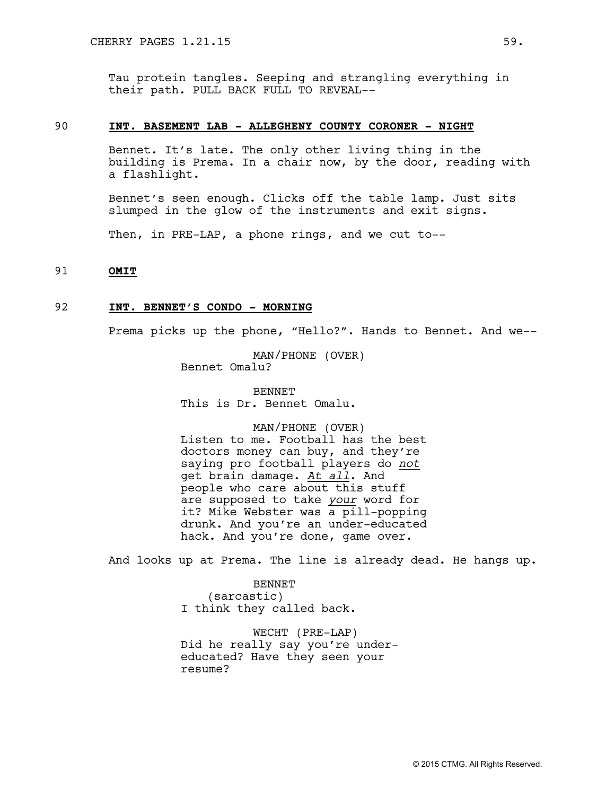Tau protein tangles. Seeping and strangling everything in their path. PULL BACK FULL TO REVEAL--

### 90 **INT. BASEMENT LAB - ALLEGHENY COUNTY CORONER - NIGHT**

Bennet. It's late. The only other living thing in the building is Prema. In a chair now, by the door, reading with a flashlight.

Bennet's seen enough. Clicks off the table lamp. Just sits slumped in the glow of the instruments and exit signs.

Then, in PRE-LAP, a phone rings, and we cut to--

# 91 **OMIT**

# 92 **INT. BENNET'S CONDO - MORNING**

Prema picks up the phone, "Hello?". Hands to Bennet. And we--

MAN/PHONE (OVER) Bennet Omalu?

**BENNET** This is Dr. Bennet Omalu.

### MAN/PHONE (OVER)

Listen to me. Football has the best doctors money can buy, and they're saying pro football players do *not* get brain damage. *At all*. And people who care about this stuff are supposed to take *your* word for it? Mike Webster was a pill-popping drunk. And you're an under-educated hack. And you're done, game over.

And looks up at Prema. The line is already dead. He hangs up.

BENNET (sarcastic) I think they called back.

WECHT (PRE-LAP) Did he really say you're undereducated? Have they seen your resume?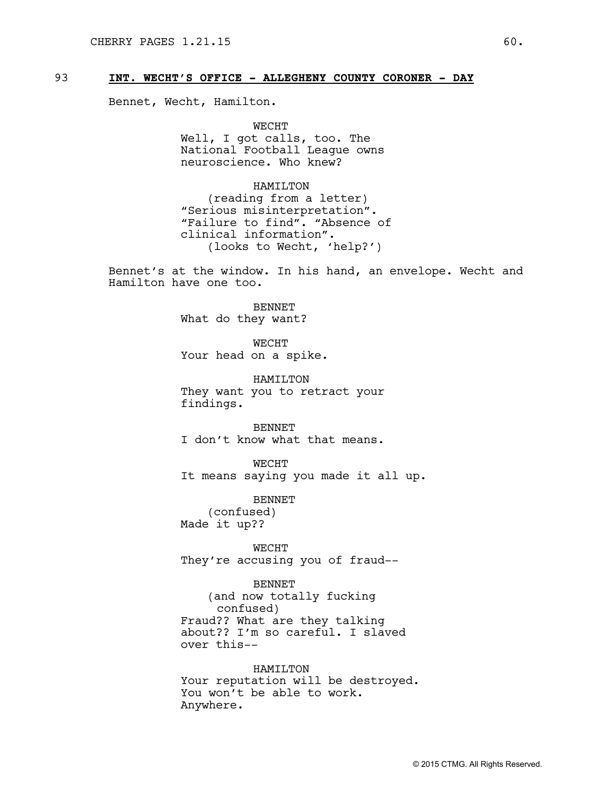# 93 **INT. WECHT'S OFFICE - ALLEGHENY COUNTY CORONER - DAY**

Bennet, Wecht, Hamilton.

WECHT Well, I got calls, too. The National Football League owns neuroscience. Who knew?

#### HAMILTON

(reading from a letter) "Serious misinterpretation". "Failure to find". "Absence of clinical information". (looks to Wecht, 'help?')

Bennet's at the window. In his hand, an envelope. Wecht and Hamilton have one too.

> BENNET What do they want?

**WECHT** Your head on a spike.

HAMILTON They want you to retract your findings.

BENNET I don't know what that means.

WECHT It means saying you made it all up.

BENNET (confused) Made it up??

WECHT They're accusing you of fraud--

BENNET

(and now totally fucking confused) Fraud?? What are they talking about?? I'm so careful. I slaved over this--

HAMILTON Your reputation will be destroyed. You won't be able to work. Anywhere.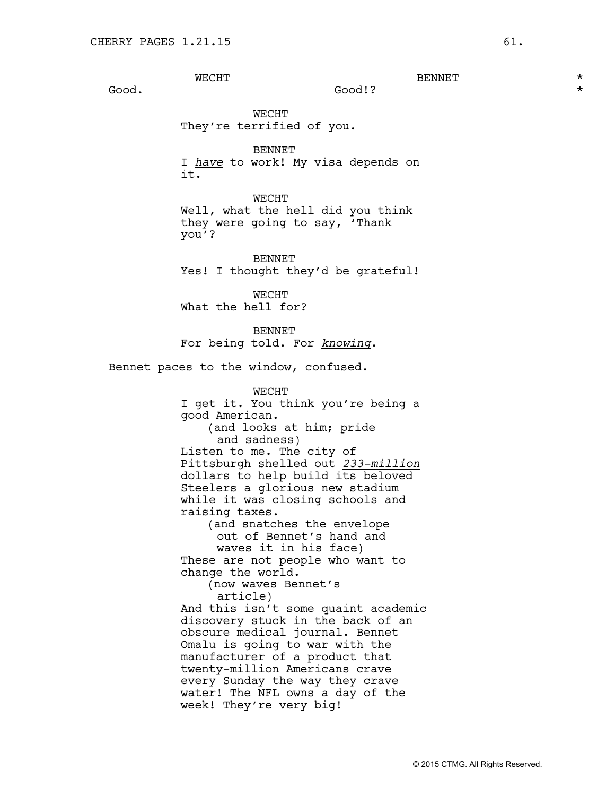WECHT

Good. \*

Good!?

WECHT They're terrified of you.

BENNET I *have* to work! My visa depends on it.

WECHT

Well, what the hell did you think they were going to say, 'Thank you'?

**BENNET** Yes! I thought they'd be grateful!

WECHT What the hell for?

BENNET For being told. For *knowing*.

Bennet paces to the window, confused.

WECHT I get it. You think you're being a good American. (and looks at him; pride and sadness) Listen to me. The city of Pittsburgh shelled out *233-million* dollars to help build its beloved Steelers a glorious new stadium while it was closing schools and raising taxes. (and snatches the envelope out of Bennet's hand and waves it in his face) These are not people who want to change the world. (now waves Bennet's article) And this isn't some quaint academic discovery stuck in the back of an obscure medical journal. Bennet Omalu is going to war with the manufacturer of a product that twenty-million Americans crave every Sunday the way they crave water! The NFL owns a day of the week! They're very big!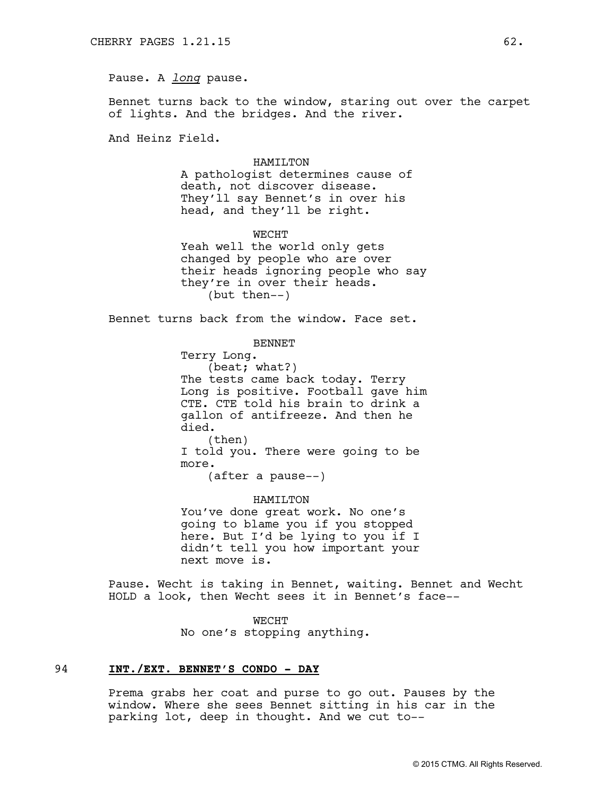Pause. A *long* pause.

Bennet turns back to the window, staring out over the carpet of lights. And the bridges. And the river.

And Heinz Field.

#### HAMILTON

A pathologist determines cause of death, not discover disease. They'll say Bennet's in over his head, and they'll be right.

WECHT

Yeah well the world only gets changed by people who are over their heads ignoring people who say they're in over their heads. (but then--)

Bennet turns back from the window. Face set.

BENNET

Terry Long. (beat; what?) The tests came back today. Terry Long is positive. Football gave him CTE. CTE told his brain to drink a gallon of antifreeze. And then he died. (then) I told you. There were going to be more.

(after a pause--)

HAMILTON You've done great work. No one's going to blame you if you stopped here. But I'd be lying to you if I didn't tell you how important your next move is.

Pause. Wecht is taking in Bennet, waiting. Bennet and Wecht HOLD a look, then Wecht sees it in Bennet's face--

> WECHT No one's stopping anything.

### 94 **INT./EXT. BENNET'S CONDO - DAY**

Prema grabs her coat and purse to go out. Pauses by the window. Where she sees Bennet sitting in his car in the parking lot, deep in thought. And we cut to--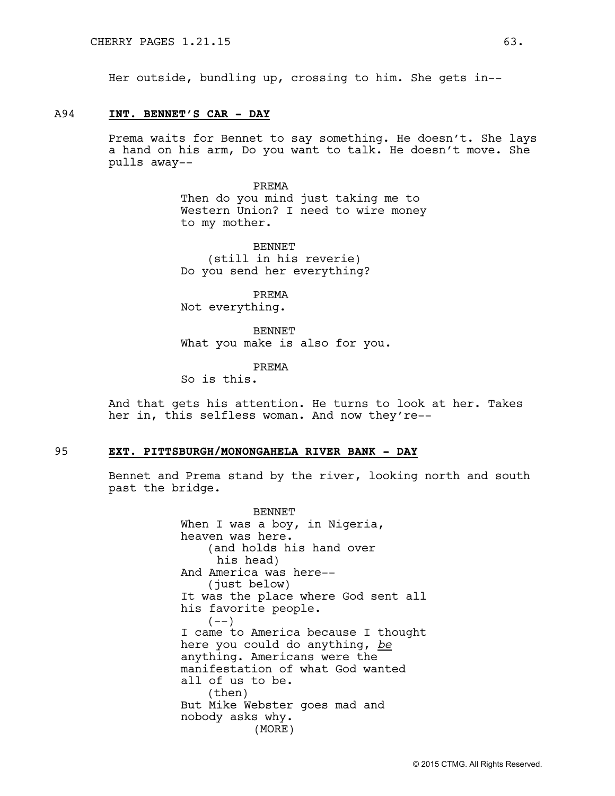Her outside, bundling up, crossing to him. She gets in--

### A94 **INT. BENNET'S CAR - DAY**

Prema waits for Bennet to say something. He doesn't. She lays a hand on his arm, Do you want to talk. He doesn't move. She pulls away--

> PREMA Then do you mind just taking me to Western Union? I need to wire money to my mother.

BENNET (still in his reverie) Do you send her everything?

PREMA Not everything.

BENNET What you make is also for you.

PREMA So is this.

And that gets his attention. He turns to look at her. Takes her in, this selfless woman. And now they're--

### 95 **EXT. PITTSBURGH/MONONGAHELA RIVER BANK - DAY**

Bennet and Prema stand by the river, looking north and south past the bridge.

> BENNET When I was a boy, in Nigeria, heaven was here. (and holds his hand over his head) And America was here-- (just below) It was the place where God sent all his favorite people.  $(--)$ I came to America because I thought here you could do anything, *be* anything. Americans were the manifestation of what God wanted all of us to be. (then) But Mike Webster goes mad and nobody asks why. (MORE)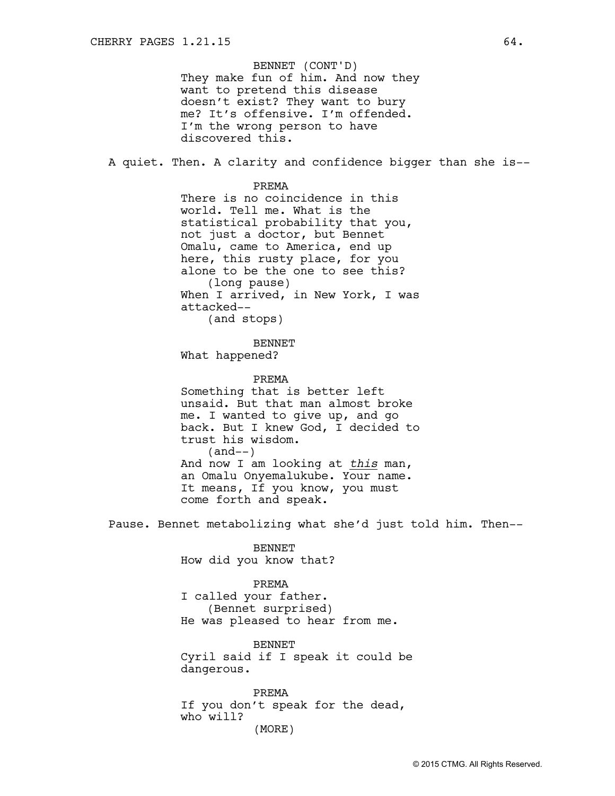They make fun of him. And now they want to pretend this disease doesn't exist? They want to bury me? It's offensive. I'm offended. I'm the wrong person to have discovered this. BENNET (CONT'D)

A quiet. Then. A clarity and confidence bigger than she is--

#### PREMA

There is no coincidence in this world. Tell me. What is the statistical probability that you, not just a doctor, but Bennet Omalu, came to America, end up here, this rusty place, for you alone to be the one to see this? (long pause) When I arrived, in New York, I was attacked-- (and stops)

BENNET

What happened?

PREMA

Something that is better left unsaid. But that man almost broke me. I wanted to give up, and go back. But I knew God, I decided to trust his wisdom. (and--) And now I am looking at *this* man, an Omalu Onyemalukube. Your name. It means, If you know, you must come forth and speak.

Pause. Bennet metabolizing what she'd just told him. Then--

BENNET How did you know that?

### PREMA

I called your father. (Bennet surprised) He was pleased to hear from me.

BENNET Cyril said if I speak it could be dangerous.

PREMA If you don't speak for the dead, who will? (MORE)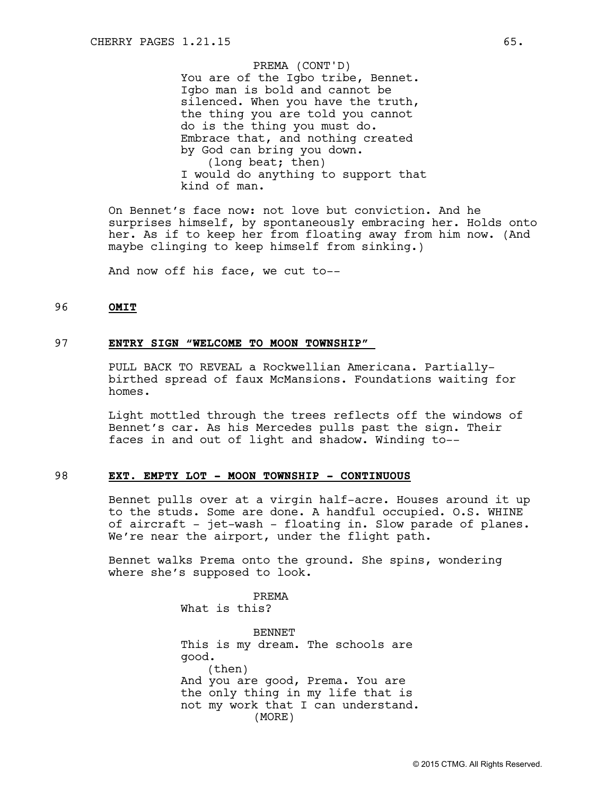You are of the Igbo tribe, Bennet. Igbo man is bold and cannot be silenced. When you have the truth, the thing you are told you cannot do is the thing you must do. Embrace that, and nothing created by God can bring you down. (long beat; then) I would do anything to support that kind of man. PREMA (CONT'D)

On Bennet's face now: not love but conviction. And he surprises himself, by spontaneously embracing her. Holds onto her. As if to keep her from floating away from him now. (And maybe clinging to keep himself from sinking.)

And now off his face, we cut to--

# 96 **OMIT**

## 97 **ENTRY SIGN "WELCOME TO MOON TOWNSHIP"**

PULL BACK TO REVEAL a Rockwellian Americana. Partiallybirthed spread of faux McMansions. Foundations waiting for homes.

Light mottled through the trees reflects off the windows of Bennet's car. As his Mercedes pulls past the sign. Their faces in and out of light and shadow. Winding to--

## 98 **EXT. EMPTY LOT - MOON TOWNSHIP - CONTINUOUS**

Bennet pulls over at a virgin half-acre. Houses around it up to the studs. Some are done. A handful occupied. O.S. WHINE of aircraft - jet-wash - floating in. Slow parade of planes. We're near the airport, under the flight path.

Bennet walks Prema onto the ground. She spins, wondering where she's supposed to look.

> PREMA What is this? BENNET This is my dream. The schools are good. (then) And you are good, Prema. You are the only thing in my life that is not my work that I can understand. (MORE)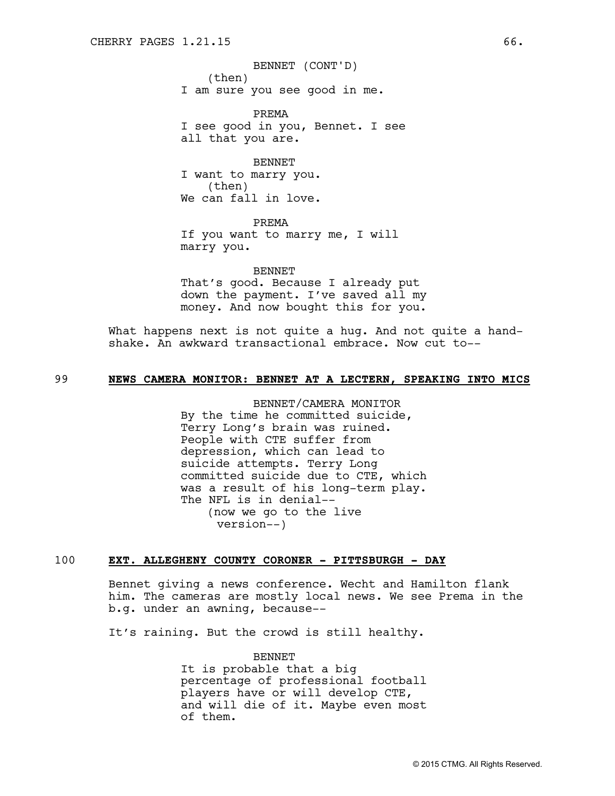(then) I am sure you see good in me. BENNET (CONT'D)

PREMA I see good in you, Bennet. I see all that you are.

BENNET I want to marry you. (then) We can fall in love.

PREMA If you want to marry me, I will marry you.

BENNET That's good. Because I already put down the payment. I've saved all my money. And now bought this for you.

What happens next is not quite a hug. And not quite a handshake. An awkward transactional embrace. Now cut to--

### 99 **NEWS CAMERA MONITOR: BENNET AT A LECTERN, SPEAKING INTO MICS**

BENNET/CAMERA MONITOR By the time he committed suicide, Terry Long's brain was ruined. People with CTE suffer from depression, which can lead to suicide attempts. Terry Long committed suicide due to CTE, which was a result of his long-term play. The NFL is in denial-- (now we go to the live version--)

### 100 **EXT. ALLEGHENY COUNTY CORONER - PITTSBURGH - DAY**

Bennet giving a news conference. Wecht and Hamilton flank him. The cameras are mostly local news. We see Prema in the b.g. under an awning, because--

It's raining. But the crowd is still healthy.

BENNET It is probable that a big percentage of professional football players have or will develop CTE, and will die of it. Maybe even most of them.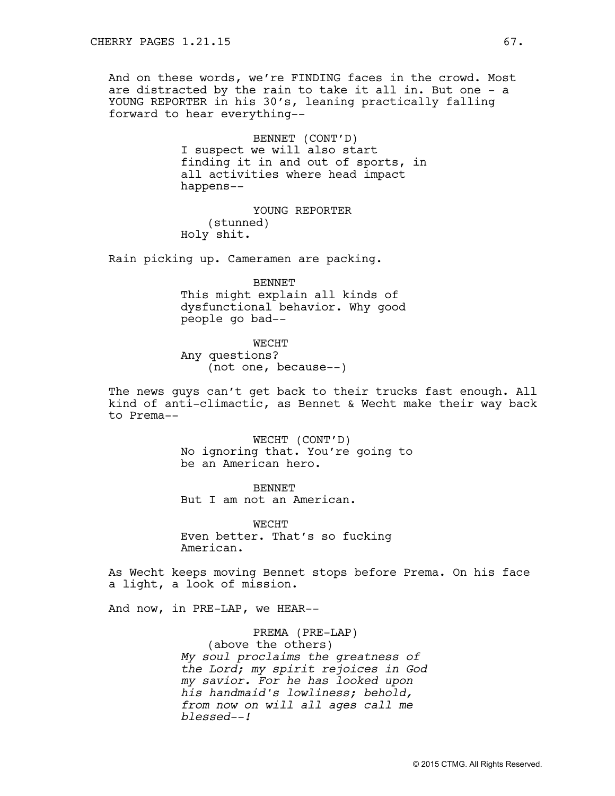And on these words, we're FINDING faces in the crowd. Most are distracted by the rain to take it all in. But one - a YOUNG REPORTER in his 30's, leaning practically falling forward to hear everything--

> BENNET (CONT'D) I suspect we will also start finding it in and out of sports, in all activities where head impact happens--

YOUNG REPORTER (stunned) Holy shit.

Rain picking up. Cameramen are packing.

BENNET This might explain all kinds of dysfunctional behavior. Why good people go bad--

WECHT Any questions? (not one, because--)

The news guys can't get back to their trucks fast enough. All kind of anti-climactic, as Bennet & Wecht make their way back to Prema--

> WECHT (CONT'D) No ignoring that. You're going to be an American hero.

BENNET But I am not an American.

**WECHT** Even better. That's so fucking American.

As Wecht keeps moving Bennet stops before Prema. On his face a light, a look of mission.

And now, in PRE-LAP, we HEAR--

PREMA (PRE-LAP) (above the others) *My soul proclaims the greatness of the Lord; my spirit rejoices in God my savior. For he has looked upon his handmaid's lowliness; behold, from now on will all ages call me blessed--!*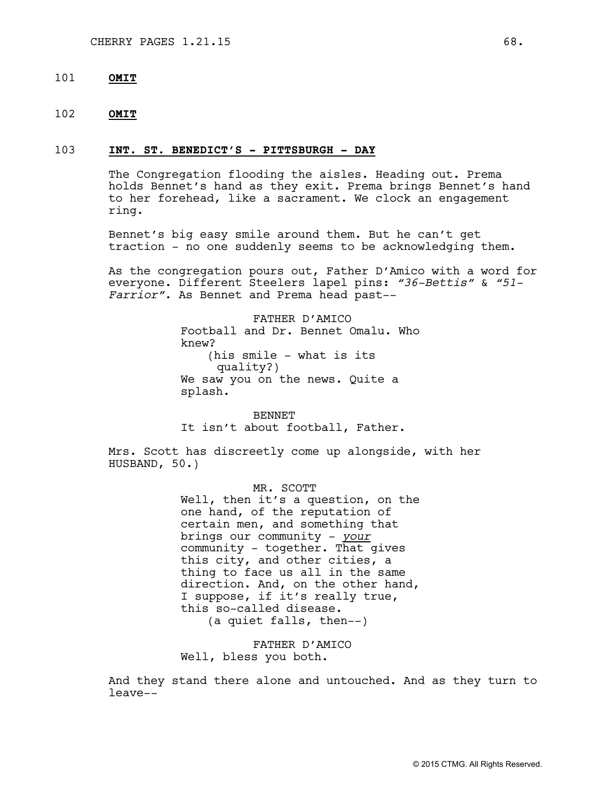# 101 **OMIT**

### 102 **OMIT**

## 103 **INT. ST. BENEDICT'S - PITTSBURGH - DAY**

The Congregation flooding the aisles. Heading out. Prema holds Bennet's hand as they exit. Prema brings Bennet's hand to her forehead, like a sacrament. We clock an engagement ring.

Bennet's big easy smile around them. But he can't get traction - no one suddenly seems to be acknowledging them.

As the congregation pours out, Father D'Amico with a word for everyone. Different Steelers lapel pins: *"36-Bettis"* & *"51- Farrior"*. As Bennet and Prema head past--

> FATHER D'AMICO Football and Dr. Bennet Omalu. Who knew? (his smile - what is its quality?) We saw you on the news. Quite a splash.

BENNET It isn't about football, Father.

Mrs. Scott has discreetly come up alongside, with her HUSBAND, 50.)

> MR. SCOTT Well, then it's a question, on the one hand, of the reputation of certain men, and something that brings our community - *your* community - together. That gives this city, and other cities, a thing to face us all in the same direction. And, on the other hand, I suppose, if it's really true, this so-called disease. (a quiet falls, then--)

FATHER D'AMICO Well, bless you both.

And they stand there alone and untouched. And as they turn to leave--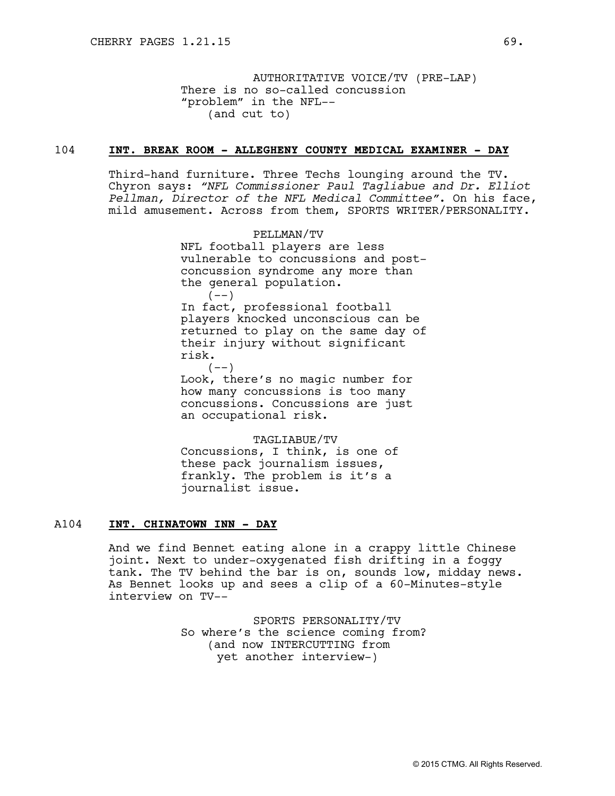AUTHORITATIVE VOICE/TV (PRE-LAP) There is no so-called concussion "problem" in the NFL-- (and cut to)

## 104 **INT. BREAK ROOM - ALLEGHENY COUNTY MEDICAL EXAMINER - DAY**

Third-hand furniture. Three Techs lounging around the TV. Chyron says: *"NFL Commissioner Paul Tagliabue and Dr. Elliot Pellman, Director of the NFL Medical Committee"*. On his face, mild amusement. Across from them, SPORTS WRITER/PERSONALITY.

> PELLMAN/TV NFL football players are less vulnerable to concussions and postconcussion syndrome any more than the general population.  $(--)$ In fact, professional football players knocked unconscious can be returned to play on the same day of their injury without significant risk.  $(--)$ Look, there's no magic number for how many concussions is too many

concussions. Concussions are just an occupational risk.

TAGLIABUE/TV Concussions, I think, is one of these pack journalism issues, frankly. The problem is it's a journalist issue.

### A104 **INT. CHINATOWN INN - DAY**

And we find Bennet eating alone in a crappy little Chinese joint. Next to under-oxygenated fish drifting in a foggy tank. The TV behind the bar is on, sounds low, midday news. As Bennet looks up and sees a clip of a 60-Minutes-style interview on TV--

> SPORTS PERSONALITY/TV So where's the science coming from? (and now INTERCUTTING from yet another interview-)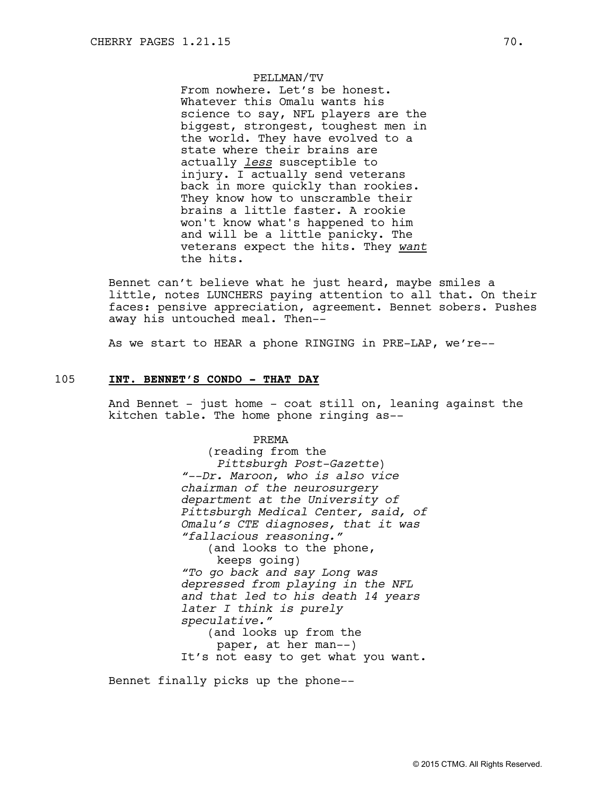# PELLMAN/TV

From nowhere. Let's be honest. Whatever this Omalu wants his science to say, NFL players are the biggest, strongest, toughest men in the world. They have evolved to a state where their brains are actually *less* susceptible to injury. I actually send veterans back in more quickly than rookies. They know how to unscramble their brains a little faster. A rookie won't know what's happened to him and will be a little panicky. The veterans expect the hits. They *want* the hits.

Bennet can't believe what he just heard, maybe smiles a little, notes LUNCHERS paying attention to all that. On their faces: pensive appreciation, agreement. Bennet sobers. Pushes away his untouched meal. Then--

As we start to HEAR a phone RINGING in PRE-LAP, we're--

## 105 **INT. BENNET'S CONDO - THAT DAY**

And Bennet - just home - coat still on, leaning against the kitchen table. The home phone ringing as--

> PREMA (reading from the *Pittsburgh Post-Gazette*) *"--Dr. Maroon, who is also vice chairman of the neurosurgery department at the University of Pittsburgh Medical Center, said, of Omalu's CTE diagnoses, that it was "fallacious reasoning."*  (and looks to the phone, keeps going) *"To go back and say Long was depressed from playing in the NFL and that led to his death 14 years later I think is purely speculative."* (and looks up from the paper, at her man--) It's not easy to get what you want.

Bennet finally picks up the phone--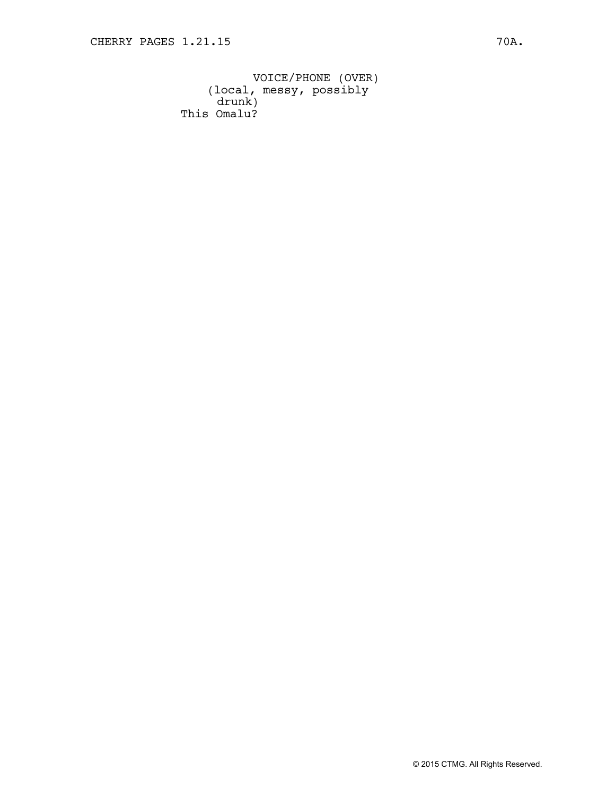VOICE/PHONE (OVER) (local, messy, possibly drunk) This Omalu?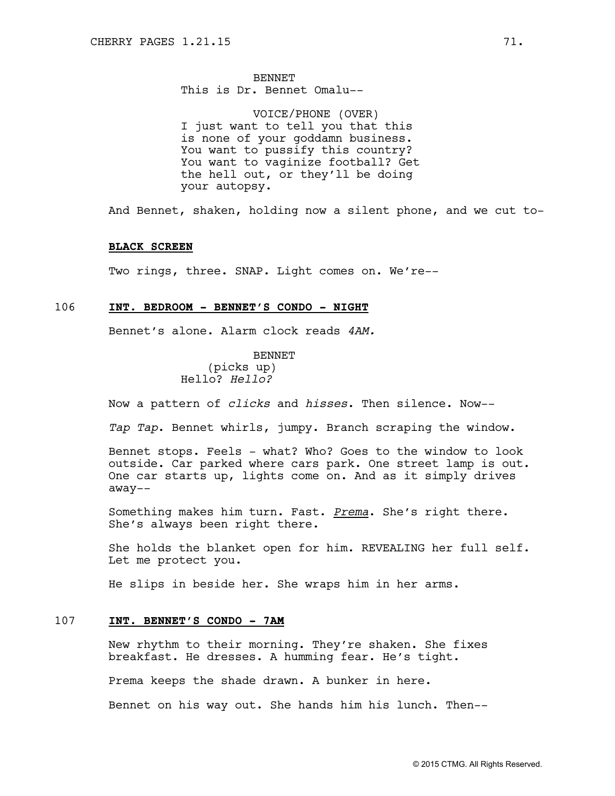**BENNET** This is Dr. Bennet Omalu--

VOICE/PHONE (OVER) I just want to tell you that this is none of your goddamn business. You want to pussify this country? You want to vaginize football? Get the hell out, or they'll be doing your autopsy.

And Bennet, shaken, holding now a silent phone, and we cut to-

#### **BLACK SCREEN**

Two rings, three. SNAP. Light comes on. We're--

### 106 **INT. BEDROOM - BENNET'S CONDO - NIGHT**

Bennet's alone. Alarm clock reads *4AM.*

BENNET (picks up) Hello? *Hello?*

Now a pattern of *clicks* and *hisses*. Then silence. Now--

*Tap Tap*. Bennet whirls, jumpy. Branch scraping the window.

Bennet stops. Feels - what? Who? Goes to the window to look outside. Car parked where cars park. One street lamp is out. One car starts up, lights come on. And as it simply drives away--

Something makes him turn. Fast. *Prema*. She's right there. She's always been right there.

She holds the blanket open for him. REVEALING her full self. Let me protect you.

He slips in beside her. She wraps him in her arms.

## 107 **INT. BENNET'S CONDO - 7AM**

New rhythm to their morning. They're shaken. She fixes breakfast. He dresses. A humming fear. He's tight.

Prema keeps the shade drawn. A bunker in here.

Bennet on his way out. She hands him his lunch. Then--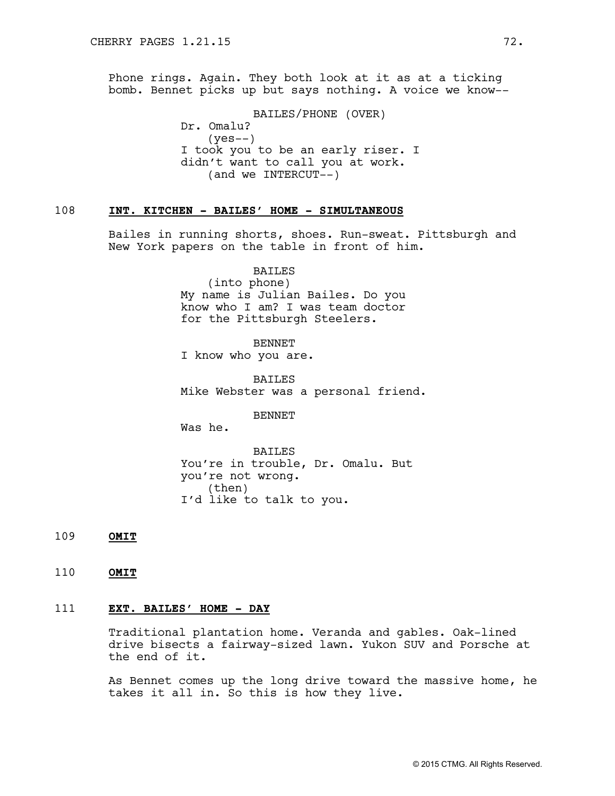Phone rings. Again. They both look at it as at a ticking bomb. Bennet picks up but says nothing. A voice we know--

> BAILES/PHONE (OVER) Dr. Omalu?  $(yes--)$ I took you to be an early riser. I didn't want to call you at work. (and we INTERCUT--)

## 108 **INT. KITCHEN - BAILES' HOME - SIMULTANEOUS**

Bailes in running shorts, shoes. Run-sweat. Pittsburgh and New York papers on the table in front of him.

> BAILES (into phone) My name is Julian Bailes. Do you know who I am? I was team doctor for the Pittsburgh Steelers.

> > **BENNET**

I know who you are.

BAILES Mike Webster was a personal friend.

BENNET

Was he.

**BATLES** You're in trouble, Dr. Omalu. But you're not wrong. (then) I'd like to talk to you.

- 109 **OMIT**
- 110 **OMIT**

## 111 **EXT. BAILES' HOME - DAY**

Traditional plantation home. Veranda and gables. Oak-lined drive bisects a fairway-sized lawn. Yukon SUV and Porsche at the end of it.

As Bennet comes up the long drive toward the massive home, he takes it all in. So this is how they live.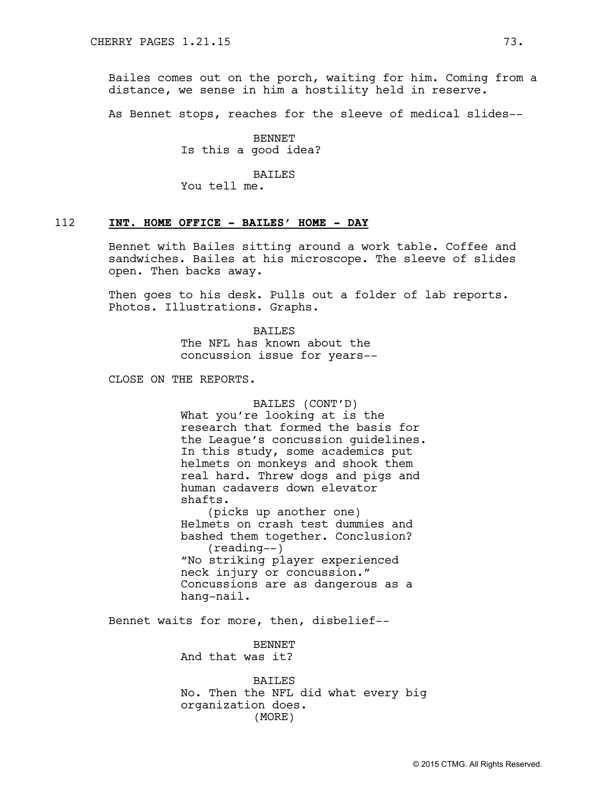Bailes comes out on the porch, waiting for him. Coming from a distance, we sense in him a hostility held in reserve.

As Bennet stops, reaches for the sleeve of medical slides--

BENNET Is this a good idea?

BAILES You tell me.

### 112 **INT. HOME OFFICE - BAILES' HOME - DAY**

Bennet with Bailes sitting around a work table. Coffee and sandwiches. Bailes at his microscope. The sleeve of slides open. Then backs away.

Then goes to his desk. Pulls out a folder of lab reports. Photos. Illustrations. Graphs.

> BAILES The NFL has known about the concussion issue for years--

CLOSE ON THE REPORTS.

BAILES (CONT'D) What you're looking at is the research that formed the basis for the League's concussion guidelines. In this study, some academics put helmets on monkeys and shook them real hard. Threw dogs and pigs and human cadavers down elevator shafts.

(picks up another one) Helmets on crash test dummies and bashed them together. Conclusion? (reading--) "No striking player experienced neck injury or concussion." Concussions are as dangerous as a hang-nail.

Bennet waits for more, then, disbelief--

BENNET And that was it?

BAILES No. Then the NFL did what every big organization does. (MORE)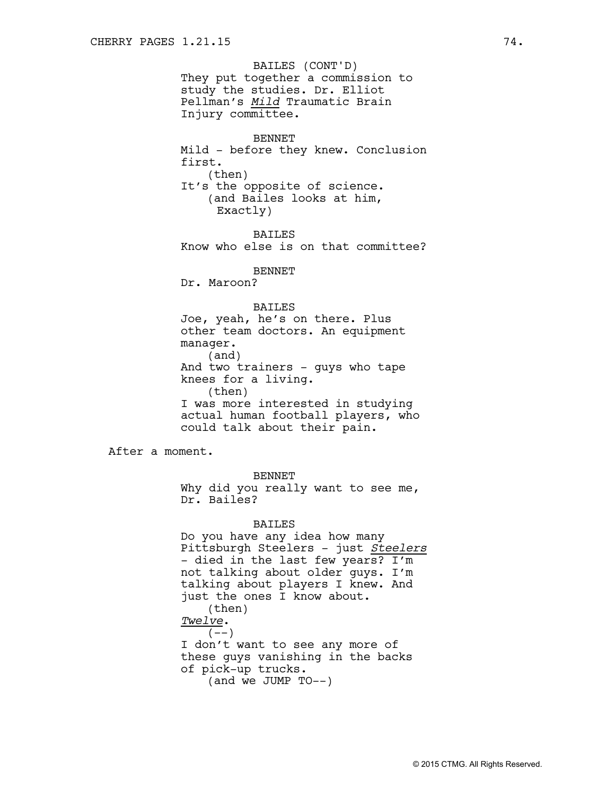They put together a commission to study the studies. Dr. Elliot Pellman's *Mild* Traumatic Brain Injury committee. BAILES (CONT'D)

BENNET Mild - before they knew. Conclusion first. (then) It's the opposite of science. (and Bailes looks at him, Exactly)

**BATLES** Know who else is on that committee?

BENNET

Dr. Maroon?

## BAILES

Joe, yeah, he's on there. Plus other team doctors. An equipment manager. (and) And two trainers - guys who tape knees for a living. (then) I was more interested in studying actual human football players, who could talk about their pain.

After a moment.

BENNET

Why did you really want to see me, Dr. Bailes?

BAILES Do you have any idea how many Pittsburgh Steelers - just *Steelers* - died in the last few years? I'm not talking about older guys. I'm talking about players I knew. And just the ones I know about. (then) *Twelve*.  $(--)$ I don't want to see any more of these guys vanishing in the backs of pick-up trucks. (and we JUMP TO--)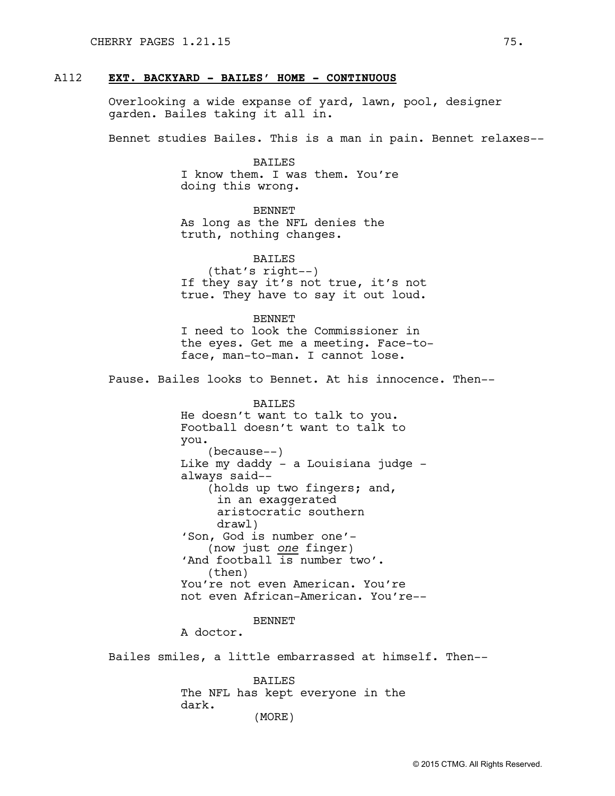### A112 **EXT. BACKYARD - BAILES' HOME - CONTINUOUS**

Overlooking a wide expanse of yard, lawn, pool, designer garden. Bailes taking it all in.

Bennet studies Bailes. This is a man in pain. Bennet relaxes--

**BATLES** 

I know them. I was them. You're doing this wrong.

BENNET As long as the NFL denies the truth, nothing changes.

BAILES (that's right--) If they say it's not true, it's not true. They have to say it out loud.

**BENNET** I need to look the Commissioner in the eyes. Get me a meeting. Face-toface, man-to-man. I cannot lose.

Pause. Bailes looks to Bennet. At his innocence. Then--

BAILES He doesn't want to talk to you. Football doesn't want to talk to you. (because--) Like my daddy - a Louisiana judge always said-- (holds up two fingers; and, in an exaggerated aristocratic southern drawl) 'Son, God is number one'- (now just *one* finger) 'And football is number two'. (then) You're not even American. You're not even African-American. You're--

#### BENNET

A doctor.

Bailes smiles, a little embarrassed at himself. Then--

BAILES The NFL has kept everyone in the dark. (MORE)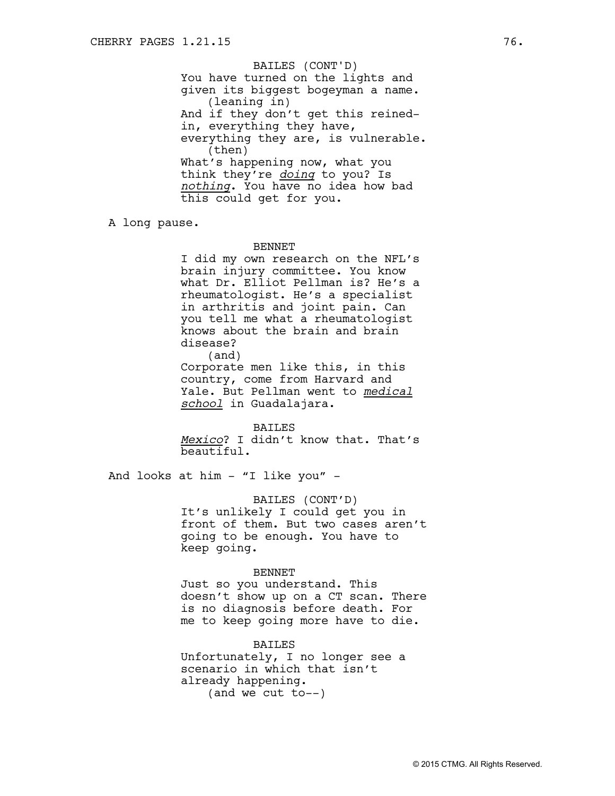You have turned on the lights and given its biggest bogeyman a name. (leaning in) And if they don't get this reinedin, everything they have, everything they are, is vulnerable. (then) What's happening now, what you think they're *doing* to you? Is *nothing*. You have no idea how bad this could get for you. BAILES (CONT'D)

A long pause.

#### BENNET

I did my own research on the NFL's brain injury committee. You know what Dr. Elliot Pellman is? He's a rheumatologist. He's a specialist in arthritis and joint pain. Can you tell me what a rheumatologist knows about the brain and brain disease?

(and) Corporate men like this, in this country, come from Harvard and Yale. But Pellman went to *medical school* in Guadalajara.

**BATLES** *Mexico*? I didn't know that. That's beautiful.

And looks at him - "I like you" -

BAILES (CONT'D) It's unlikely I could get you in front of them. But two cases aren't going to be enough. You have to keep going.

#### BENNET

Just so you understand. This doesn't show up on a CT scan. There is no diagnosis before death. For me to keep going more have to die.

#### BAILES

Unfortunately, I no longer see a scenario in which that isn't already happening. (and we cut to--)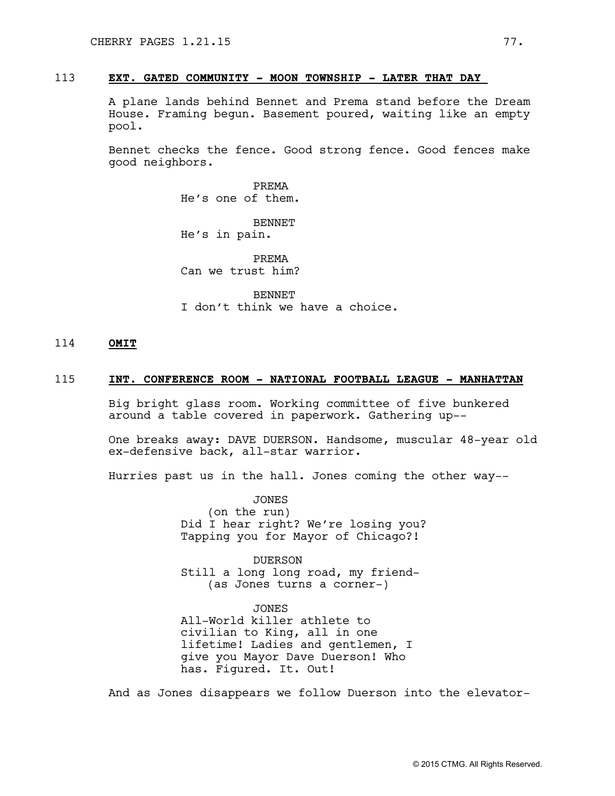# 113 **EXT. GATED COMMUNITY - MOON TOWNSHIP - LATER THAT DAY**

A plane lands behind Bennet and Prema stand before the Dream House. Framing begun. Basement poured, waiting like an empty pool.

Bennet checks the fence. Good strong fence. Good fences make good neighbors.

> PREMA He's one of them. BENNET

He's in pain.

PREMA Can we trust him?

BENNET I don't think we have a choice.

# 114 **OMIT**

### 115 **INT. CONFERENCE ROOM - NATIONAL FOOTBALL LEAGUE - MANHATTAN**

Big bright glass room. Working committee of five bunkered around a table covered in paperwork. Gathering up--

One breaks away: DAVE DUERSON. Handsome, muscular 48-year old ex-defensive back, all-star warrior.

Hurries past us in the hall. Jones coming the other way--

JONES (on the run) Did I hear right? We're losing you? Tapping you for Mayor of Chicago?!

DUERSON Still a long long road, my friend- (as Jones turns a corner-)

JONES

All-World killer athlete to civilian to King, all in one lifetime! Ladies and gentlemen, I give you Mayor Dave Duerson! Who has. Figured. It. Out!

And as Jones disappears we follow Duerson into the elevator-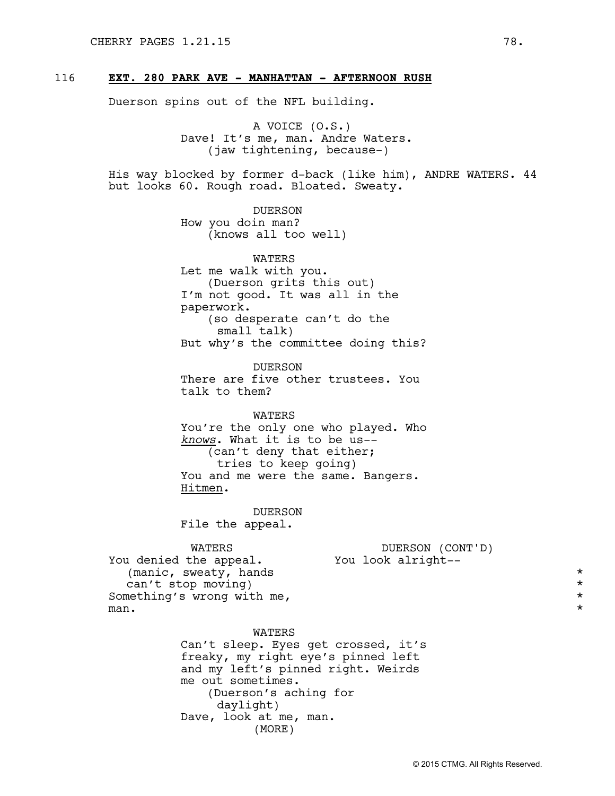## 116 **EXT. 280 PARK AVE - MANHATTAN - AFTERNOON RUSH**

Duerson spins out of the NFL building.

A VOICE (O.S.) Dave! It's me, man. Andre Waters. (jaw tightening, because-)

His way blocked by former d-back (like him), ANDRE WATERS. 44 but looks 60. Rough road. Bloated. Sweaty.

> DUERSON How you doin man? (knows all too well)

WATERS Let me walk with you. (Duerson grits this out) I'm not good. It was all in the paperwork. (so desperate can't do the small talk) But why's the committee doing this?

DUERSON There are five other trustees. You talk to them?

WATERS You're the only one who played. Who *knows*. What it is to be us-- (can't deny that either; tries to keep going) You and me were the same. Bangers. Hitmen.

DUERSON File the appeal.

WATERS You denied the appeal. (manic, sweaty, hands  $\star$ can't stop moving) \* Something's wrong with me, \* man.  $\star$ DUERSON (CONT'D) You look alright--

> WATERS Can't sleep. Eyes get crossed, it's freaky, my right eye's pinned left and my left's pinned right. Weirds me out sometimes. (Duerson's aching for daylight) Dave, look at me, man. (MORE)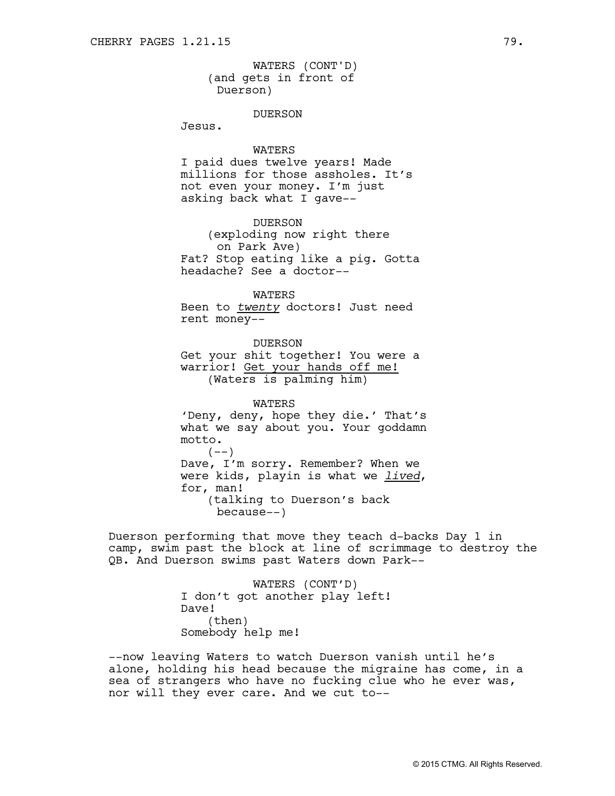(and gets in front of Duerson) WATERS (CONT'D)

#### DUERSON

Jesus.

WATERS I paid dues twelve years! Made millions for those assholes. It's not even your money. I'm just asking back what I gave--

DUERSON (exploding now right there on Park Ave) Fat? Stop eating like a pig. Gotta headache? See a doctor--

WATERS Been to *twenty* doctors! Just need rent money--

DUERSON Get your shit together! You were a warrior! Get your hands off me! (Waters is palming him)

WATERS 'Deny, deny, hope they die.' That's what we say about you. Your goddamn motto.  $(--)$ Dave, I'm sorry. Remember? When we were kids, playin is what we *lived*, for, man! (talking to Duerson's back because--)

Duerson performing that move they teach d-backs Day 1 in camp, swim past the block at line of scrimmage to destroy the QB. And Duerson swims past Waters down Park--

> WATERS (CONT'D) I don't got another play left! Dave! (then) Somebody help me!

--now leaving Waters to watch Duerson vanish until he's alone, holding his head because the migraine has come, in a sea of strangers who have no fucking clue who he ever was, nor will they ever care. And we cut to--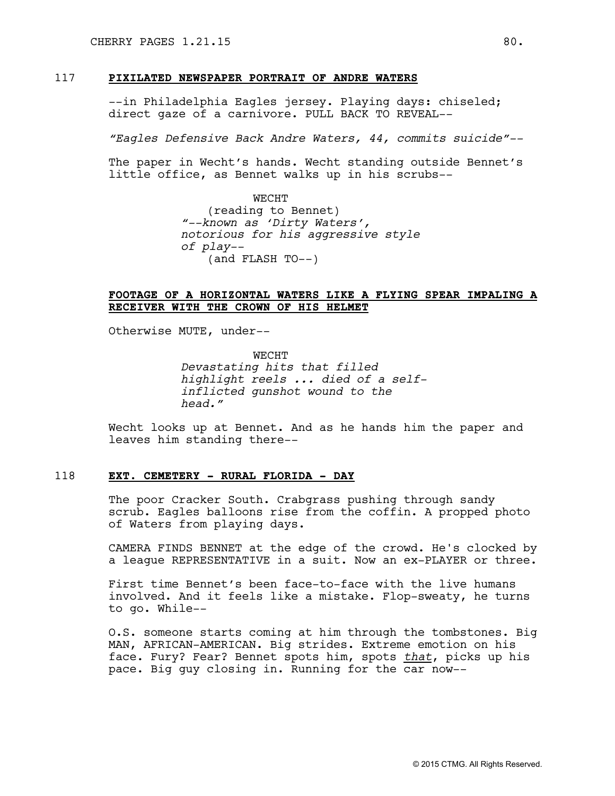### 117 **PIXILATED NEWSPAPER PORTRAIT OF ANDRE WATERS**

--in Philadelphia Eagles jersey. Playing days: chiseled; direct gaze of a carnivore. PULL BACK TO REVEAL--

*"Eagles Defensive Back Andre Waters, 44, commits suicide"--*

The paper in Wecht's hands. Wecht standing outside Bennet's little office, as Bennet walks up in his scrubs--

> WECHT (reading to Bennet) *"--known as 'Dirty Waters', notorious for his aggressive style of play--* (and FLASH TO--)

## **FOOTAGE OF A HORIZONTAL WATERS LIKE A FLYING SPEAR IMPALING A RECEIVER WITH THE CROWN OF HIS HELMET**

Otherwise MUTE, under--

WECHT *Devastating hits that filled highlight reels ... died of a selfinflicted gunshot wound to the head."*

Wecht looks up at Bennet. And as he hands him the paper and leaves him standing there--

### 118 **EXT. CEMETERY - RURAL FLORIDA - DAY**

The poor Cracker South. Crabgrass pushing through sandy scrub. Eagles balloons rise from the coffin. A propped photo of Waters from playing days.

CAMERA FINDS BENNET at the edge of the crowd. He's clocked by a league REPRESENTATIVE in a suit. Now an ex-PLAYER or three.

First time Bennet's been face-to-face with the live humans involved. And it feels like a mistake. Flop-sweaty, he turns to go. While--

O.S. someone starts coming at him through the tombstones. Big MAN, AFRICAN-AMERICAN. Big strides. Extreme emotion on his face. Fury? Fear? Bennet spots him, spots *that*, picks up his pace. Big guy closing in. Running for the car now--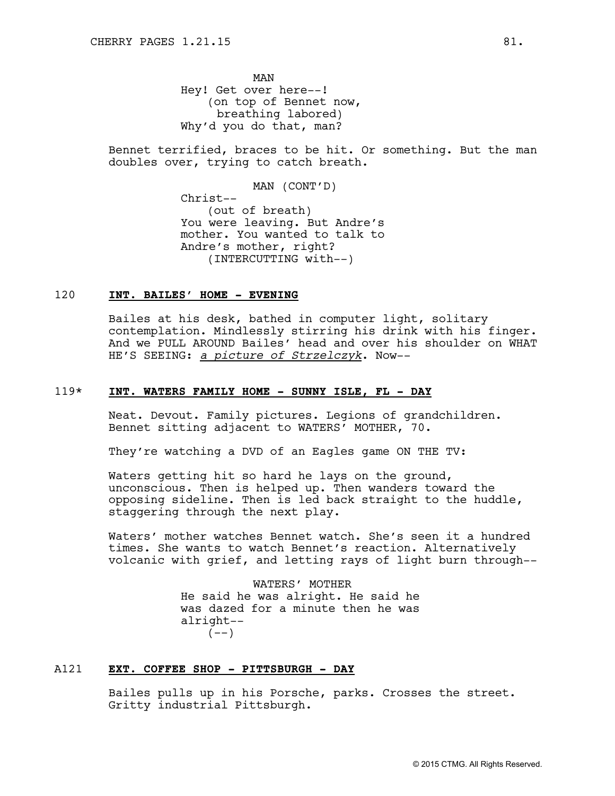MAN Hey! Get over here--! (on top of Bennet now, breathing labored) Why'd you do that, man?

Bennet terrified, braces to be hit. Or something. But the man doubles over, trying to catch breath.

> MAN (CONT'D) Christ-- (out of breath) You were leaving. But Andre's mother. You wanted to talk to Andre's mother, right? (INTERCUTTING with--)

### 120 **INT. BAILES' HOME - EVENING**

Bailes at his desk, bathed in computer light, solitary contemplation. Mindlessly stirring his drink with his finger. And we PULL AROUND Bailes' head and over his shoulder on WHAT HE'S SEEING: *a picture of Strzelczyk*. Now--

### 119\* **INT. WATERS FAMILY HOME - SUNNY ISLE, FL - DAY**

Neat. Devout. Family pictures. Legions of grandchildren. Bennet sitting adjacent to WATERS' MOTHER, 70.

They're watching a DVD of an Eagles game ON THE TV:

Waters getting hit so hard he lays on the ground, unconscious. Then is helped up. Then wanders toward the opposing sideline. Then is led back straight to the huddle, staggering through the next play.

Waters' mother watches Bennet watch. She's seen it a hundred times. She wants to watch Bennet's reaction. Alternatively volcanic with grief, and letting rays of light burn through--

> WATERS' MOTHER He said he was alright. He said he was dazed for a minute then he was alright--  $(--)$

# A121 **EXT. COFFEE SHOP - PITTSBURGH - DAY**

Bailes pulls up in his Porsche, parks. Crosses the street. Gritty industrial Pittsburgh.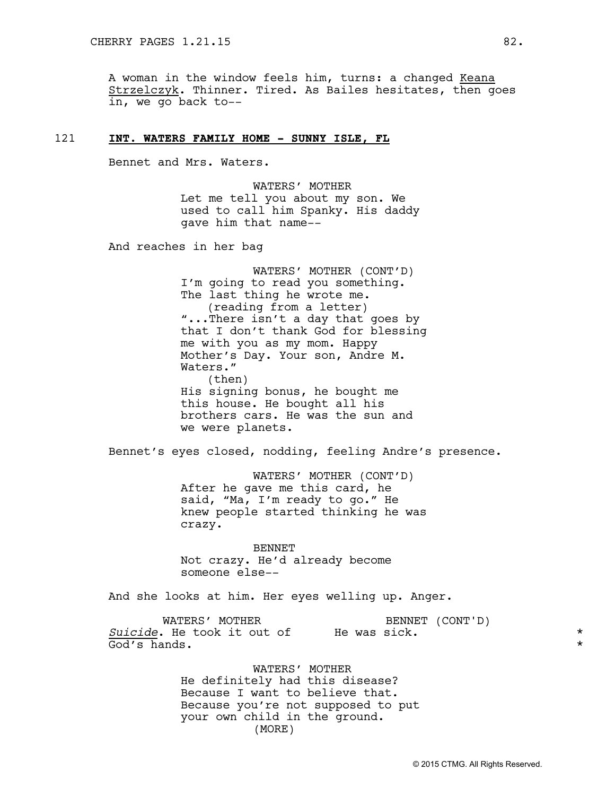A woman in the window feels him, turns: a changed Keana Strzelczyk. Thinner. Tired. As Bailes hesitates, then goes in, we go back to--

### 121 **INT. WATERS FAMILY HOME - SUNNY ISLE, FL**

Bennet and Mrs. Waters.

WATERS' MOTHER Let me tell you about my son. We used to call him Spanky. His daddy gave him that name--

And reaches in her bag

WATERS' MOTHER (CONT'D) I'm going to read you something. The last thing he wrote me. (reading from a letter) "...There isn't a day that goes by that I don't thank God for blessing me with you as my mom. Happy Mother's Day. Your son, Andre M. Waters." (then) His signing bonus, he bought me this house. He bought all his brothers cars. He was the sun and we were planets.

Bennet's eyes closed, nodding, feeling Andre's presence.

WATERS' MOTHER (CONT'D) After he gave me this card, he said, "Ma, I'm ready to go." He knew people started thinking he was crazy.

BENNET Not crazy. He'd already become someone else--

And she looks at him. Her eyes welling up. Anger.

WATERS' MOTHER *Suicide*. He took it out of \* He was sick. God's hands. BENNET (CONT'D)

> WATERS' MOTHER He definitely had this disease? Because I want to believe that. Because you're not supposed to put your own child in the ground. (MORE)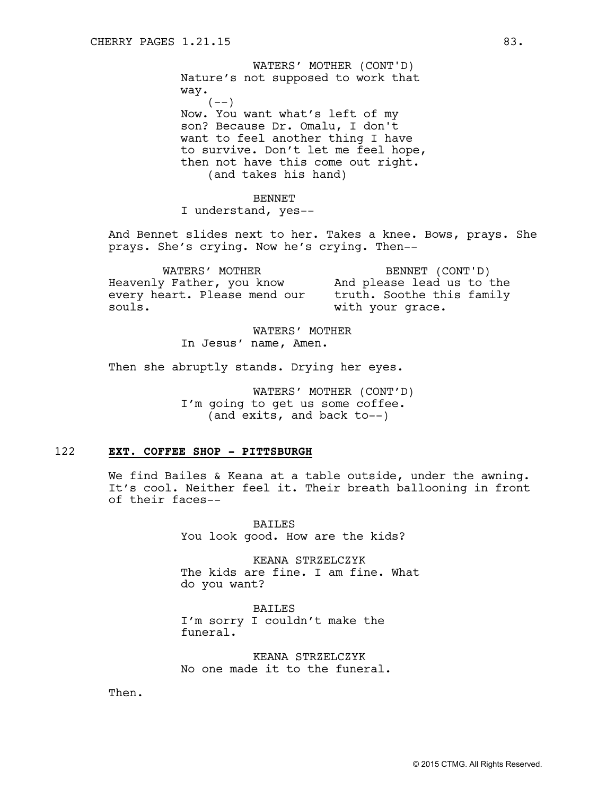Nature's not supposed to work that way.  $(--)$ Now. You want what's left of my son? Because Dr. Omalu, I don't want to feel another thing I have to survive. Don't let me feel hope, then not have this come out right. (and takes his hand) WATERS' MOTHER (CONT'D)

BENNET I understand, yes--

And Bennet slides next to her. Takes a knee. Bows, prays. She prays. She's crying. Now he's crying. Then--

WATERS' MOTHER Heavenly Father, you know And please lead us to the every heart. Please mend our truth. Soothe this family souls.

BENNET (CONT'D) with your grace.

WATERS' MOTHER In Jesus' name, Amen.

Then she abruptly stands. Drying her eyes.

WATERS' MOTHER (CONT'D) I'm going to get us some coffee. (and exits, and back to--)

### 122 **EXT. COFFEE SHOP - PITTSBURGH**

We find Bailes & Keana at a table outside, under the awning. It's cool. Neither feel it. Their breath ballooning in front of their faces--

> BAILES You look good. How are the kids?

KEANA STRZELCZYK The kids are fine. I am fine. What do you want?

BAILES I'm sorry I couldn't make the funeral.

KEANA STRZELCZYK No one made it to the funeral.

Then.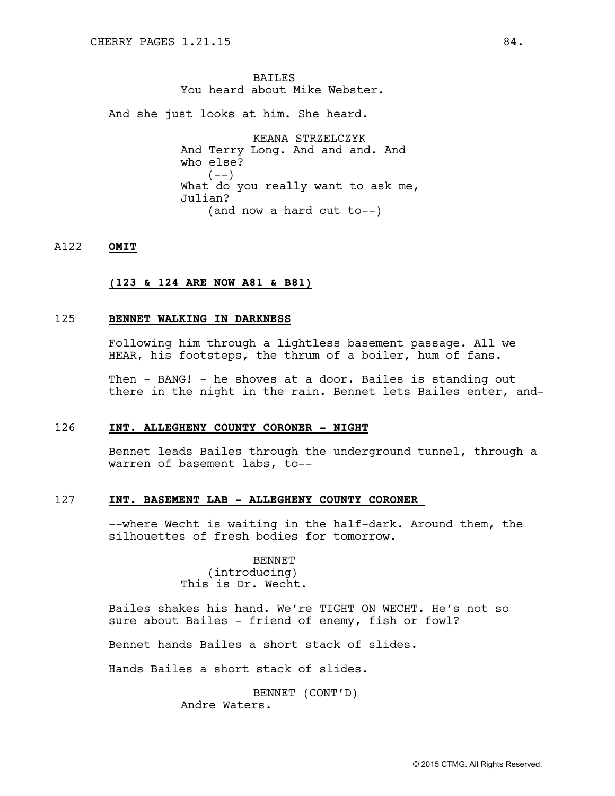**BATLES** You heard about Mike Webster.

And she just looks at him. She heard.

KEANA STRZELCZYK And Terry Long. And and and. And who else?  $(--)$ What do you really want to ask me, Julian? (and now a hard cut to--)

### A122 **OMIT**

## **(123 & 124 ARE NOW A81 & B81)**

### 125 **BENNET WALKING IN DARKNESS**

Following him through a lightless basement passage. All we HEAR, his footsteps, the thrum of a boiler, hum of fans.

Then - BANG! - he shoves at a door. Bailes is standing out there in the night in the rain. Bennet lets Bailes enter, and-

### 126 **INT. ALLEGHENY COUNTY CORONER - NIGHT**

Bennet leads Bailes through the underground tunnel, through a warren of basement labs, to--

### 127 **INT. BASEMENT LAB - ALLEGHENY COUNTY CORONER**

--where Wecht is waiting in the half-dark. Around them, the silhouettes of fresh bodies for tomorrow.

> BENNET (introducing) This is Dr. Wecht.

Bailes shakes his hand. We're TIGHT ON WECHT. He's not so sure about Bailes - friend of enemy, fish or fowl?

Bennet hands Bailes a short stack of slides.

Hands Bailes a short stack of slides.

BENNET (CONT'D) Andre Waters.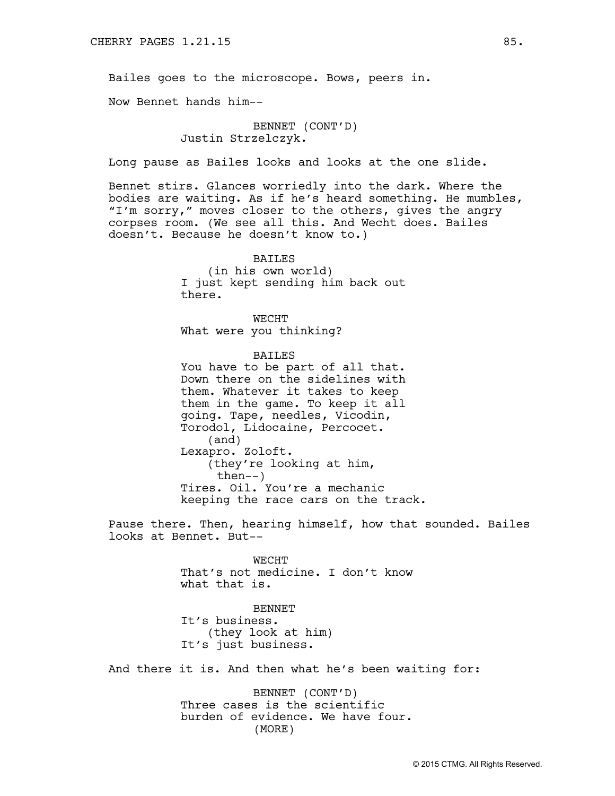Bailes goes to the microscope. Bows, peers in.

Now Bennet hands him--

BENNET (CONT'D) Justin Strzelczyk.

Long pause as Bailes looks and looks at the one slide.

Bennet stirs. Glances worriedly into the dark. Where the bodies are waiting. As if he's heard something. He mumbles, "I'm sorry," moves closer to the others, gives the angry corpses room. (We see all this. And Wecht does. Bailes doesn't. Because he doesn't know to.)

> BAILES (in his own world) I just kept sending him back out there.

WECHT What were you thinking?

BAILES You have to be part of all that. Down there on the sidelines with them. Whatever it takes to keep them in the game. To keep it all going. Tape, needles, Vicodin, Torodol, Lidocaine, Percocet. (and) Lexapro. Zoloft. (they're looking at him, then--) Tires. Oil. You're a mechanic keeping the race cars on the track.

Pause there. Then, hearing himself, how that sounded. Bailes looks at Bennet. But--

> WECHT That's not medicine. I don't know what that is.

**BENNET** It's business. (they look at him) It's just business.

And there it is. And then what he's been waiting for:

BENNET (CONT'D) Three cases is the scientific burden of evidence. We have four. (MORE)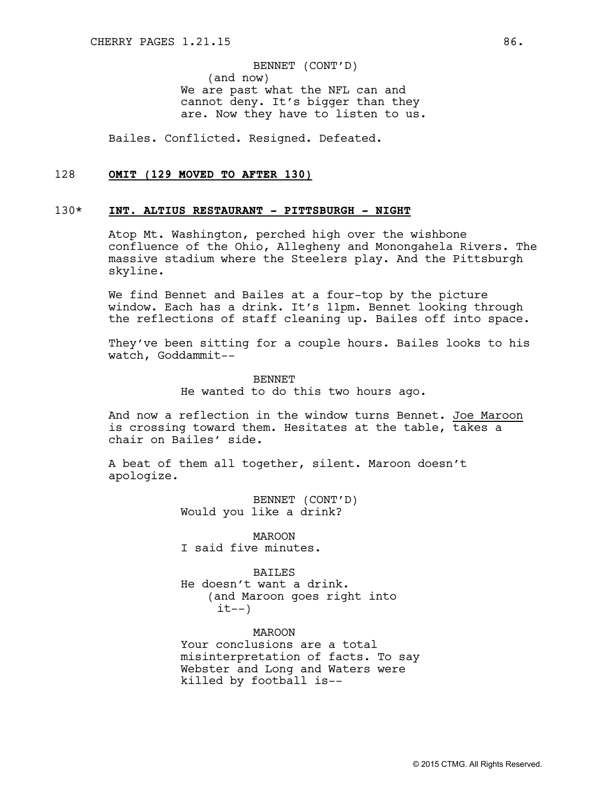(and now) We are past what the NFL can and cannot deny. It's bigger than they are. Now they have to listen to us. BENNET (CONT'D)

Bailes. Conflicted. Resigned. Defeated.

## 128 **OMIT (129 MOVED TO AFTER 130)**

### 130\* **INT. ALTIUS RESTAURANT - PITTSBURGH - NIGHT**

Atop Mt. Washington, perched high over the wishbone confluence of the Ohio, Allegheny and Monongahela Rivers. The massive stadium where the Steelers play. And the Pittsburgh skyline.

We find Bennet and Bailes at a four-top by the picture window. Each has a drink. It's 11pm. Bennet looking through the reflections of staff cleaning up. Bailes off into space.

They've been sitting for a couple hours. Bailes looks to his watch, Goddammit--

> BENNET He wanted to do this two hours ago.

And now a reflection in the window turns Bennet. Joe Maroon is crossing toward them. Hesitates at the table, takes a chair on Bailes' side.

A beat of them all together, silent. Maroon doesn't apologize.

> BENNET (CONT'D) Would you like a drink?

MAROON I said five minutes.

BAILES He doesn't want a drink. (and Maroon goes right into  $it--)$ 

MAROON Your conclusions are a total misinterpretation of facts. To say Webster and Long and Waters were killed by football is--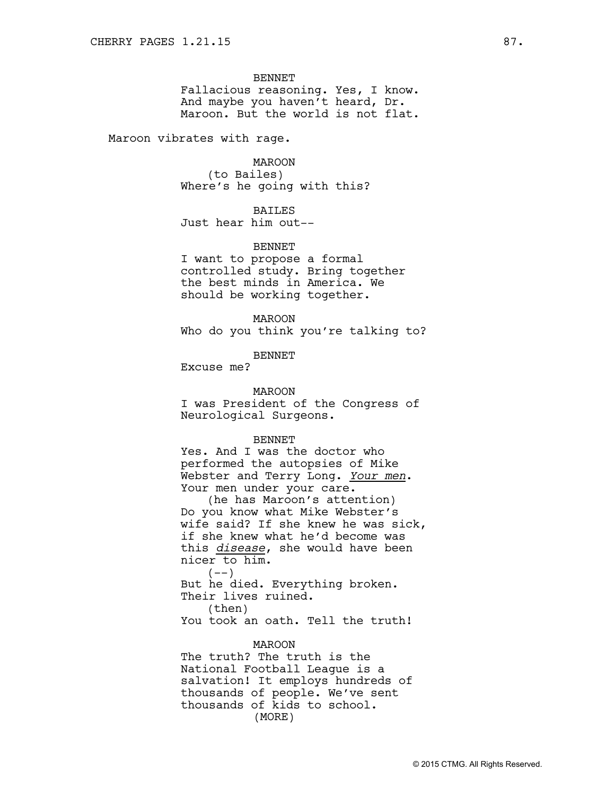#### **BENNET**

Fallacious reasoning. Yes, I know. And maybe you haven't heard, Dr. Maroon. But the world is not flat**.**

Maroon vibrates with rage.

MAROON (to Bailes) Where's he going with this?

BAILES

Just hear him out--

#### BENNET

I want to propose a formal controlled study. Bring together the best minds in America. We should be working together.

MAROON Who do you think you're talking to?

BENNET

Excuse me?

#### MAROON

I was President of the Congress of Neurological Surgeons.

#### BENNET

Yes. And I was the doctor who performed the autopsies of Mike Webster and Terry Long. *Your men*. Your men under your care.

(he has Maroon's attention) Do you know what Mike Webster's wife said? If she knew he was sick, if she knew what he'd become was this *disease*, she would have been nicer to him.

 $(--)$ But he died. Everything broken. Their lives ruined. (then) You took an oath. Tell the truth!

#### MAROON

The truth? The truth is the National Football League is a salvation! It employs hundreds of thousands of people. We've sent thousands of kids to school. (MORE)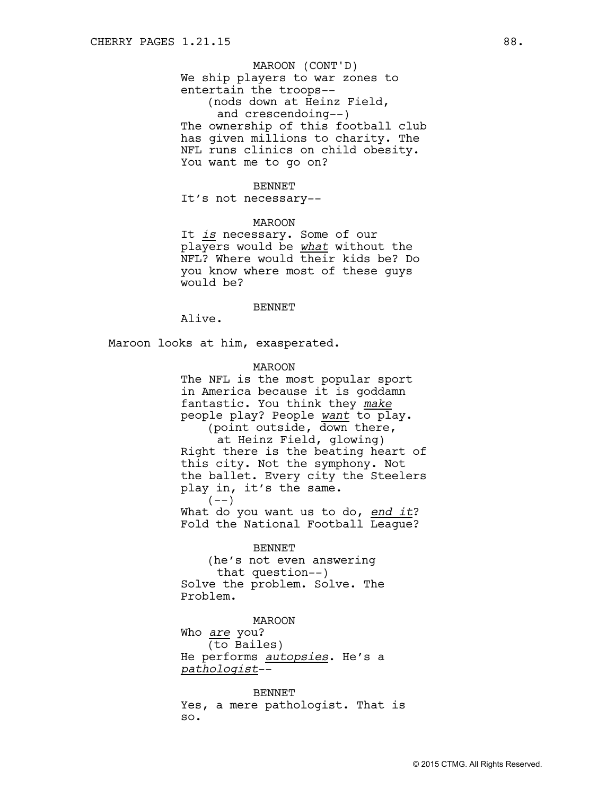We ship players to war zones to entertain the troops-- (nods down at Heinz Field, and crescendoing--) The ownership of this football club has given millions to charity. The NFL runs clinics on child obesity. You want me to go on? MAROON (CONT'D)

#### BENNET

It's not necessary--

#### MAROON

It *is* necessary. Some of our players would be *what* without the NFL? Where would their kids be? Do you know where most of these guys would be?

#### BENNET

Alive.

Maroon looks at him, exasperated.

### MAROON

The NFL is the most popular sport in America because it is goddamn fantastic. You think they *make* people play? People *want* to play. (point outside, down there, at Heinz Field, glowing) Right there is the beating heart of this city. Not the symphony. Not the ballet. Every city the Steelers play in, it's the same.  $(--)$ What do you want us to do, *end it*? Fold the National Football League?

#### BENNET

(he's not even answering that question--) Solve the problem. Solve. The Problem.

MAROON Who *are* you? (to Bailes) He performs *autopsies*. He's a *pathologist*--

BENNET Yes, a mere pathologist. That is so.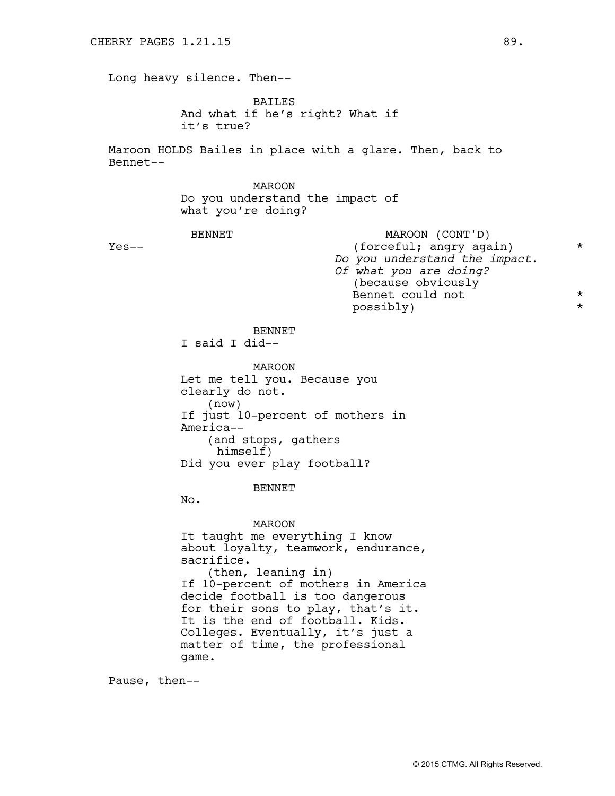Long heavy silence. Then--

BAILES And what if he's right? What if it's true?

Maroon HOLDS Bailes in place with a glare. Then, back to Bennet--

> MAROON Do you understand the impact of what you're doing?

BENNET

Yes--  $\qquad \qquad$  (forceful; angry again)  $\qquad \qquad \star$ MAROON (CONT'D) *Do you understand the impact. Of what you are doing?* (because obviously Bennet could not \* possibly) \*

> BENNET I said I did--

MAROON Let me tell you. Because you clearly do not. (now) If just 10-percent of mothers in America-- (and stops, gathers himself) Did you ever play football?

BENNET

No.

MAROON It taught me everything I know about loyalty, teamwork, endurance, sacrifice. (then, leaning in) If 10-percent of mothers in America decide football is too dangerous for their sons to play, that's it. It is the end of football. Kids. Colleges. Eventually, it's just a matter of time, the professional game.

Pause, then--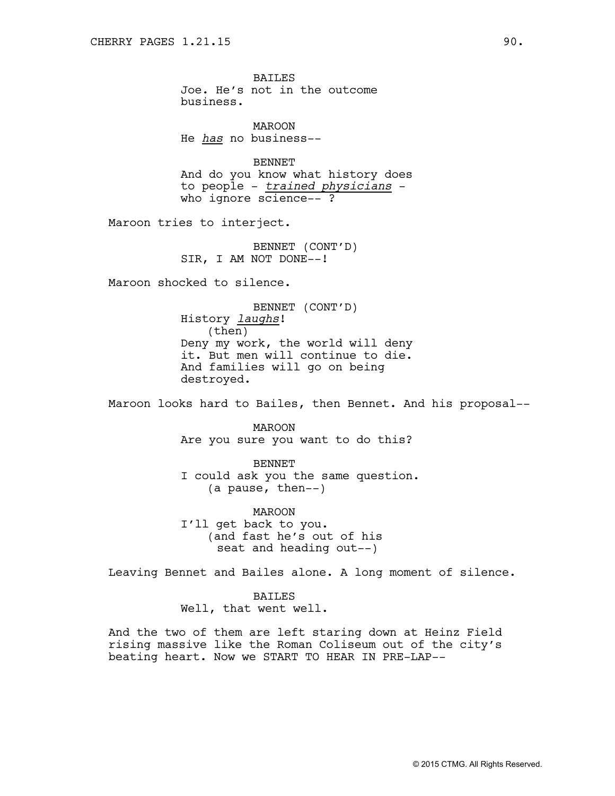**BATLES** Joe. He's not in the outcome business.

MAROON He *has* no business--

BENNET And do you know what history does to people - *trained physicians* who ignore science-- ?

Maroon tries to interject.

BENNET (CONT'D) SIR, I AM NOT DONE--!

Maroon shocked to silence.

BENNET (CONT'D) History *laughs*! (then) Deny my work, the world will deny it. But men will continue to die. And families will go on being destroyed.

Maroon looks hard to Bailes, then Bennet. And his proposal--

MAROON Are you sure you want to do this?

BENNET I could ask you the same question. (a pause, then--)

MAROON I'll get back to you. (and fast he's out of his seat and heading out--)

Leaving Bennet and Bailes alone. A long moment of silence.

BAILES Well, that went well.

And the two of them are left staring down at Heinz Field rising massive like the Roman Coliseum out of the city's beating heart. Now we START TO HEAR IN PRE-LAP--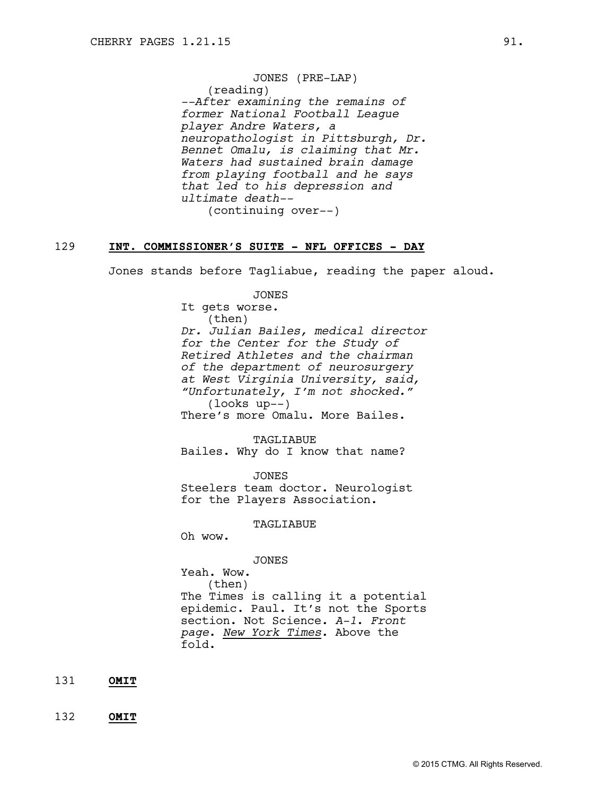JONES (PRE-LAP) (reading) *--After examining the remains of former National Football League player Andre Waters, a neuropathologist in Pittsburgh, Dr. Bennet Omalu, is claiming that Mr. Waters had sustained brain damage from playing football and he says that led to his depression and ultimate death--* (continuing over--)

### 129 **INT. COMMISSIONER'S SUITE - NFL OFFICES - DAY**

Jones stands before Tagliabue, reading the paper aloud.

JONES It gets worse. (then) *Dr. Julian Bailes, medical director for the Center for the Study of Retired Athletes and the chairman of the department of neurosurgery at West Virginia University, said, "Unfortunately, I'm not shocked."* (looks up--) There's more Omalu. More Bailes.

TAGLIABUE Bailes. Why do I know that name?

JONES Steelers team doctor. Neurologist for the Players Association.

TAGLIABUE

Oh wow.

JONES

Yeah. Wow. (then) The Times is calling it a potential epidemic. Paul. It's not the Sports section. Not Science. *A-1*. *Front page*. *New York Times*. Above the fold.

131 **OMIT**

132 **OMIT**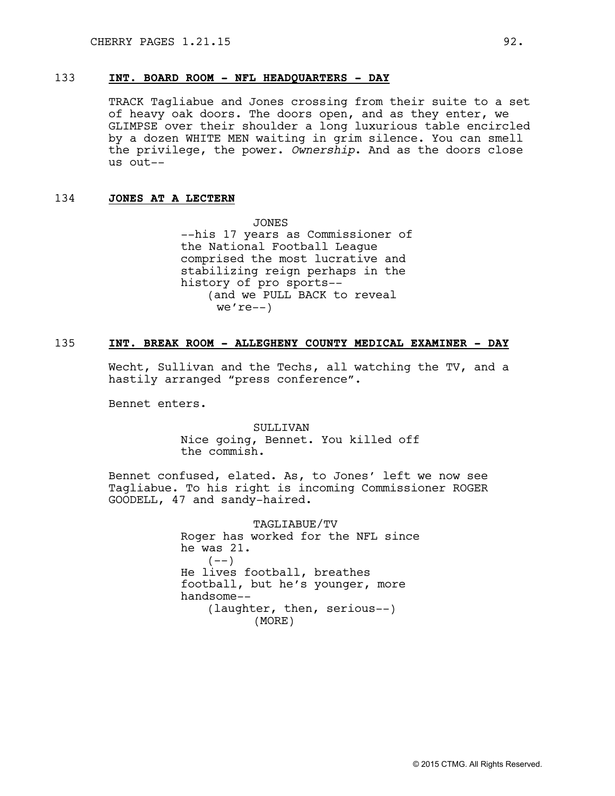# 133 **INT. BOARD ROOM - NFL HEADQUARTERS - DAY**

TRACK Tagliabue and Jones crossing from their suite to a set of heavy oak doors. The doors open, and as they enter, we GLIMPSE over their shoulder a long luxurious table encircled by a dozen WHITE MEN waiting in grim silence. You can smell the privilege, the power. *Ownership*. And as the doors close us out--

### 134 **JONES AT A LECTERN**

JONES --his 17 years as Commissioner of the National Football League comprised the most lucrative and stabilizing reign perhaps in the history of pro sports-- (and we PULL BACK to reveal we're--)

# 135 **INT. BREAK ROOM - ALLEGHENY COUNTY MEDICAL EXAMINER - DAY**

Wecht, Sullivan and the Techs, all watching the TV, and a hastily arranged "press conference".

Bennet enters.

SULLIJVAN Nice going, Bennet. You killed off the commish.

Bennet confused, elated. As, to Jones' left we now see Tagliabue. To his right is incoming Commissioner ROGER GOODELL, 47 and sandy-haired.

> TAGLIABUE/TV Roger has worked for the NFL since he was 21.  $(--)$ He lives football, breathes football, but he's younger, more handsome-- (laughter, then, serious--) (MORE)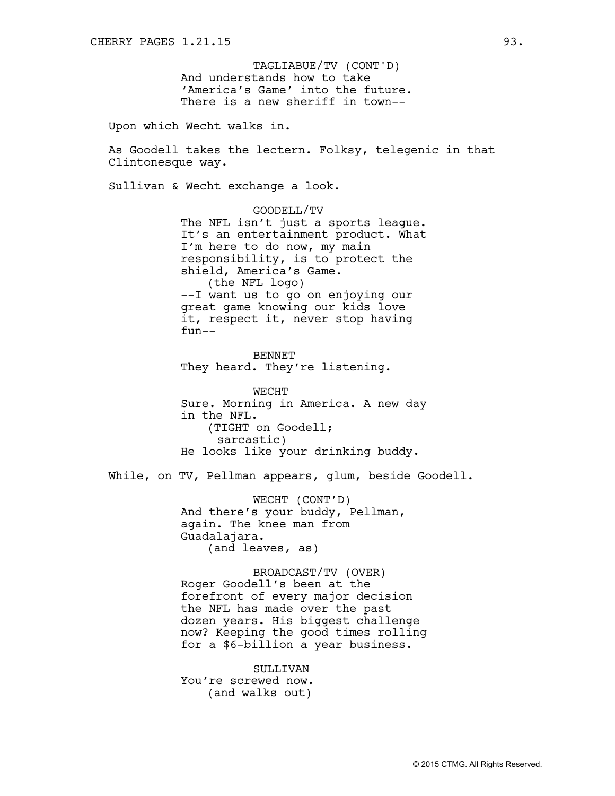And understands how to take 'America's Game' into the future. There is a new sheriff in town-- TAGLIABUE/TV (CONT'D)

Upon which Wecht walks in.

As Goodell takes the lectern. Folksy, telegenic in that Clintonesque way.

Sullivan & Wecht exchange a look.

GOODELL/TV The NFL isn't just a sports league. It's an entertainment product. What I'm here to do now, my main responsibility, is to protect the shield, America's Game. (the NFL logo) --I want us to go on enjoying our great game knowing our kids love it, respect it, never stop having fun--

BENNET They heard. They're listening.

WECHT Sure. Morning in America. A new day in the NFL. (TIGHT on Goodell; sarcastic) He looks like your drinking buddy.

While, on TV, Pellman appears, glum, beside Goodell.

WECHT (CONT'D) And there's your buddy, Pellman, again. The knee man from Guadalajara. (and leaves, as)

BROADCAST/TV (OVER) Roger Goodell's been at the forefront of every major decision the NFL has made over the past dozen years. His biggest challenge now? Keeping the good times rolling for a \$6-billion a year business.

SULLIVAN You're screwed now. (and walks out)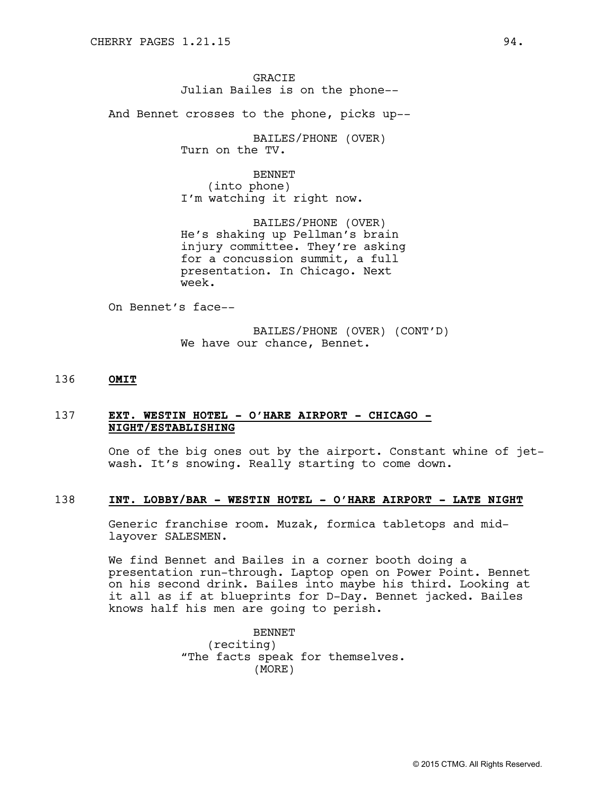**GRACTE** Julian Bailes is on the phone--

And Bennet crosses to the phone, picks up--

BAILES/PHONE (OVER) Turn on the TV.

BENNET (into phone) I'm watching it right now.

BAILES/PHONE (OVER) He's shaking up Pellman's brain injury committee. They're asking for a concussion summit, a full presentation. In Chicago. Next week.

On Bennet's face--

BAILES/PHONE (OVER) (CONT'D) We have our chance, Bennet.

### 136 **OMIT**

## 137 **EXT. WESTIN HOTEL - O'HARE AIRPORT - CHICAGO - NIGHT/ESTABLISHING**

One of the big ones out by the airport. Constant whine of jetwash. It's snowing. Really starting to come down.

### 138 **INT. LOBBY/BAR - WESTIN HOTEL - O'HARE AIRPORT - LATE NIGHT**

Generic franchise room. Muzak, formica tabletops and midlayover SALESMEN.

We find Bennet and Bailes in a corner booth doing a presentation run-through. Laptop open on Power Point. Bennet on his second drink. Bailes into maybe his third. Looking at it all as if at blueprints for D-Day. Bennet jacked. Bailes knows half his men are going to perish.

> **BENNET** (reciting) "The facts speak for themselves. (MORE)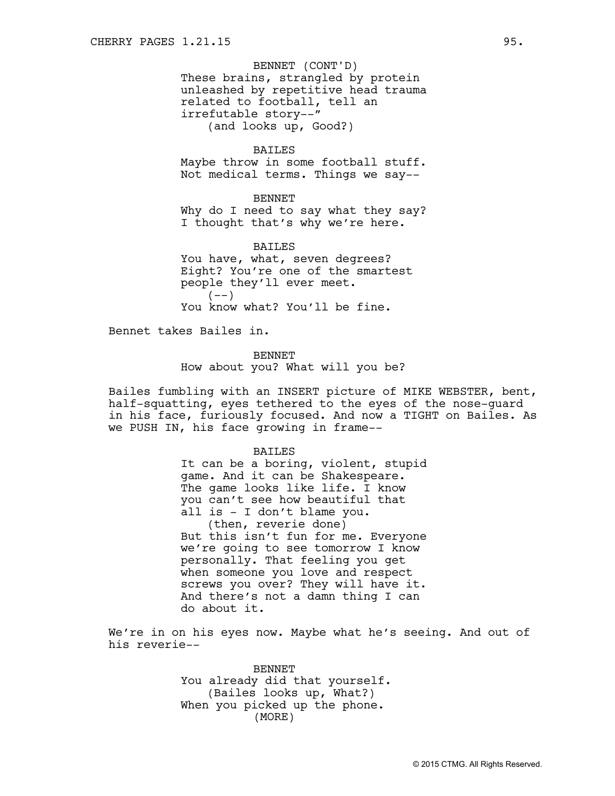These brains, strangled by protein unleashed by repetitive head trauma related to football, tell an irrefutable story--" (and looks up, Good?) BENNET (CONT'D)

BAILES

Maybe throw in some football stuff. Not medical terms. Things we say--

#### BENNET

Why do I need to say what they say? I thought that's why we're here.

BAILES

You have, what, seven degrees? Eight? You're one of the smartest people they'll ever meet.  $(--)$ You know what? You'll be fine.

Bennet takes Bailes in.

BENNET How about you? What will you be?

Bailes fumbling with an INSERT picture of MIKE WEBSTER, bent, half-squatting, eyes tethered to the eyes of the nose-guard in his face, furiously focused. And now a TIGHT on Bailes. As we PUSH IN, his face growing in frame--

## BAILES

It can be a boring, violent, stupid game. And it can be Shakespeare. The game looks like life. I know you can't see how beautiful that all is - I don't blame you. (then, reverie done) But this isn't fun for me. Everyone we're going to see tomorrow I know personally. That feeling you get when someone you love and respect screws you over? They will have it. And there's not a damn thing I can do about it.

We're in on his eyes now. Maybe what he's seeing. And out of his reverie--

> BENNET You already did that yourself. (Bailes looks up, What?) When you picked up the phone. (MORE)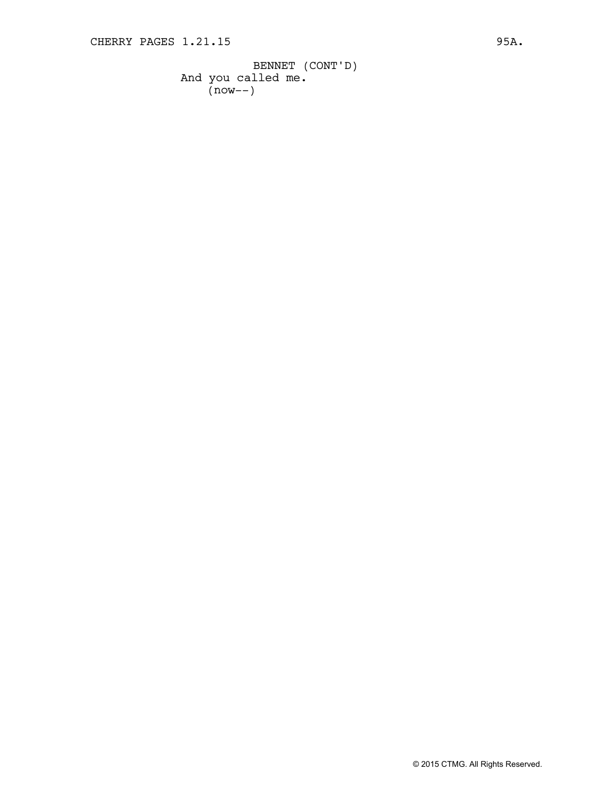And you called me.  $(now--)$ BENNET (CONT'D)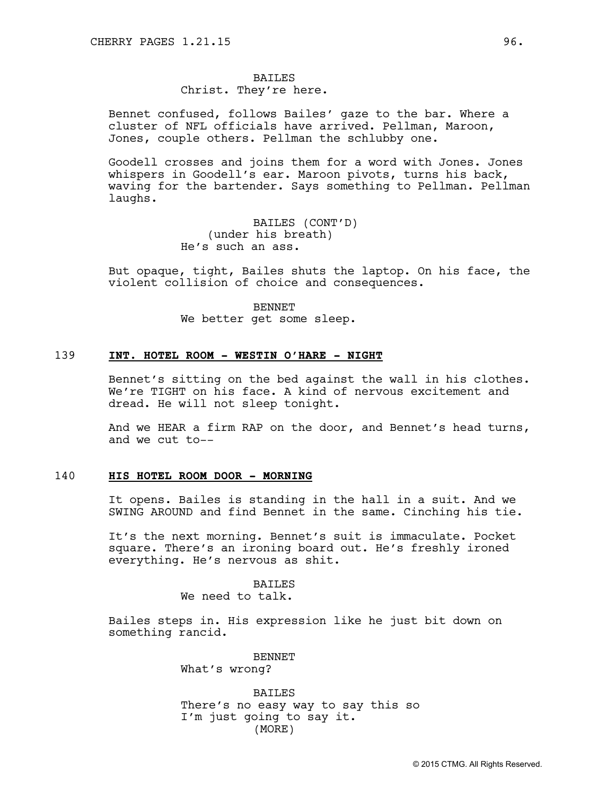### **BATLES**

Christ. They're here.

Bennet confused, follows Bailes' gaze to the bar. Where a cluster of NFL officials have arrived. Pellman, Maroon, Jones, couple others. Pellman the schlubby one.

Goodell crosses and joins them for a word with Jones. Jones whispers in Goodell's ear. Maroon pivots, turns his back, waving for the bartender. Says something to Pellman. Pellman laughs.

> BAILES (CONT'D) (under his breath) He's such an ass.

But opaque, tight, Bailes shuts the laptop. On his face, the violent collision of choice and consequences.

> BENNET We better get some sleep.

### 139 **INT. HOTEL ROOM - WESTIN O'HARE - NIGHT**

Bennet's sitting on the bed against the wall in his clothes. We're TIGHT on his face. A kind of nervous excitement and dread. He will not sleep tonight.

And we HEAR a firm RAP on the door, and Bennet's head turns, and we cut to--

## 140 **HIS HOTEL ROOM DOOR - MORNING**

It opens. Bailes is standing in the hall in a suit. And we SWING AROUND and find Bennet in the same. Cinching his tie.

It's the next morning. Bennet's suit is immaculate. Pocket square. There's an ironing board out. He's freshly ironed everything. He's nervous as shit.

**BATLES** 

We need to talk.

Bailes steps in. His expression like he just bit down on something rancid.

> BENNET What's wrong?

BAILES There's no easy way to say this so I'm just going to say it. (MORE)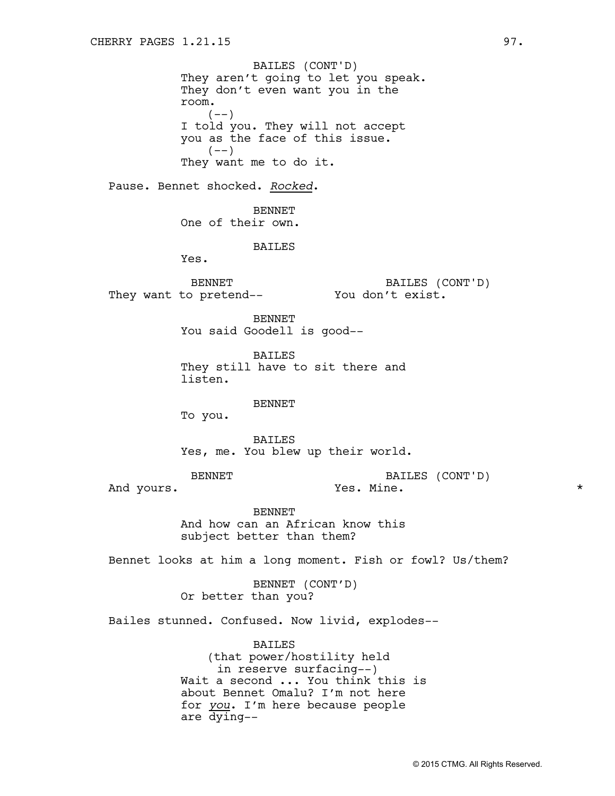They aren't going to let you speak. They don't even want you in the room.  $(--)$ I told you. They will not accept you as the face of this issue.  $(--)$ They want me to do it. Pause. Bennet shocked. *Rocked*. BENNET One of their own. **BATLES** Yes. BENNET They want to pretend-- BAILES (CONT'D) You don't exist. BENNET You said Goodell is good-- BAILES They still have to sit there and listen. BENNET To you. BAILES Yes, me. You blew up their world. BENNET And yours. BAILES (CONT'D) Yes. Mine.  $\star$ BENNET And how can an African know this subject better than them? Bennet looks at him a long moment. Fish or fowl? Us/them? BENNET (CONT'D) Or better than you? Bailes stunned. Confused. Now livid, explodes-- BAILES (that power/hostility held in reserve surfacing--) Wait a second ... You think this is about Bennet Omalu? I'm not here BAILES (CONT'D)

for *you*. I'm here because people are dying--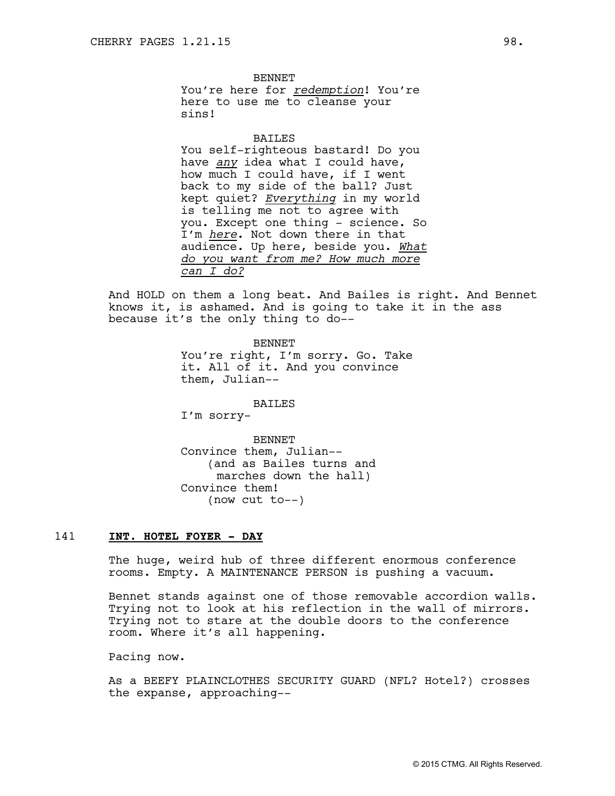**BENNET** You're here for *redemption*! You're here to use me to cleanse your sins!

### BAILES

You self-righteous bastard! Do you have *any* idea what I could have, how much I could have, if I went back to my side of the ball? Just kept quiet? *Everything* in my world is telling me not to agree with you. Except one thing - science. So I'm *here*. Not down there in that audience. Up here, beside you. *What do you want from me? How much more can I do?*

And HOLD on them a long beat. And Bailes is right. And Bennet knows it, is ashamed. And is going to take it in the ass because it's the only thing to do--

> **BENNET** You're right, I'm sorry. Go. Take it. All of it. And you convince them, Julian--

> > BAILES

I'm sorry-

BENNET Convince them, Julian-- (and as Bailes turns and marches down the hall) Convince them! (now cut to--)

## 141 **INT. HOTEL FOYER - DAY**

The huge, weird hub of three different enormous conference rooms. Empty. A MAINTENANCE PERSON is pushing a vacuum.

Bennet stands against one of those removable accordion walls. Trying not to look at his reflection in the wall of mirrors. Trying not to stare at the double doors to the conference room. Where it's all happening.

Pacing now.

As a BEEFY PLAINCLOTHES SECURITY GUARD (NFL? Hotel?) crosses the expanse, approaching--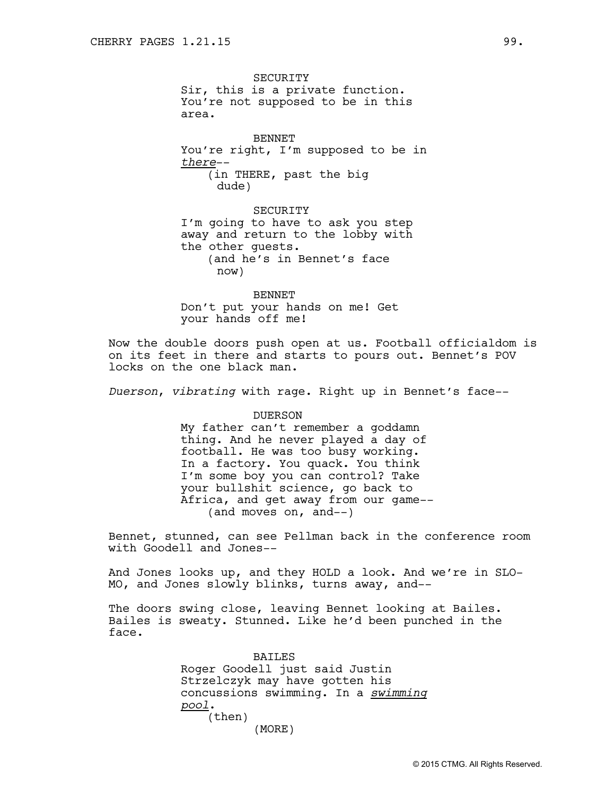**SECURITY** Sir, this is a private function. You're not supposed to be in this area.

BENNET You're right, I'm supposed to be in *there*-- (in THERE, past the big dude)

SECURITY I'm going to have to ask you step away and return to the lobby with the other guests. (and he's in Bennet's face now)

BENNET Don't put your hands on me! Get your hands off me!

Now the double doors push open at us. Football officialdom is on its feet in there and starts to pours out. Bennet's POV locks on the one black man.

*Duerson*, *vibrating* with rage. Right up in Bennet's face--

DUERSON My father can't remember a goddamn thing. And he never played a day of football. He was too busy working. In a factory. You quack. You think I'm some boy you can control? Take your bullshit science, go back to Africa, and get away from our game-- (and moves on, and--)

Bennet, stunned, can see Pellman back in the conference room with Goodell and Jones--

And Jones looks up, and they HOLD a look. And we're in SLO-MO, and Jones slowly blinks, turns away, and--

The doors swing close, leaving Bennet looking at Bailes. Bailes is sweaty. Stunned. Like he'd been punched in the face.

> BAILES Roger Goodell just said Justin Strzelczyk may have gotten his concussions swimming. In a *swimming pool*. (then) (MORE)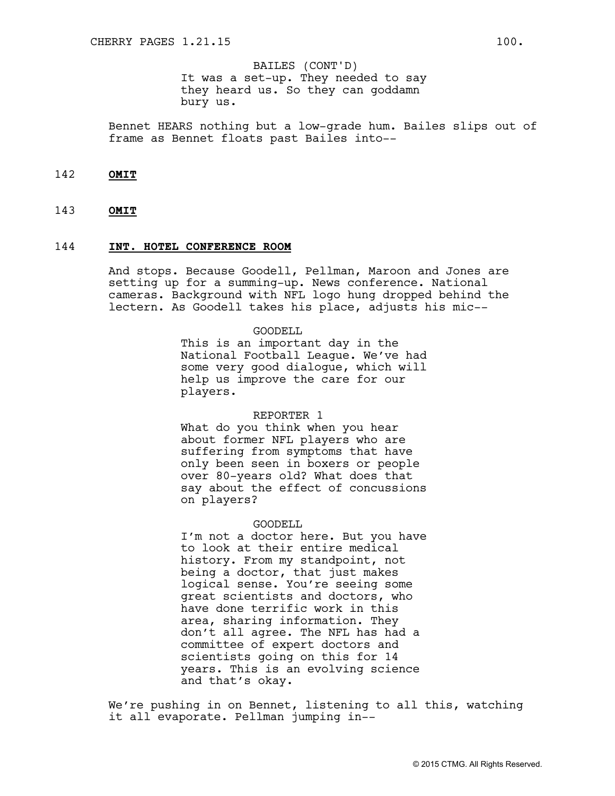It was a set-up. They needed to say they heard us. So they can goddamn bury us. BAILES (CONT'D)

Bennet HEARS nothing but a low-grade hum. Bailes slips out of frame as Bennet floats past Bailes into--

- 142 **OMIT**
- 143 **OMIT**

#### 144 **INT. HOTEL CONFERENCE ROOM**

And stops. Because Goodell, Pellman, Maroon and Jones are setting up for a summing-up. News conference. National cameras. Background with NFL logo hung dropped behind the lectern. As Goodell takes his place, adjusts his mic--

GOODELL

This is an important day in the National Football League. We've had some very good dialogue, which will help us improve the care for our players.

#### REPORTER 1

What do you think when you hear about former NFL players who are suffering from symptoms that have only been seen in boxers or people over 80-years old? What does that say about the effect of concussions on players?

#### GOODELL

I'm not a doctor here. But you have to look at their entire medical history. From my standpoint, not being a doctor, that just makes logical sense. You're seeing some great scientists and doctors, who have done terrific work in this area, sharing information. They don't all agree. The NFL has had a committee of expert doctors and scientists going on this for 14 years. This is an evolving science and that's okay.

We're pushing in on Bennet, listening to all this, watching it all evaporate. Pellman jumping in--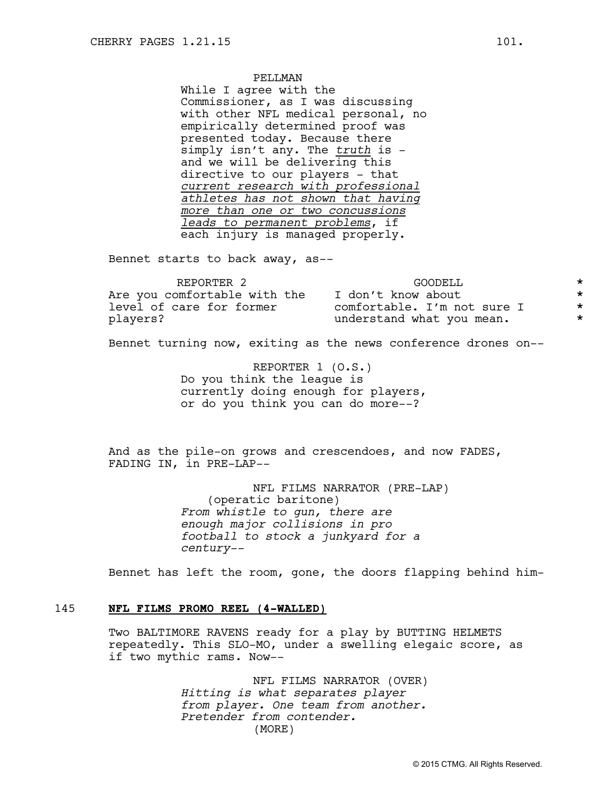## PELLMAN

While I agree with the Commissioner, as I was discussing with other NFL medical personal, no empirically determined proof was presented today. Because there simply isn't any. The *truth* is and we will be delivering this directive to our players - that *current research with professional athletes has not shown that having more than one or two concussions leads to permanent problems*, if each injury is managed properly.

Bennet starts to back away, as--

| REPORTER 2                   | GOODELL.                    | $\star$ |
|------------------------------|-----------------------------|---------|
| Are you comfortable with the | I don't know about          | $\star$ |
| level of care for former     | comfortable. I'm not sure I | $\star$ |
| players?                     | understand what you mean.   | $\star$ |

Bennet turning now, exiting as the news conference drones on--

REPORTER 1 (O.S.) Do you think the league is currently doing enough for players, or do you think you can do more--?

And as the pile-on grows and crescendoes, and now FADES, FADING IN, in PRE-LAP--

> NFL FILMS NARRATOR (PRE-LAP) (operatic baritone) *From whistle to gun, there are enough major collisions in pro football to stock a junkyard for a century--*

Bennet has left the room, gone, the doors flapping behind him-

### 145 **NFL FILMS PROMO REEL (4-WALLED)**

Two BALTIMORE RAVENS ready for a play by BUTTING HELMETS repeatedly. This SLO-MO, under a swelling elegaic score, as if two mythic rams. Now--

> NFL FILMS NARRATOR (OVER) *Hitting is what separates player from player. One team from another. Pretender from contender.*  (MORE)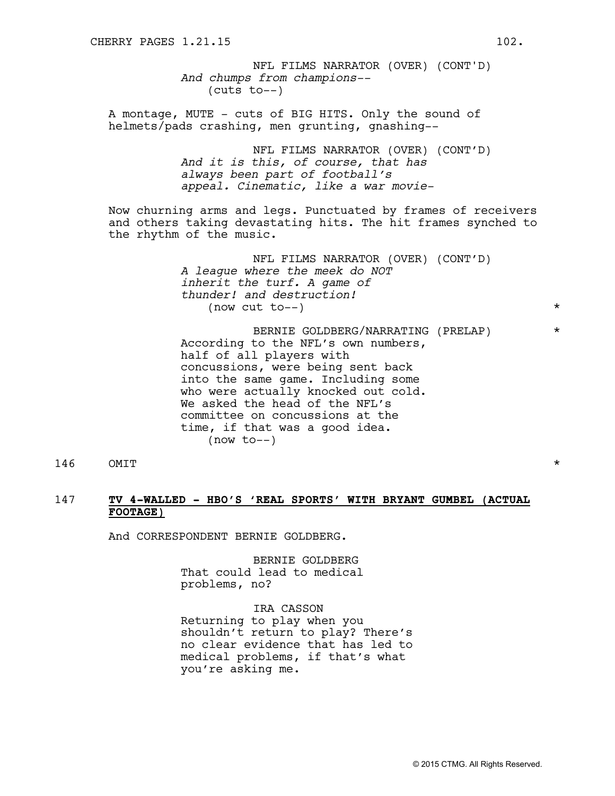*And chumps from champions--* (cuts to--) NFL FILMS NARRATOR (OVER) (CONT'D)

A montage, MUTE – cuts of BIG HITS. Only the sound of helmets/pads crashing, men grunting, gnashing--

> NFL FILMS NARRATOR (OVER) (CONT'D) *And it is this, of course, that has always been part of football's appeal. Cinematic, like a war movie-*

Now churning arms and legs. Punctuated by frames of receivers and others taking devastating hits. The hit frames synched to the rhythm of the music.

> NFL FILMS NARRATOR (OVER) (CONT'D) *A league where the meek do NOT inherit the turf. A game of thunder! and destruction!* (now cut to--)  $\star$

> BERNIE GOLDBERG/NARRATING (PRELAP) \* According to the NFL's own numbers, half of all players with concussions, were being sent back into the same game. Including some who were actually knocked out cold. We asked the head of the NFL's committee on concussions at the time, if that was a good idea.  $(now to--)$

146 OMIT  $\star$ 

## 147 **TV 4-WALLED - HBO'S 'REAL SPORTS' WITH BRYANT GUMBEL (ACTUAL FOOTAGE)**

And CORRESPONDENT BERNIE GOLDBERG.

BERNIE GOLDBERG That could lead to medical problems, no?

IRA CASSON Returning to play when you shouldn't return to play? There's no clear evidence that has led to medical problems, if that's what you're asking me.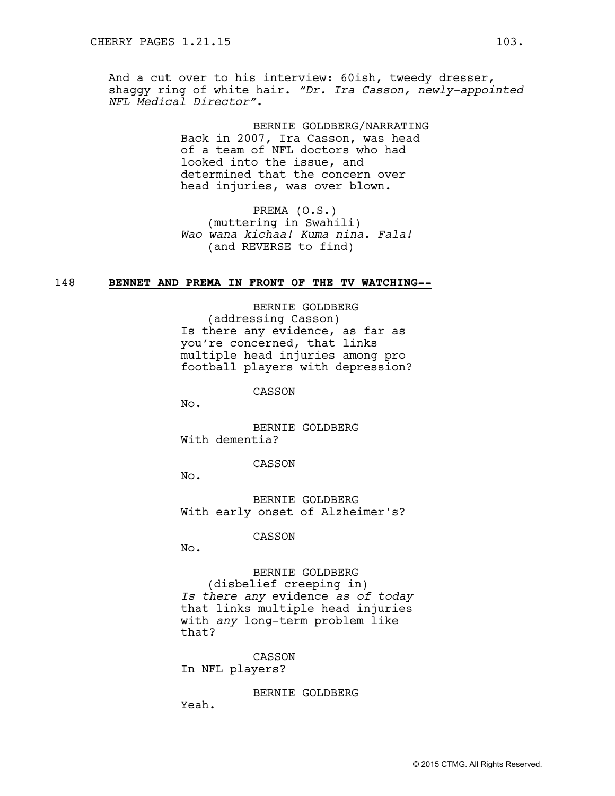And a cut over to his interview: 60ish, tweedy dresser, shaggy ring of white hair. *"Dr. Ira Casson, newly-appointed NFL Medical Director"*.

> BERNIE GOLDBERG/NARRATING Back in 2007, Ira Casson, was head of a team of NFL doctors who had looked into the issue, and determined that the concern over head injuries, was over blown.

PREMA (O.S.) (muttering in Swahili) *Wao wana kichaa! Kuma nina. Fala!* (and REVERSE to find)

## 148 **BENNET AND PREMA IN FRONT OF THE TV WATCHING--**

BERNIE GOLDBERG (addressing Casson) Is there any evidence, as far as you're concerned, that links multiple head injuries among pro football players with depression?

CASSON

No.

BERNIE GOLDBERG With dementia?

CASSON

No.

BERNIE GOLDBERG With early onset of Alzheimer's?

CASSON

No.

BERNIE GOLDBERG (disbelief creeping in) *Is there any* evidence *as of today*  that links multiple head injuries with *any* long-term problem like that?

CASSON In NFL players?

BERNIE GOLDBERG

Yeah.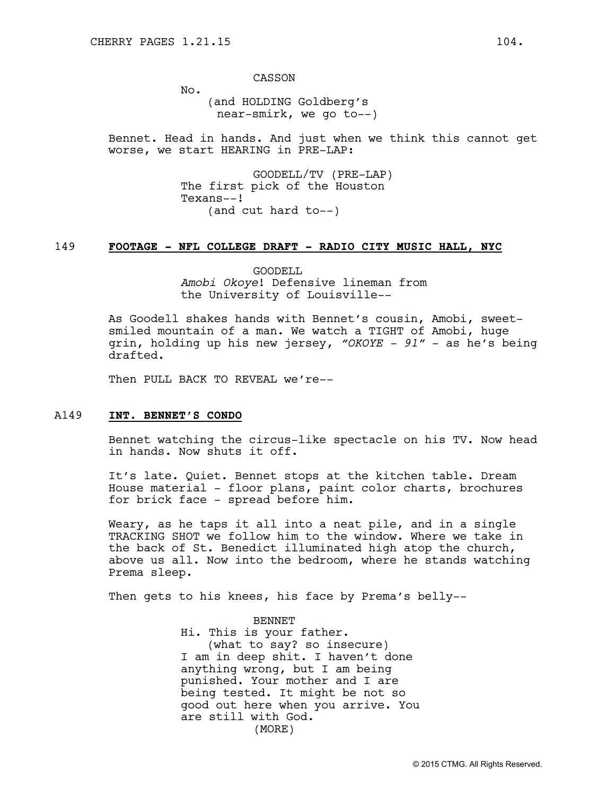CASSON

No.

(and HOLDING Goldberg's near-smirk, we go to--)

Bennet. Head in hands. And just when we think this cannot get worse, we start HEARING in PRE-LAP:

> GOODELL/TV (PRE-LAP) The first pick of the Houston Texans--! (and cut hard to--)

#### 149 **FOOTAGE - NFL COLLEGE DRAFT - RADIO CITY MUSIC HALL, NYC**

GOODELL *Amobi Okoye*! Defensive lineman from the University of Louisville--

As Goodell shakes hands with Bennet's cousin, Amobi, sweetsmiled mountain of a man. We watch a TIGHT of Amobi, huge grin, holding up his new jersey, *"OKOYE - 91"* - as he's being drafted.

Then PULL BACK TO REVEAL we're--

### A149 **INT. BENNET'S CONDO**

Bennet watching the circus-like spectacle on his TV. Now head in hands. Now shuts it off.

It's late. Quiet. Bennet stops at the kitchen table. Dream House material - floor plans, paint color charts, brochures for brick face - spread before him.

Weary, as he taps it all into a neat pile, and in a single TRACKING SHOT we follow him to the window. Where we take in the back of St. Benedict illuminated high atop the church, above us all. Now into the bedroom, where he stands watching Prema sleep.

Then gets to his knees, his face by Prema's belly--

BENNET Hi. This is your father. (what to say? so insecure) I am in deep shit. I haven't done anything wrong, but I am being punished. Your mother and I are being tested. It might be not so good out here when you arrive. You are still with God. (MORE)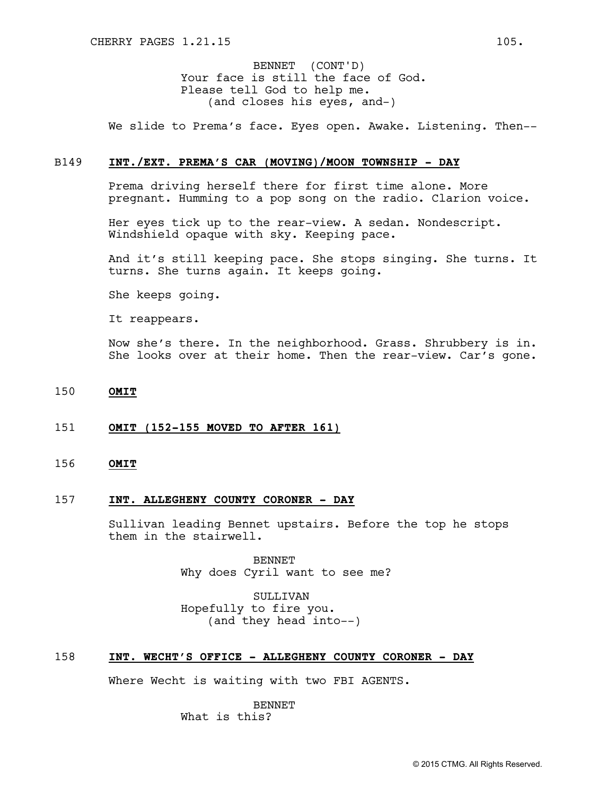Your face is still the face of God. Please tell God to help me. (and closes his eyes, and-) BENNET (CONT'D)

We slide to Prema's face. Eyes open. Awake. Listening. Then--

#### B149 **INT./EXT. PREMA'S CAR (MOVING)/MOON TOWNSHIP - DAY**

Prema driving herself there for first time alone. More pregnant. Humming to a pop song on the radio. Clarion voice.

Her eyes tick up to the rear-view. A sedan. Nondescript. Windshield opaque with sky. Keeping pace.

And it's still keeping pace. She stops singing. She turns. It turns. She turns again. It keeps going.

She keeps going.

It reappears.

Now she's there. In the neighborhood. Grass. Shrubbery is in. She looks over at their home. Then the rear-view. Car's gone.

- 150 **OMIT**
- 151 **OMIT (152-155 MOVED TO AFTER 161)**
- 156 **OMIT**

### 157 **INT. ALLEGHENY COUNTY CORONER - DAY**

Sullivan leading Bennet upstairs. Before the top he stops them in the stairwell.

> BENNET Why does Cyril want to see me?

SULLIVAN Hopefully to fire you. (and they head into--)

### 158 **INT. WECHT'S OFFICE - ALLEGHENY COUNTY CORONER - DAY**

Where Wecht is waiting with two FBI AGENTS.

BENNET What is this?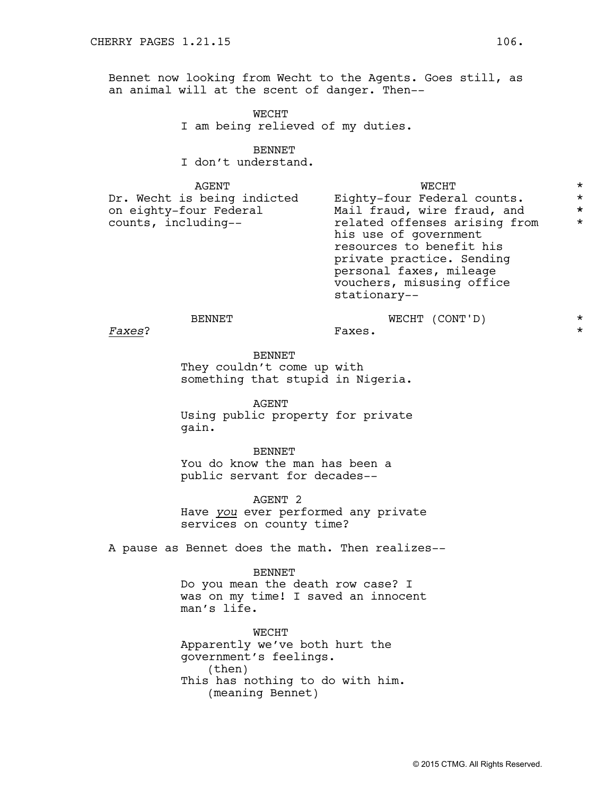Bennet now looking from Wecht to the Agents. Goes still, as an animal will at the scent of danger. Then--

> **WECHT** I am being relieved of my duties.

BENNET I don't understand.

| AGENT                       | WECHT                         | $^\star$ |
|-----------------------------|-------------------------------|----------|
| Dr. Wecht is being indicted | Eighty-four Federal counts.   | $\star$  |
| on eighty-four Federal      | Mail fraud, wire fraud, and   | $\star$  |
| counts, including--         | related offenses arising from | $\star$  |
|                             | his use of government         |          |
|                             | resources to benefit his      |          |
|                             | private practice. Sending     |          |
|                             | personal faxes, mileage       |          |
|                             | vouchers, misusing office     |          |
|                             | stationary--                  |          |
|                             |                               |          |

BENNET

WECHT (CONT'D) \*

*Faxes*?

Faxes.

BENNET They couldn't come up with something that stupid in Nigeria.

AGENT Using public property for private gain.

BENNET You do know the man has been a public servant for decades--

AGENT 2 Have *you* ever performed any private services on county time?

A pause as Bennet does the math. Then realizes--

#### BENNET

Do you mean the death row case? I was on my time! I saved an innocent man's life.

WECHT Apparently we've both hurt the government's feelings. (then) This has nothing to do with him. (meaning Bennet)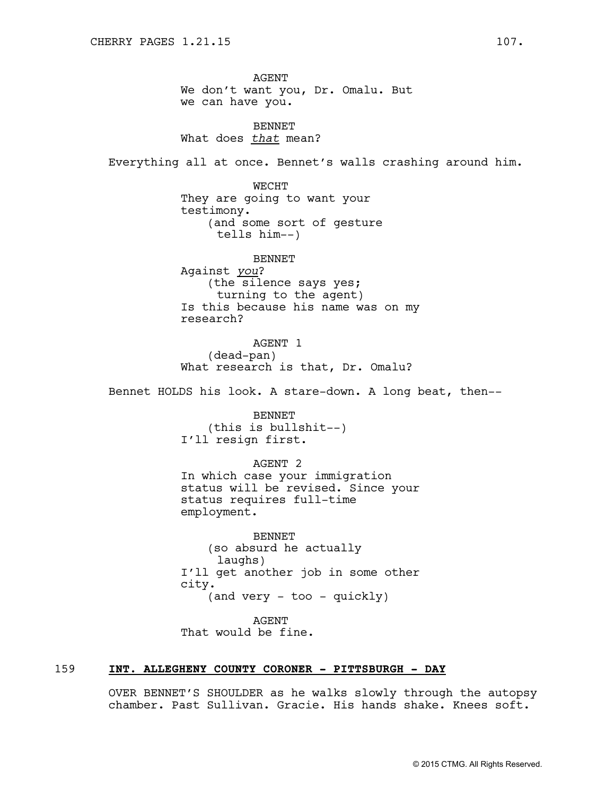AGENT We don't want you, Dr. Omalu. But we can have you. BENNET What does *that* mean? Everything all at once. Bennet's walls crashing around him. WECHT They are going to want your testimony. (and some sort of gesture tells him--) BENNET Against *you*? (the silence says yes; turning to the agent) Is this because his name was on my research? AGENT 1 (dead-pan) What research is that, Dr. Omalu? Bennet HOLDS his look. A stare-down. A long beat, then-- BENNET (this is bullshit--) I'll resign first. AGENT 2 In which case your immigration status will be revised. Since your status requires full-time employment. BENNET (so absurd he actually laughs) I'll get another job in some other city. (and very - too - quickly) AGENT That would be fine.

### 159 **INT. ALLEGHENY COUNTY CORONER - PITTSBURGH - DAY**

OVER BENNET'S SHOULDER as he walks slowly through the autopsy chamber. Past Sullivan. Gracie. His hands shake. Knees soft.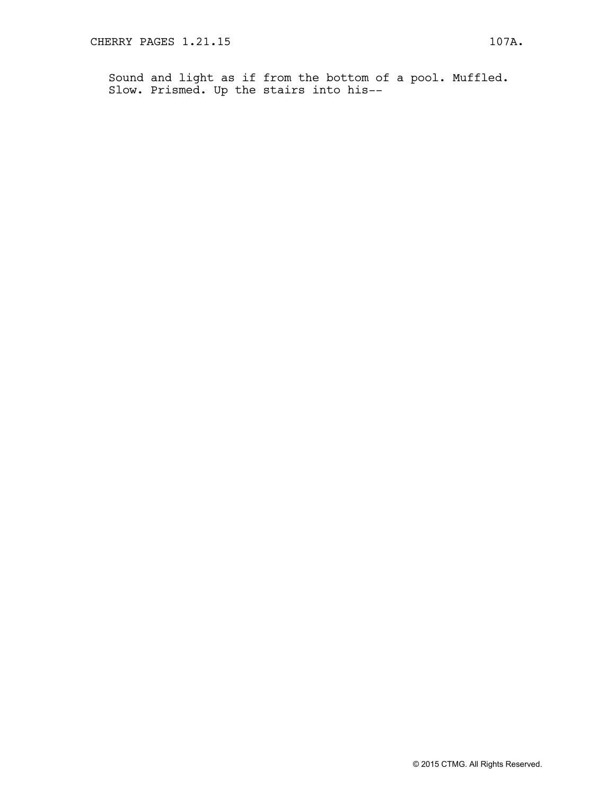Sound and light as if from the bottom of a pool. Muffled. Slow. Prismed. Up the stairs into his--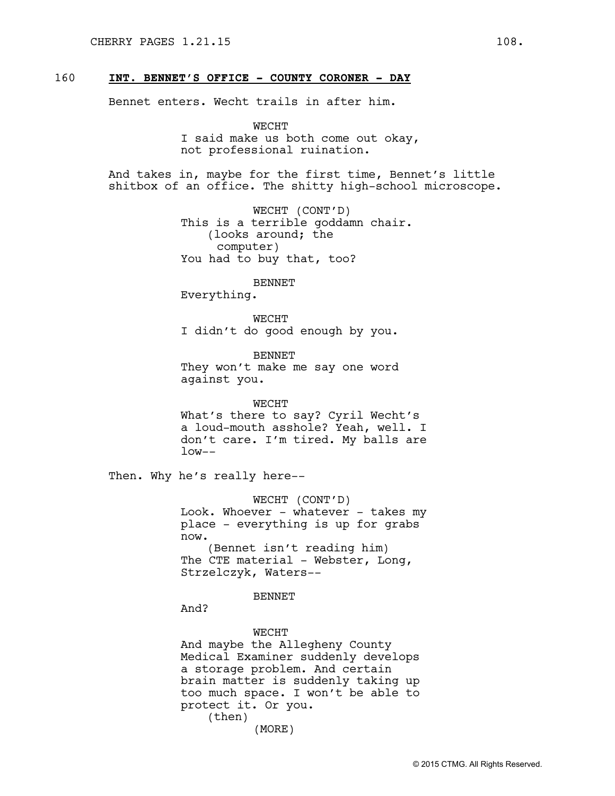# 160 **INT. BENNET'S OFFICE - COUNTY CORONER - DAY**

Bennet enters. Wecht trails in after him.

**WECHT** I said make us both come out okay, not professional ruination.

And takes in, maybe for the first time, Bennet's little shitbox of an office. The shitty high-school microscope.

> WECHT (CONT'D) This is a terrible goddamn chair. (looks around; the computer) You had to buy that, too?

> > BENNET

Everything.

WECHT I didn't do good enough by you.

BENNET They won't make me say one word against you.

WECHT What's there to say? Cyril Wecht's a loud-mouth asshole? Yeah, well. I don't care. I'm tired. My balls are  $low--$ 

Then. Why he's really here--

WECHT (CONT'D) Look. Whoever - whatever - takes my place - everything is up for grabs now. (Bennet isn't reading him) The CTE material - Webster, Long, Strzelczyk, Waters--

BENNET

And?

WECHT And maybe the Allegheny County Medical Examiner suddenly develops a storage problem. And certain brain matter is suddenly taking up too much space. I won't be able to protect it. Or you. (then) (MORE)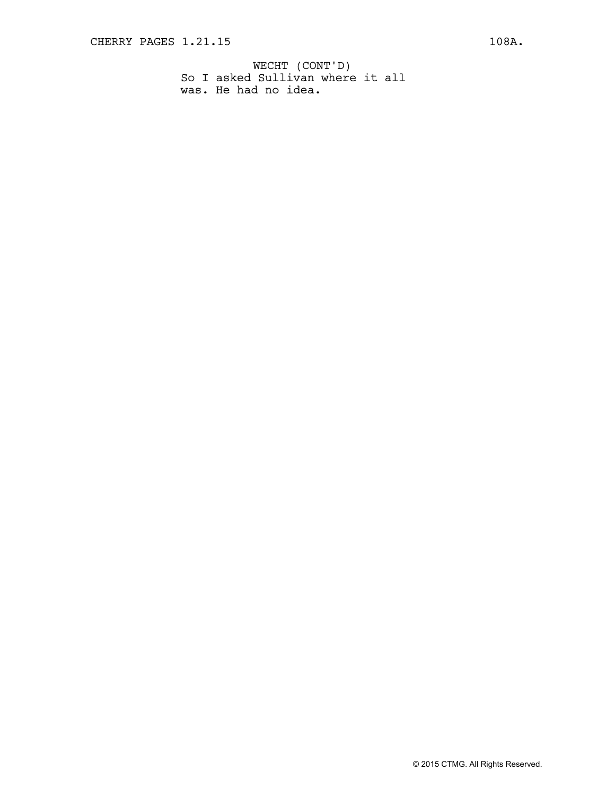So I asked Sullivan where it all was. He had no idea. WECHT (CONT'D)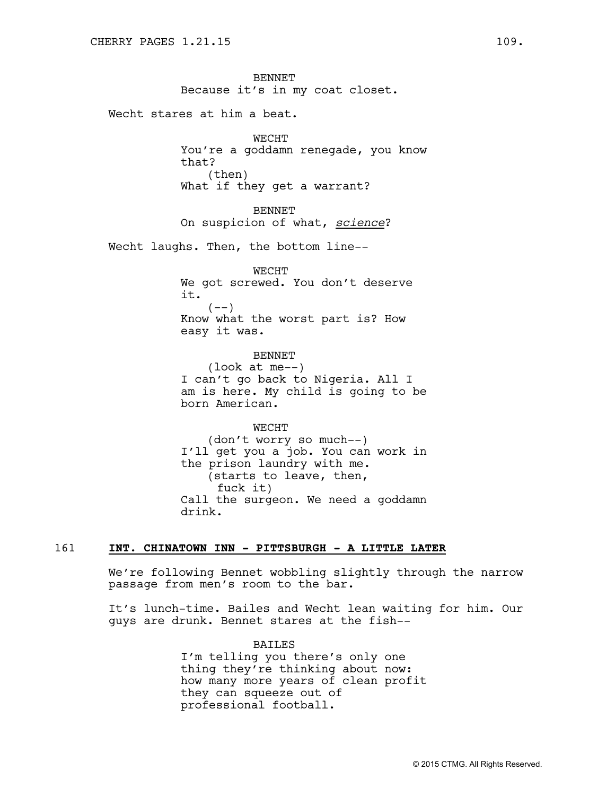**BENNET** Because it's in my coat closet.

Wecht stares at him a beat.

WECHT You're a goddamn renegade, you know that? (then) What if they get a warrant?

BENNET On suspicion of what, *science*?

Wecht laughs. Then, the bottom line--

WECHT We got screwed. You don't deserve it.  $(--)$ Know what the worst part is? How easy it was.

BENNET (look at me--) I can't go back to Nigeria. All I am is here. My child is going to be born American.

WECHT (don't worry so much--) I'll get you a job. You can work in the prison laundry with me. (starts to leave, then, fuck it) Call the surgeon. We need a goddamn drink.

## 161 **INT. CHINATOWN INN - PITTSBURGH - A LITTLE LATER**

We're following Bennet wobbling slightly through the narrow passage from men's room to the bar.

It's lunch-time. Bailes and Wecht lean waiting for him. Our guys are drunk. Bennet stares at the fish--

BAILES

I'm telling you there's only one thing they're thinking about now: how many more years of clean profit they can squeeze out of professional football.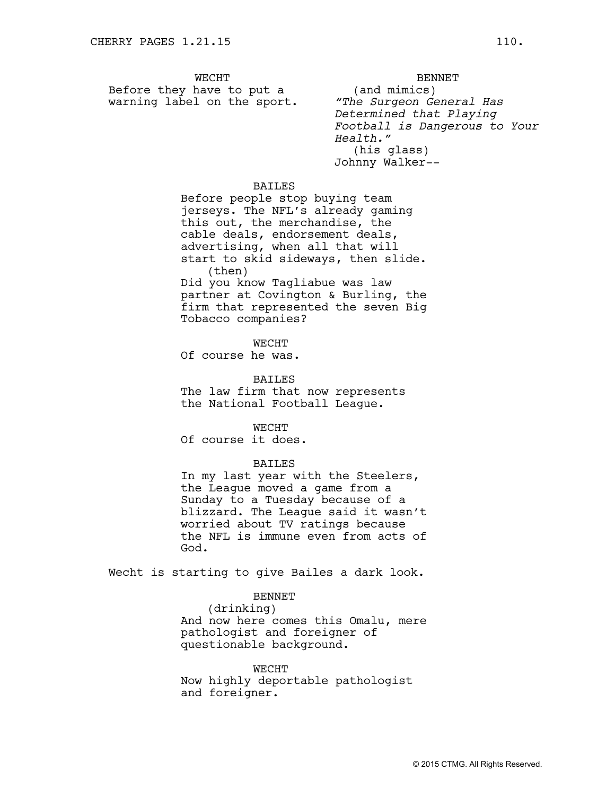WECHT Before they have to put a warning label on the sport.

## BENNET

(and mimics) *"The Surgeon General Has Determined that Playing Football is Dangerous to Your Health."*  (his glass) Johnny Walker--

## BAILES

Before people stop buying team jerseys. The NFL's already gaming this out, the merchandise, the cable deals, endorsement deals, advertising, when all that will start to skid sideways, then slide. (then) Did you know Tagliabue was law partner at Covington & Burling, the firm that represented the seven Big Tobacco companies?

**WECHT** 

Of course he was.

#### **BATLES**

The law firm that now represents the National Football League.

WECHT

Of course it does.

#### BAILES

In my last year with the Steelers, the League moved a game from a Sunday to a Tuesday because of a blizzard. The League said it wasn't worried about TV ratings because the NFL is immune even from acts of God.

Wecht is starting to give Bailes a dark look.

#### BENNET

(drinking)

And now here comes this Omalu, mere pathologist and foreigner of questionable background.

WECHT Now highly deportable pathologist and foreigner.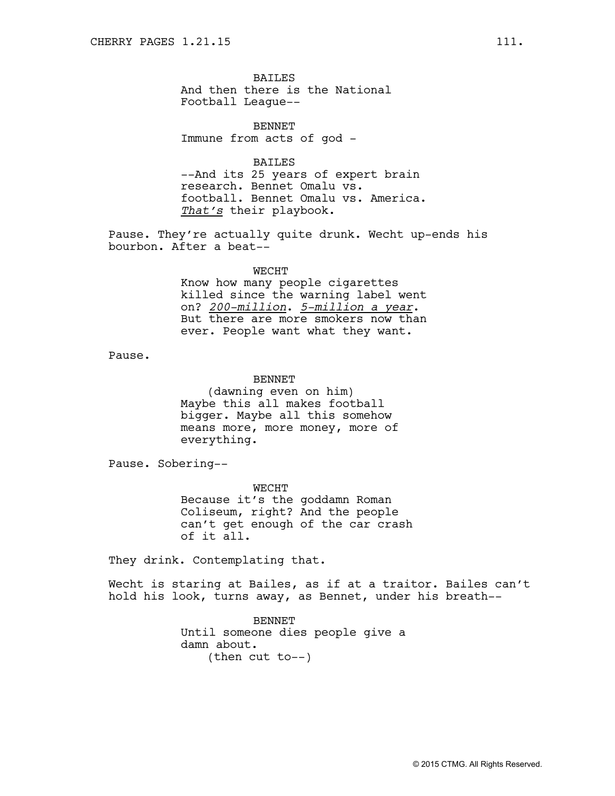**BATLES** And then there is the National Football League--

BENNET Immune from acts of god -

BAILES

--And its 25 years of expert brain research. Bennet Omalu vs. football. Bennet Omalu vs. America. *That's* their playbook.

Pause. They're actually quite drunk. Wecht up-ends his bourbon. After a beat--

#### WECHT

Know how many people cigarettes killed since the warning label went on? *200-million*. *5-million a year*. But there are more smokers now than ever. People want what they want.

Pause.

#### BENNET

(dawning even on him) Maybe this all makes football bigger. Maybe all this somehow means more, more money, more of everything.

Pause. Sobering--

WECHT Because it's the goddamn Roman Coliseum, right? And the people can't get enough of the car crash of it all.

They drink. Contemplating that.

Wecht is staring at Bailes, as if at a traitor. Bailes can't hold his look, turns away, as Bennet, under his breath--

> BENNET Until someone dies people give a damn about. (then cut to--)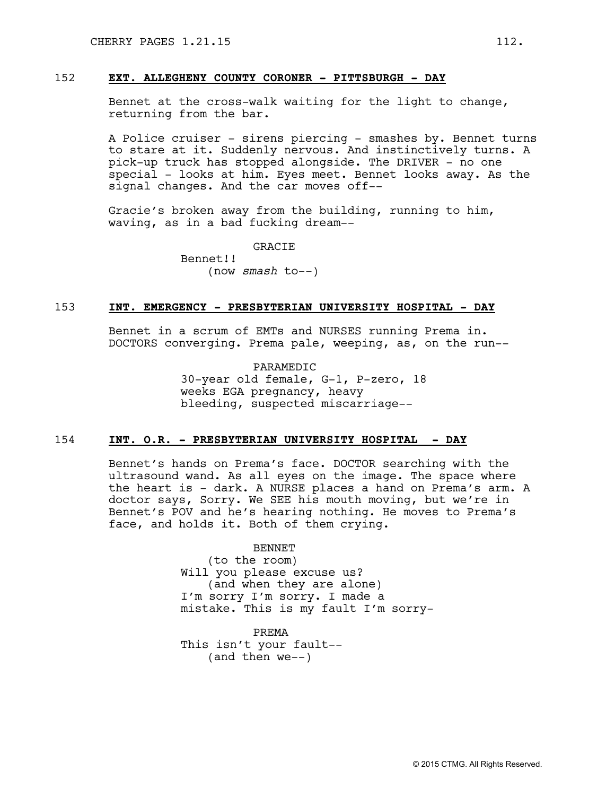# 152 **EXT. ALLEGHENY COUNTY CORONER - PITTSBURGH - DAY**

Bennet at the cross-walk waiting for the light to change, returning from the bar.

A Police cruiser - sirens piercing - smashes by. Bennet turns to stare at it. Suddenly nervous. And instinctively turns. A pick-up truck has stopped alongside. The DRIVER - no one special - looks at him. Eyes meet. Bennet looks away. As the signal changes. And the car moves off--

Gracie's broken away from the building, running to him, waving, as in a bad fucking dream--

GRACIE

Bennet!! (now *smash* to--)

## 153 **INT. EMERGENCY - PRESBYTERIAN UNIVERSITY HOSPITAL - DAY**

Bennet in a scrum of EMTs and NURSES running Prema in. DOCTORS converging. Prema pale, weeping, as, on the run--

> PARAMEDIC 30-year old female, G-1, P-zero, 18 weeks EGA pregnancy, heavy bleeding, suspected miscarriage--

# 154 **INT. O.R. - PRESBYTERIAN UNIVERSITY HOSPITAL - DAY**

Bennet's hands on Prema's face. DOCTOR searching with the ultrasound wand. As all eyes on the image. The space where the heart is - dark. A NURSE places a hand on Prema's arm. A doctor says, Sorry. We SEE his mouth moving, but we're in Bennet's POV and he's hearing nothing. He moves to Prema's face, and holds it. Both of them crying.

> BENNET (to the room) Will you please excuse us? (and when they are alone) I'm sorry I'm sorry. I made a mistake. This is my fault I'm sorry-

PREMA This isn't your fault-- (and then we--)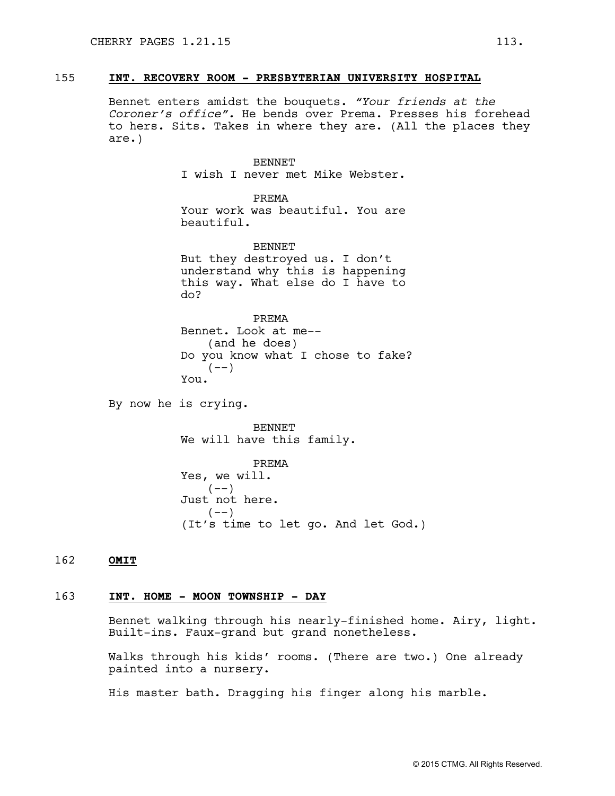## 155 **INT. RECOVERY ROOM - PRESBYTERIAN UNIVERSITY HOSPITAL**

Bennet enters amidst the bouquets. *"Your friends at the Coroner's office".* He bends over Prema. Presses his forehead to hers. Sits. Takes in where they are. (All the places they are.)

#### BENNET

I wish I never met Mike Webster.

PREMA Your work was beautiful. You are beautiful.

**BENNET** But they destroyed us. I don't understand why this is happening this way. What else do I have to do?

PREMA Bennet. Look at me-- (and he does) Do you know what I chose to fake?  $(--)$ You.

By now he is crying.

BENNET We will have this family.

PREMA Yes, we will.  $(--)$ Just not here.  $(--)$ (It's time to let go. And let God.)

162 **OMIT**

## 163 **INT. HOME - MOON TOWNSHIP - DAY**

Bennet walking through his nearly-finished home. Airy, light. Built-ins. Faux-grand but grand nonetheless.

Walks through his kids' rooms. (There are two.) One already painted into a nursery.

His master bath. Dragging his finger along his marble.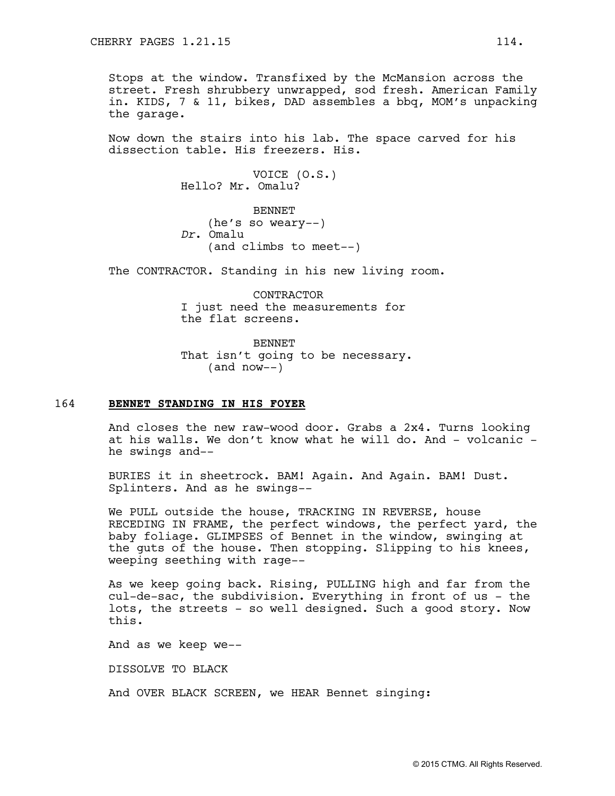Stops at the window. Transfixed by the McMansion across the street. Fresh shrubbery unwrapped, sod fresh. American Family in. KIDS, 7 & 11, bikes, DAD assembles a bbq, MOM's unpacking the garage.

Now down the stairs into his lab. The space carved for his dissection table. His freezers. His.

> VOICE (O.S.) Hello? Mr. Omalu?

BENNET (he's so weary--) *Dr*. Omalu (and climbs to meet--)

The CONTRACTOR. Standing in his new living room.

CONTRACTOR I just need the measurements for the flat screens.

**BENNET** That isn't going to be necessary. (and now--)

### 164 **BENNET STANDING IN HIS FOYER**

And closes the new raw-wood door. Grabs a 2x4. Turns looking at his walls. We don't know what he will do. And - volcanic he swings and--

BURIES it in sheetrock. BAM! Again. And Again. BAM! Dust. Splinters. And as he swings--

We PULL outside the house, TRACKING IN REVERSE, house RECEDING IN FRAME, the perfect windows, the perfect yard, the baby foliage. GLIMPSES of Bennet in the window, swinging at the guts of the house. Then stopping. Slipping to his knees, weeping seething with rage--

As we keep going back. Rising, PULLING high and far from the cul-de-sac, the subdivision. Everything in front of us - the lots, the streets - so well designed. Such a good story. Now this.

And as we keep we--

DISSOLVE TO BLACK

And OVER BLACK SCREEN, we HEAR Bennet singing: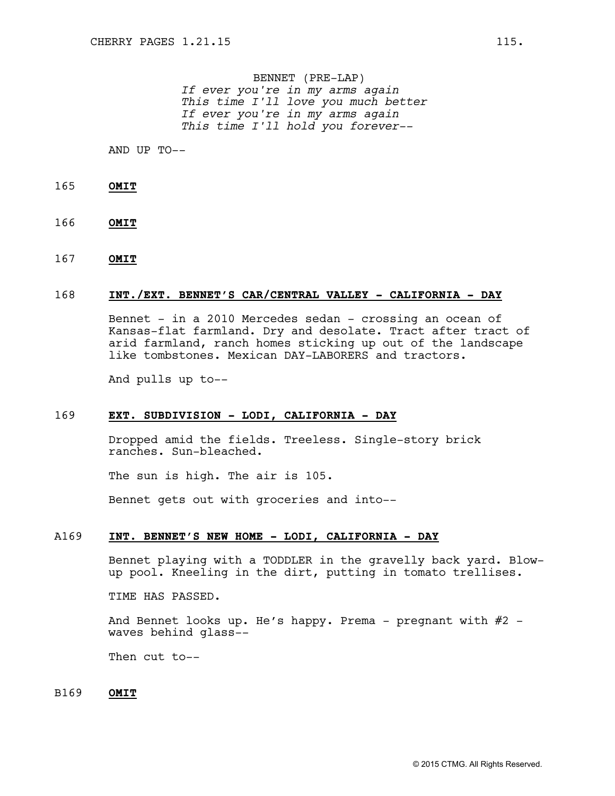BENNET (PRE-LAP) *If ever you're in my arms again This time I'll love you much better If ever you're in my arms again This time I'll hold you forever--*

AND UP TO--

- 165 **OMIT**
- 166 **OMIT**
- 167 **OMIT**

### 168 **INT./EXT. BENNET'S CAR/CENTRAL VALLEY - CALIFORNIA - DAY**

Bennet - in a 2010 Mercedes sedan - crossing an ocean of Kansas-flat farmland. Dry and desolate. Tract after tract of arid farmland, ranch homes sticking up out of the landscape like tombstones. Mexican DAY-LABORERS and tractors.

And pulls up to--

## 169 **EXT. SUBDIVISION - LODI, CALIFORNIA - DAY**

Dropped amid the fields. Treeless. Single-story brick ranches. Sun-bleached.

The sun is high. The air is 105.

Bennet gets out with groceries and into--

### A169 **INT. BENNET'S NEW HOME - LODI, CALIFORNIA - DAY**

Bennet playing with a TODDLER in the gravelly back yard. Blowup pool. Kneeling in the dirt, putting in tomato trellises.

TIME HAS PASSED.

And Bennet looks up. He's happy. Prema - pregnant with  $#2$  waves behind glass--

Then cut to--

## B169 **OMIT**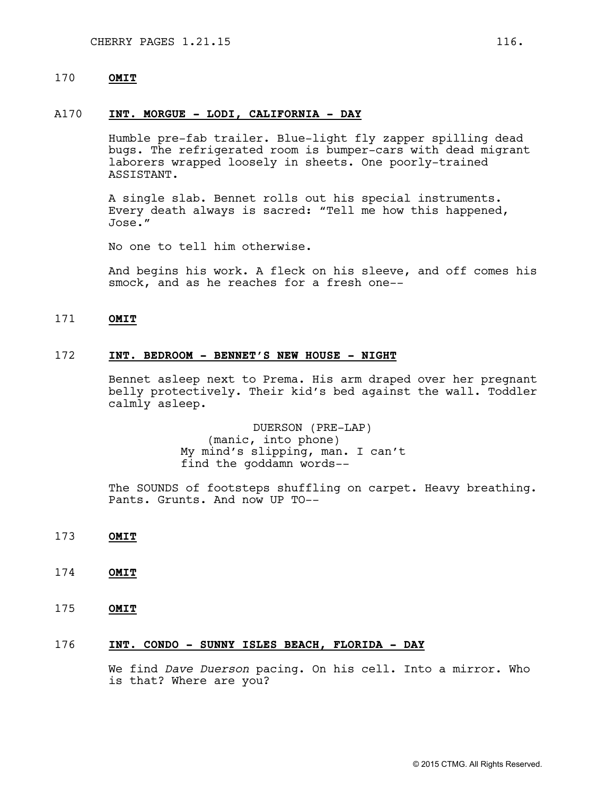# 170 **OMIT**

## A170 **INT. MORGUE - LODI, CALIFORNIA - DAY**

Humble pre-fab trailer. Blue-light fly zapper spilling dead bugs. The refrigerated room is bumper-cars with dead migrant laborers wrapped loosely in sheets. One poorly-trained ASSISTANT.

A single slab. Bennet rolls out his special instruments. Every death always is sacred: "Tell me how this happened, Jose."

No one to tell him otherwise.

And begins his work. A fleck on his sleeve, and off comes his smock, and as he reaches for a fresh one--

### 171 **OMIT**

## 172 **INT. BEDROOM - BENNET'S NEW HOUSE - NIGHT**

Bennet asleep next to Prema. His arm draped over her pregnant belly protectively. Their kid's bed against the wall. Toddler calmly asleep.

> DUERSON (PRE-LAP) (manic, into phone) My mind's slipping, man. I can't find the goddamn words--

The SOUNDS of footsteps shuffling on carpet. Heavy breathing. Pants. Grunts. And now UP TO--

- 173 **OMIT**
- 174 **OMIT**
- 175 **OMIT**

#### 176 **INT. CONDO - SUNNY ISLES BEACH, FLORIDA - DAY**

We find *Dave Duerson* pacing. On his cell. Into a mirror. Who is that? Where are you?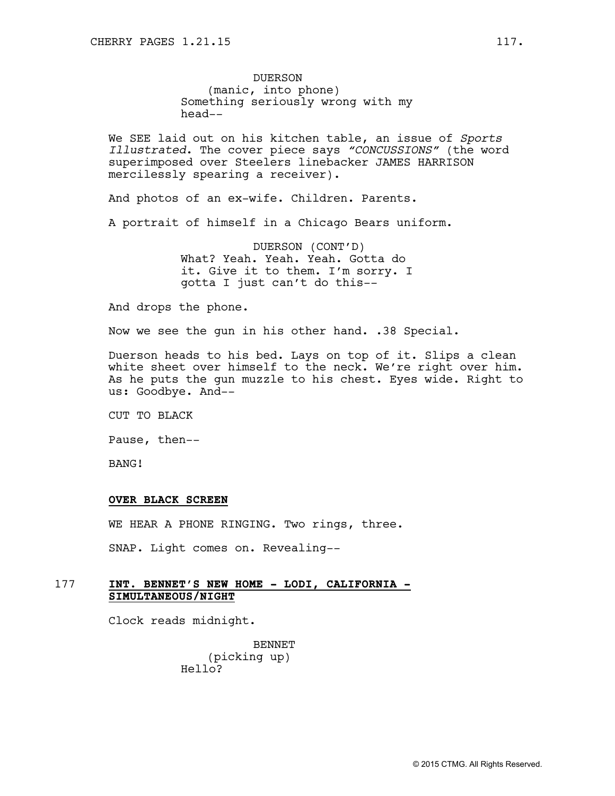DUERSON (manic, into phone) Something seriously wrong with my head--

We SEE laid out on his kitchen table, an issue of *Sports Illustrated*. The cover piece says *"CONCUSSIONS"* (the word superimposed over Steelers linebacker JAMES HARRISON mercilessly spearing a receiver).

And photos of an ex-wife. Children. Parents.

A portrait of himself in a Chicago Bears uniform.

DUERSON (CONT'D) What? Yeah. Yeah. Yeah. Gotta do it. Give it to them. I'm sorry. I gotta I just can't do this--

And drops the phone.

Now we see the gun in his other hand. .38 Special.

Duerson heads to his bed. Lays on top of it. Slips a clean white sheet over himself to the neck. We're right over him. As he puts the gun muzzle to his chest. Eyes wide. Right to us: Goodbye. And--

CUT TO BLACK

Pause, then--

BANG!

#### **OVER BLACK SCREEN**

WE HEAR A PHONE RINGING. Two rings, three.

SNAP. Light comes on. Revealing--

## 177 **INT. BENNET'S NEW HOME - LODI, CALIFORNIA - SIMULTANEOUS/NIGHT**

Clock reads midnight.

BENNET (picking up) Hello?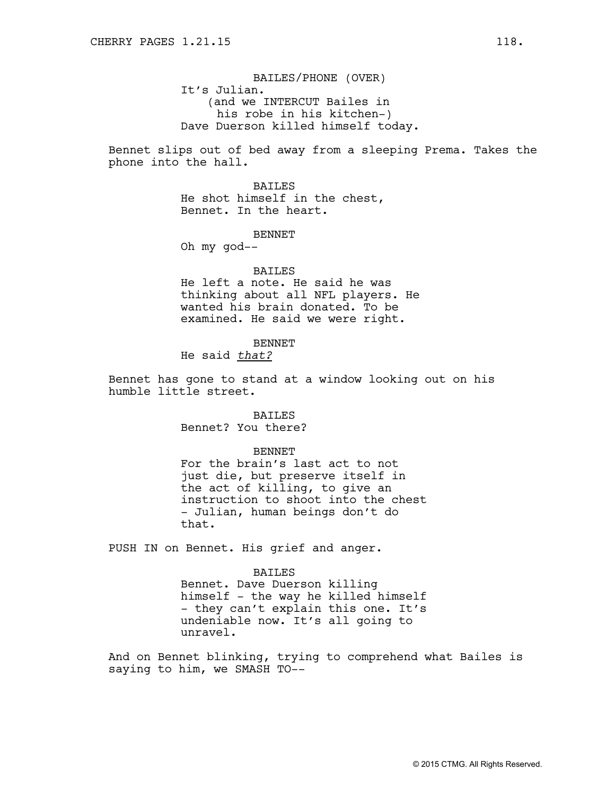BAILES/PHONE (OVER) It's Julian. (and we INTERCUT Bailes in his robe in his kitchen-) Dave Duerson killed himself today.

Bennet slips out of bed away from a sleeping Prema. Takes the phone into the hall.

> BAILES He shot himself in the chest, Bennet. In the heart.

#### BENNET

Oh my god--

#### BAILES

He left a note. He said he was thinking about all NFL players. He wanted his brain donated. To be examined. He said we were right.

### **BENNET**

He said *that?*

Bennet has gone to stand at a window looking out on his humble little street.

> BAILES Bennet? You there?

#### **BENNET**

For the brain's last act to not just die, but preserve itself in the act of killing, to give an instruction to shoot into the chest - Julian, human beings don't do that.

PUSH IN on Bennet. His grief and anger.

#### BAILES

Bennet. Dave Duerson killing himself - the way he killed himself - they can't explain this one. It's undeniable now. It's all going to unravel.

And on Bennet blinking, trying to comprehend what Bailes is saying to him, we SMASH TO--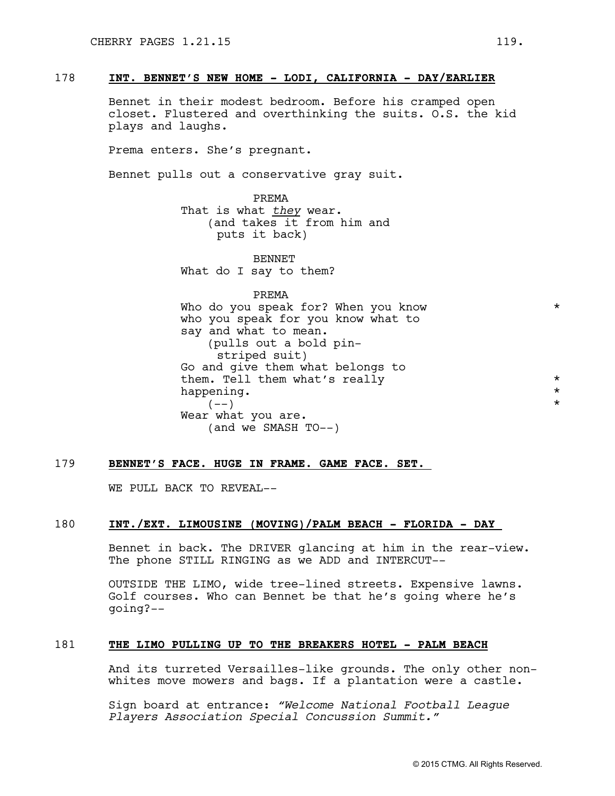# 178 **INT. BENNET'S NEW HOME - LODI, CALIFORNIA - DAY/EARLIER**

Bennet in their modest bedroom. Before his cramped open closet. Flustered and overthinking the suits. O.S. the kid plays and laughs.

Prema enters. She's pregnant.

Bennet pulls out a conservative gray suit.

PREMA That is what *they* wear. (and takes it from him and puts it back)

**BENNET** What do I say to them?

PREMA

Who do you speak for? When you know  $*$ who you speak for you know what to say and what to mean. (pulls out a bold pinstriped suit) Go and give them what belongs to them. Tell them what's really \* happening.  $\qquad \qquad \star$  $\left( \begin{array}{cc} - & \end{array} \right)$  \* Wear what you are. (and we SMASH TO--)

## 179 **BENNET'S FACE. HUGE IN FRAME. GAME FACE. SET.**

WE PULL BACK TO REVEAL--

### 180 **INT./EXT. LIMOUSINE (MOVING)/PALM BEACH - FLORIDA - DAY**

Bennet in back. The DRIVER glancing at him in the rear-view. The phone STILL RINGING as we ADD and INTERCUT--

OUTSIDE THE LIMO, wide tree-lined streets. Expensive lawns. Golf courses. Who can Bennet be that he's going where he's going?--

#### 181 **THE LIMO PULLING UP TO THE BREAKERS HOTEL - PALM BEACH**

And its turreted Versailles-like grounds. The only other nonwhites move mowers and bags. If a plantation were a castle.

Sign board at entrance: *"Welcome National Football League Players Association Special Concussion Summit."*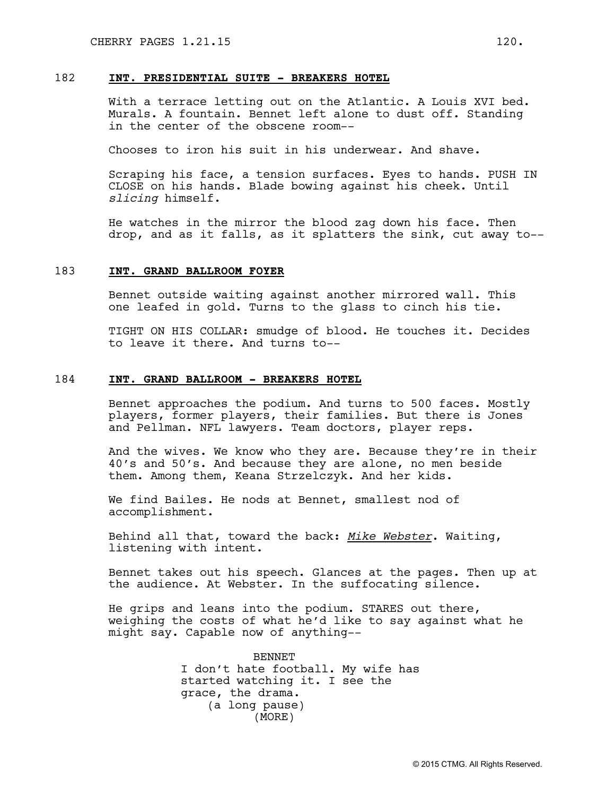### 182 **INT. PRESIDENTIAL SUITE - BREAKERS HOTEL**

With a terrace letting out on the Atlantic. A Louis XVI bed. Murals. A fountain. Bennet left alone to dust off. Standing in the center of the obscene room--

Chooses to iron his suit in his underwear. And shave.

Scraping his face, a tension surfaces. Eyes to hands. PUSH IN CLOSE on his hands. Blade bowing against his cheek. Until *slicing* himself.

He watches in the mirror the blood zag down his face. Then drop, and as it falls, as it splatters the sink, cut away to--

### 183 **INT. GRAND BALLROOM FOYER**

Bennet outside waiting against another mirrored wall. This one leafed in gold. Turns to the glass to cinch his tie.

TIGHT ON HIS COLLAR: smudge of blood. He touches it. Decides to leave it there. And turns to--

#### 184 **INT. GRAND BALLROOM - BREAKERS HOTEL**

Bennet approaches the podium. And turns to 500 faces. Mostly players, former players, their families. But there is Jones and Pellman. NFL lawyers. Team doctors, player reps.

And the wives. We know who they are. Because they're in their 40's and 50's. And because they are alone, no men beside them. Among them, Keana Strzelczyk. And her kids.

We find Bailes. He nods at Bennet, smallest nod of accomplishment.

Behind all that, toward the back: *Mike Webster*. Waiting, listening with intent.

Bennet takes out his speech. Glances at the pages. Then up at the audience. At Webster. In the suffocating silence.

He grips and leans into the podium. STARES out there, weighing the costs of what he'd like to say against what he might say. Capable now of anything--

> BENNET I don't hate football. My wife has started watching it. I see the grace, the drama. (a long pause) (MORE)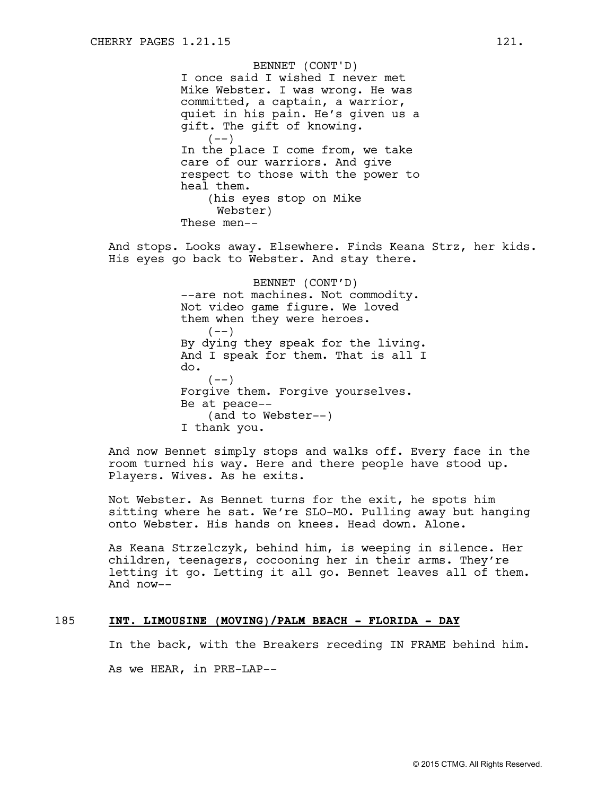I once said I wished I never met Mike Webster. I was wrong. He was committed, a captain, a warrior, quiet in his pain. He's given us a gift. The gift of knowing.  $(--)$ In the place I come from, we take care of our warriors. And give respect to those with the power to heal them. (his eyes stop on Mike Webster) These men-- BENNET (CONT'D)

And stops. Looks away. Elsewhere. Finds Keana Strz, her kids. His eyes go back to Webster. And stay there.

> BENNET (CONT'D) --are not machines. Not commodity. Not video game figure. We loved them when they were heroes.  $(--)$ By dying they speak for the living. And I speak for them. That is all I do.  $(--)$ Forgive them. Forgive yourselves. Be at peace-- (and to Webster--) I thank you.

And now Bennet simply stops and walks off. Every face in the room turned his way. Here and there people have stood up. Players. Wives. As he exits.

Not Webster. As Bennet turns for the exit, he spots him sitting where he sat. We're SLO-MO. Pulling away but hanging onto Webster. His hands on knees. Head down. Alone.

As Keana Strzelczyk, behind him, is weeping in silence. Her children, teenagers, cocooning her in their arms. They're letting it go. Letting it all go. Bennet leaves all of them. And now--

### 185 **INT. LIMOUSINE (MOVING)/PALM BEACH - FLORIDA - DAY**

In the back, with the Breakers receding IN FRAME behind him. As we HEAR, in PRE-LAP--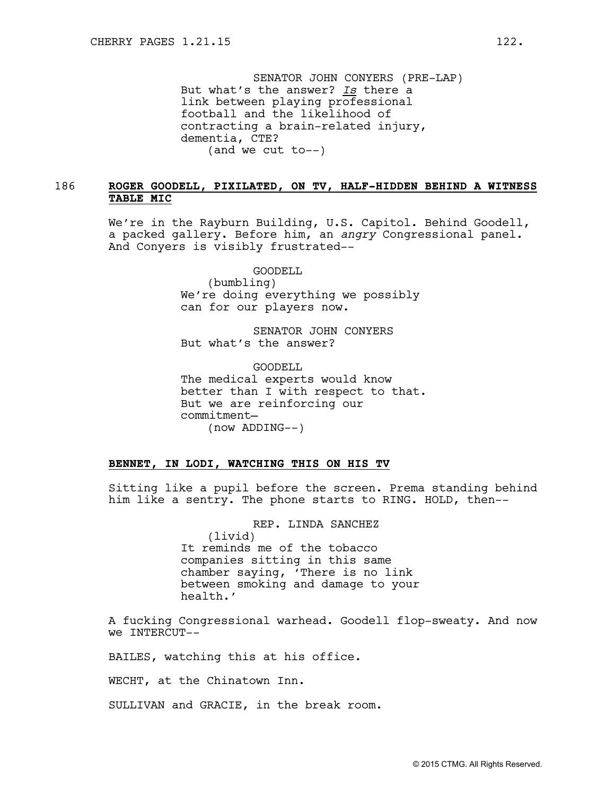SENATOR JOHN CONYERS (PRE-LAP) But what's the answer? *Is* there a link between playing professional football and the likelihood of contracting a brain-related injury, dementia, CTE? (and we cut to--)

## 186 **ROGER GOODELL, PIXILATED, ON TV, HALF-HIDDEN BEHIND A WITNESS TABLE MIC**

We're in the Rayburn Building, U.S. Capitol. Behind Goodell, a packed gallery. Before him, an *angry* Congressional panel. And Conyers is visibly frustrated--

> GOODELL (bumbling) We're doing everything we possibly can for our players now.

SENATOR JOHN CONYERS But what's the answer?

GOODELL<sub>L</sub> The medical experts would know better than I with respect to that. But we are reinforcing our commitment— (now ADDING--)

# **BENNET, IN LODI, WATCHING THIS ON HIS TV**

Sitting like a pupil before the screen. Prema standing behind him like a sentry. The phone starts to RING. HOLD, then--

> REP. LINDA SANCHEZ (livid) It reminds me of the tobacco companies sitting in this same chamber saying, 'There is no link between smoking and damage to your health.'

A fucking Congressional warhead. Goodell flop-sweaty. And now we INTERCUT--

BAILES, watching this at his office.

WECHT, at the Chinatown Inn.

SULLIVAN and GRACIE, in the break room.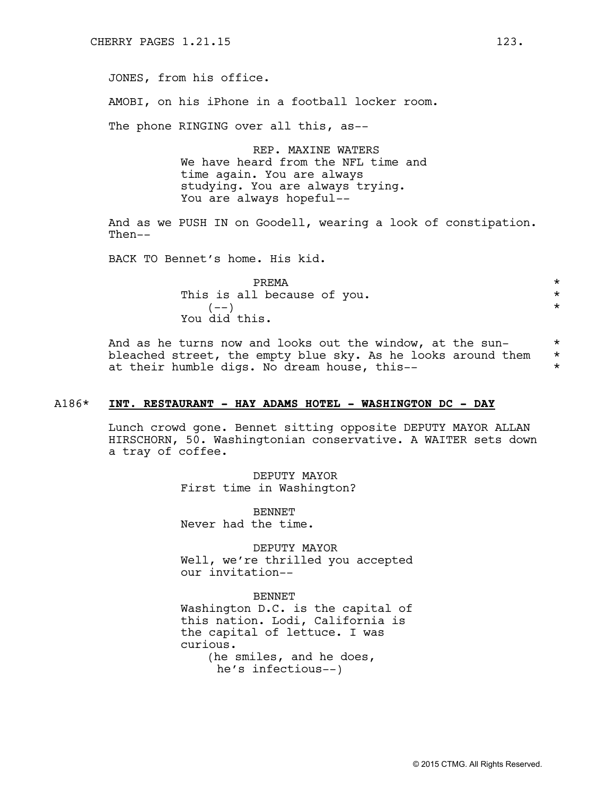JONES, from his office.

AMOBI, on his iPhone in a football locker room.

The phone RINGING over all this, as--

REP. MAXINE WATERS We have heard from the NFL time and time again. You are always studying. You are always trying. You are always hopeful*--*

And as we PUSH IN on Goodell, wearing a look of constipation.  $Then--$ 

BACK TO Bennet's home. His kid.

PREMA  $\star$ This is all because of you.  $\star$  $\left( \begin{array}{cc} - & \end{array} \right)$  \* You did this.

And as he turns now and looks out the window, at the sun- $*$ bleached street, the empty blue sky. As he looks around them \* at their humble digs. No dream house, this--

### A186\* **INT. RESTAURANT - HAY ADAMS HOTEL - WASHINGTON DC - DAY**

Lunch crowd gone. Bennet sitting opposite DEPUTY MAYOR ALLAN HIRSCHORN, 50. Washingtonian conservative. A WAITER sets down a tray of coffee.

> DEPUTY MAYOR First time in Washington?

BENNET Never had the time.

DEPUTY MAYOR Well, we're thrilled you accepted our invitation--

#### BENNET

Washington D.C. is the capital of this nation. Lodi, California is the capital of lettuce. I was curious. (he smiles, and he does, he's infectious--)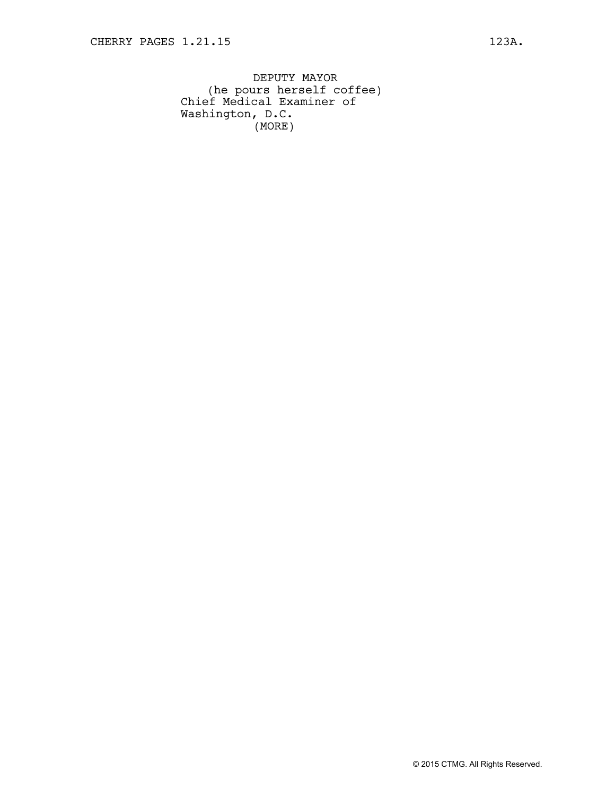DEPUTY MAYOR (he pours herself coffee) Chief Medical Examiner of Washington, D.C. (MORE)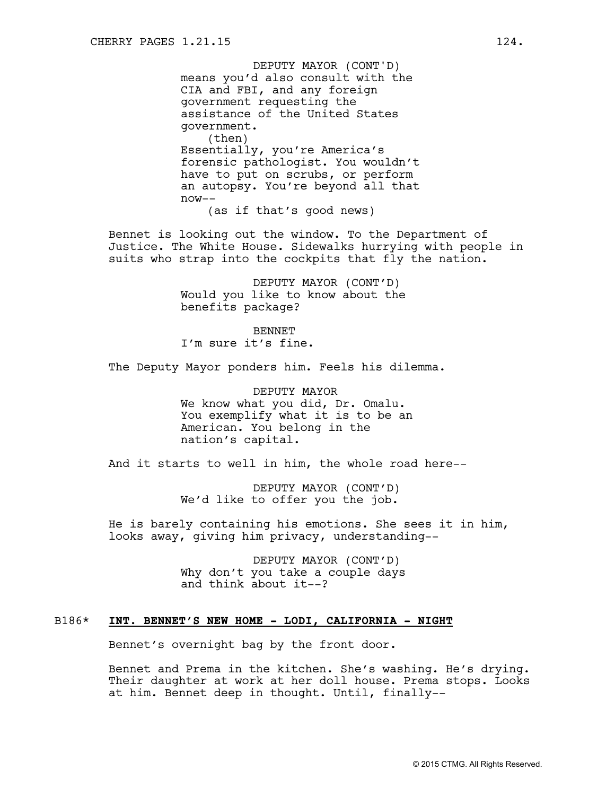means you'd also consult with the CIA and FBI, and any foreign government requesting the assistance of the United States government. (then) Essentially, you're America's forensic pathologist. You wouldn't have to put on scrubs, or perform an autopsy. You're beyond all that now-- (as if that's good news) DEPUTY MAYOR (CONT'D)

Bennet is looking out the window. To the Department of Justice. The White House. Sidewalks hurrying with people in suits who strap into the cockpits that fly the nation.

> DEPUTY MAYOR (CONT'D) Would you like to know about the benefits package?

BENNET I'm sure it's fine.

The Deputy Mayor ponders him. Feels his dilemma.

DEPUTY MAYOR We know what you did, Dr. Omalu. You exemplify what it is to be an American. You belong in the nation's capital.

And it starts to well in him, the whole road here--

DEPUTY MAYOR (CONT'D) We'd like to offer you the job.

He is barely containing his emotions. She sees it in him, looks away, giving him privacy, understanding--

> DEPUTY MAYOR (CONT'D) Why don't you take a couple days and think about it--?

## B186\* **INT. BENNET'S NEW HOME - LODI, CALIFORNIA - NIGHT**

Bennet's overnight bag by the front door.

Bennet and Prema in the kitchen. She's washing. He's drying. Their daughter at work at her doll house. Prema stops. Looks at him. Bennet deep in thought. Until, finally--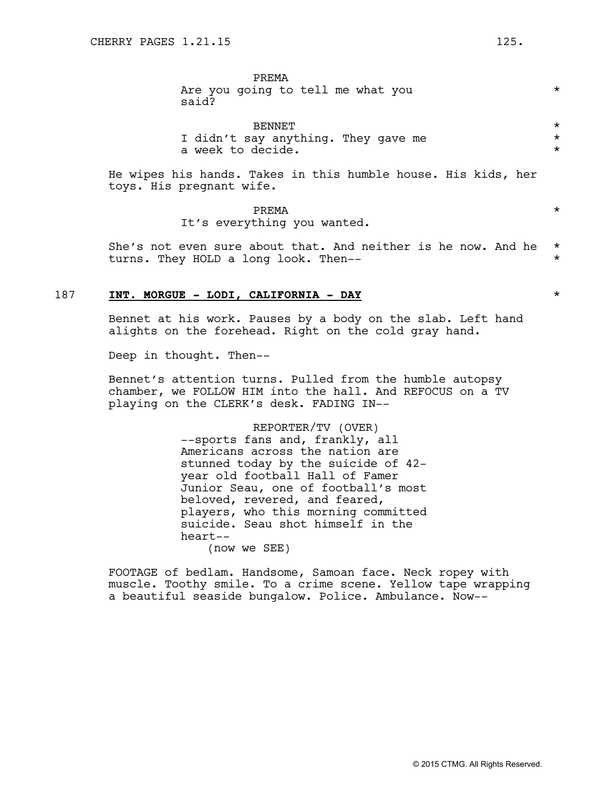PREMA Are you going to tell me what you  $*$ said?

| BENNET |                   |  |  |                                     |  |  |  |
|--------|-------------------|--|--|-------------------------------------|--|--|--|
|        |                   |  |  | I didn't say anything. They gave me |  |  |  |
|        | a week to decide. |  |  |                                     |  |  |  |

He wipes his hands. Takes in this humble house. His kids, her toys. His pregnant wife.

> PREMA  $\star$ It's everything you wanted.

She's not even sure about that. And neither is he now. And he \* turns. They HOLD a long look. Then--  $\star$ 

## 187 **INT. MORGUE - LODI, CALIFORNIA - DAY** \*

Bennet at his work. Pauses by a body on the slab. Left hand alights on the forehead. Right on the cold gray hand.

Deep in thought. Then--

Bennet's attention turns. Pulled from the humble autopsy chamber, we FOLLOW HIM into the hall. And REFOCUS on a TV playing on the CLERK's desk. FADING IN--

REPORTER/TV (OVER)

--sports fans and, frankly, all Americans across the nation are stunned today by the suicide of 42 year old football Hall of Famer Junior Seau, one of football's most beloved, revered, and feared, players, who this morning committed suicide. Seau shot himself in the heart-- (now we SEE)

FOOTAGE of bedlam. Handsome, Samoan face. Neck ropey with muscle. Toothy smile. To a crime scene. Yellow tape wrapping a beautiful seaside bungalow. Police. Ambulance. Now--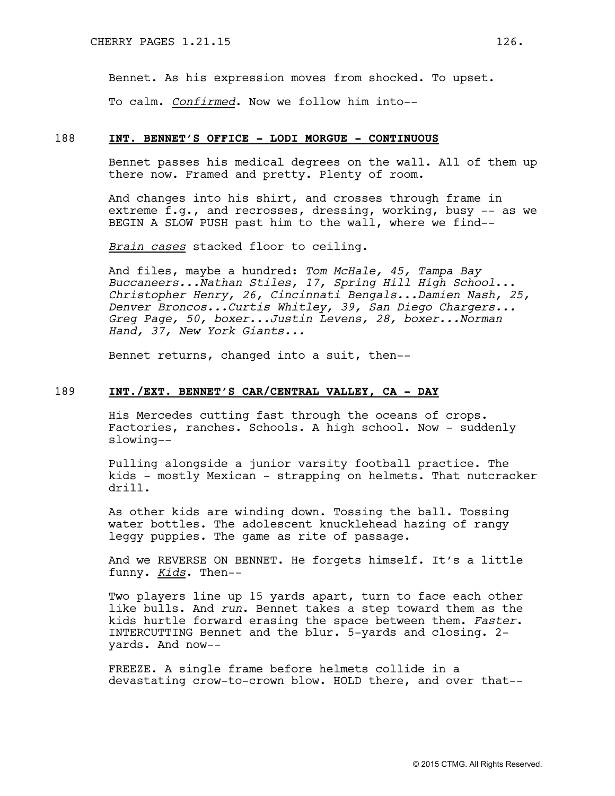Bennet. As his expression moves from shocked. To upset.

To calm. *Confirmed*. Now we follow him into--

### 188 **INT. BENNET'S OFFICE - LODI MORGUE - CONTINUOUS**

Bennet passes his medical degrees on the wall. All of them up there now. Framed and pretty. Plenty of room.

And changes into his shirt, and crosses through frame in extreme f.g., and recrosses, dressing, working, busy -- as we BEGIN A SLOW PUSH past him to the wall, where we find--

*Brain cases* stacked floor to ceiling.

And files, maybe a hundred: *Tom McHale, 45, Tampa Bay Buccaneers...Nathan Stiles, 17, Spring Hill High School*... *Christopher Henry, 26, Cincinnati Bengals...Damien Nash, 25, Denver Broncos...Curtis Whitley, 39, San Diego Chargers... Greg Page, 50, boxer...Justin Levens, 28, boxer...Norman Hand, 37, New York Giants...*

Bennet returns, changed into a suit, then--

### 189 **INT./EXT. BENNET'S CAR/CENTRAL VALLEY, CA - DAY**

His Mercedes cutting fast through the oceans of crops. Factories, ranches. Schools. A high school. Now - suddenly slowing--

Pulling alongside a junior varsity football practice. The kids - mostly Mexican - strapping on helmets. That nutcracker drill.

As other kids are winding down. Tossing the ball. Tossing water bottles. The adolescent knucklehead hazing of rangy leggy puppies. The game as rite of passage.

And we REVERSE ON BENNET. He forgets himself. It's a little funny. *Kids*. Then--

Two players line up 15 yards apart, turn to face each other like bulls. And *run*. Bennet takes a step toward them as the kids hurtle forward erasing the space between them. *Faster*. INTERCUTTING Bennet and the blur. 5-yards and closing. 2 yards. And now--

FREEZE. A single frame before helmets collide in a devastating crow-to-crown blow. HOLD there, and over that--